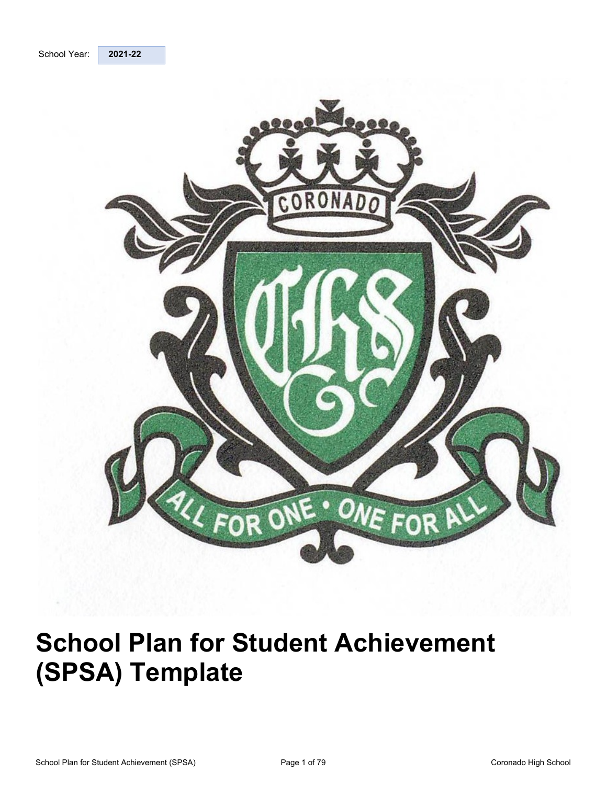<span id="page-0-0"></span>



# **School Plan for Student Achievement (SPSA) Template**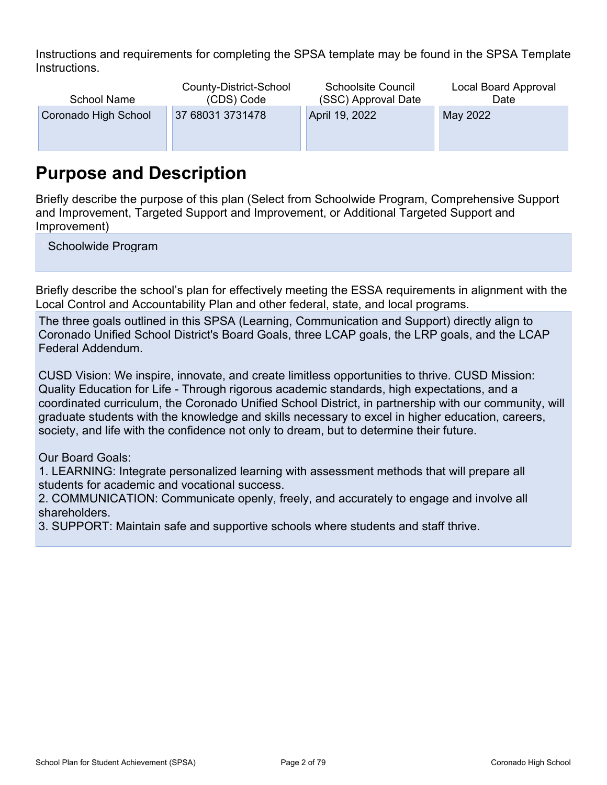Instructions and requirements for completing the SPSA template may be found in the SPSA Template Instructions.

| <b>School Name</b>   | County-District-School<br>(CDS) Code | <b>Schoolsite Council</b><br>(SSC) Approval Date | Local Board Approval<br>Date |
|----------------------|--------------------------------------|--------------------------------------------------|------------------------------|
| Coronado High School | 37 68031 3731478                     | April 19, 2022                                   | May 2022                     |
|                      |                                      |                                                  |                              |
|                      |                                      |                                                  |                              |

## <span id="page-1-0"></span>**Purpose and Description**

Briefly describe the purpose of this plan (Select from Schoolwide Program, Comprehensive Support and Improvement, Targeted Support and Improvement, or Additional Targeted Support and Improvement)

Schoolwide Program

Briefly describe the school's plan for effectively meeting the ESSA requirements in alignment with the Local Control and Accountability Plan and other federal, state, and local programs.

The three goals outlined in this SPSA (Learning, Communication and Support) directly align to Coronado Unified School District's Board Goals, three LCAP goals, the LRP goals, and the LCAP Federal Addendum.

CUSD Vision: We inspire, innovate, and create limitless opportunities to thrive. CUSD Mission: Quality Education for Life - Through rigorous academic standards, high expectations, and a coordinated curriculum, the Coronado Unified School District, in partnership with our community, will graduate students with the knowledge and skills necessary to excel in higher education, careers, society, and life with the confidence not only to dream, but to determine their future.

Our Board Goals:

1. LEARNING: Integrate personalized learning with assessment methods that will prepare all students for academic and vocational success.

2. COMMUNICATION: Communicate openly, freely, and accurately to engage and involve all shareholders.

3. SUPPORT: Maintain safe and supportive schools where students and staff thrive.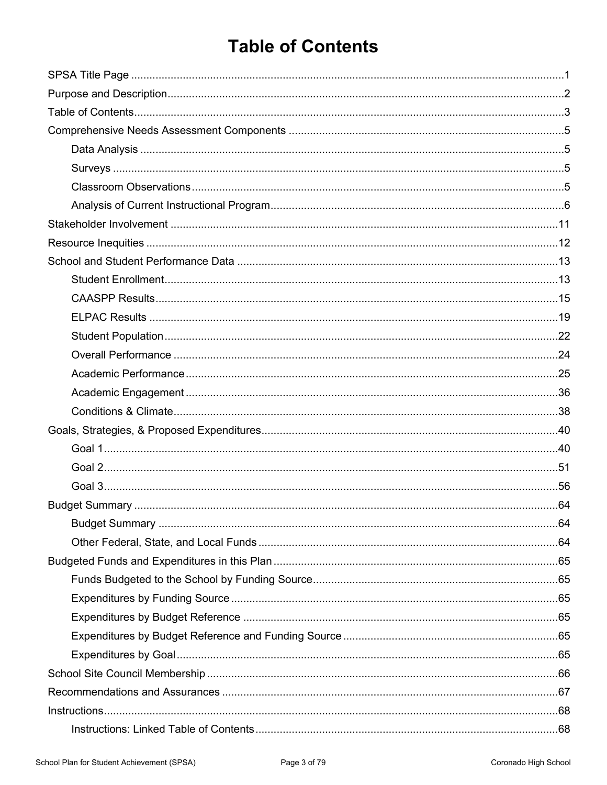## <span id="page-2-0"></span>**Table of Contents**

| Instructions. 68 |  |
|------------------|--|
|                  |  |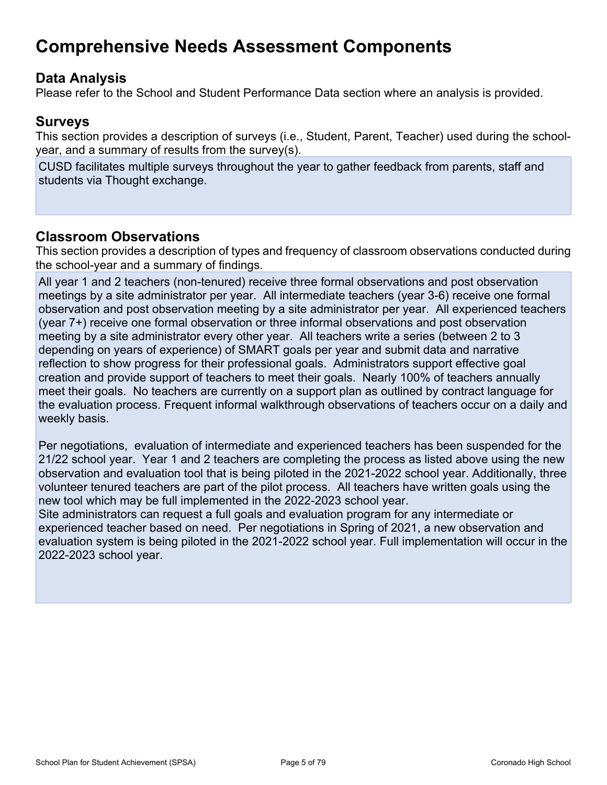## <span id="page-4-0"></span>**Comprehensive Needs Assessment Components**

### <span id="page-4-1"></span>**Data Analysis**

Please refer to the School and Student Performance Data section where an analysis is provided.

### <span id="page-4-2"></span>**Surveys**

This section provides a description of surveys (i.e., Student, Parent, Teacher) used during the schoolyear, and a summary of results from the survey(s).

CUSD facilitates multiple surveys throughout the year to gather feedback from parents, staff and students via Thought exchange.

### <span id="page-4-3"></span>**Classroom Observations**

This section provides a description of types and frequency of classroom observations conducted during the school-year and a summary of findings.

All year 1 and 2 teachers (non-tenured) receive three formal observations and post observation meetings by a site administrator per year. All intermediate teachers (year 3-6) receive one formal observation and post observation meeting by a site administrator per year. All experienced teachers (year 7+) receive one formal observation or three informal observations and post observation meeting by a site administrator every other year. All teachers write a series (between 2 to 3 depending on years of experience) of SMART goals per year and submit data and narrative reflection to show progress for their professional goals. Administrators support effective goal creation and provide support of teachers to meet their goals. Nearly 100% of teachers annually meet their goals. No teachers are currently on a support plan as outlined by contract language for the evaluation process. Frequent informal walkthrough observations of teachers occur on a daily and weekly basis.

Per negotiations, evaluation of intermediate and experienced teachers has been suspended for the 21/22 school year. Year 1 and 2 teachers are completing the process as listed above using the new observation and evaluation tool that is being piloted in the 2021-2022 school year. Additionally, three volunteer tenured teachers are part of the pilot process. All teachers have written goals using the new tool which may be full implemented in the 2022-2023 school year.

Site administrators can request a full goals and evaluation program for any intermediate or experienced teacher based on need. Per negotiations in Spring of 2021, a new observation and evaluation system is being piloted in the 2021-2022 school year. Full implementation will occur in the 2022-2023 school year.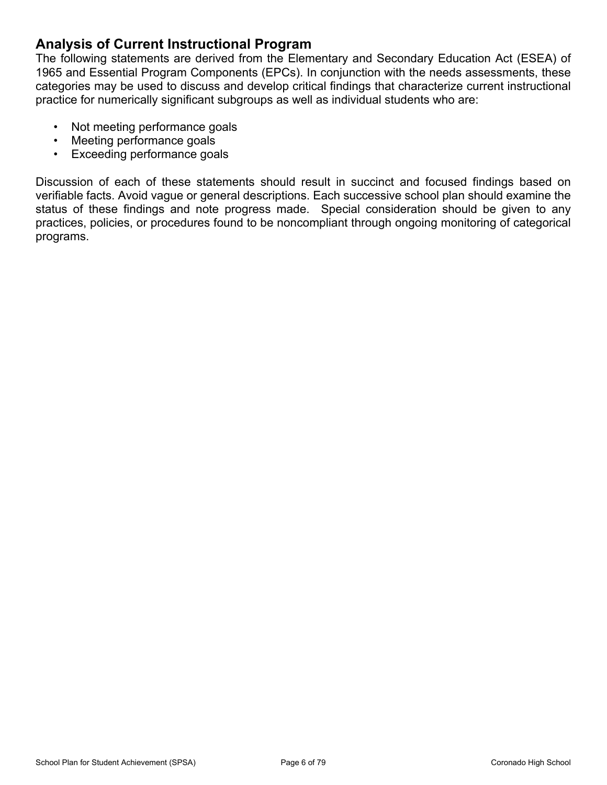### <span id="page-5-0"></span>**Analysis of Current Instructional Program**

The following statements are derived from the Elementary and Secondary Education Act (ESEA) of 1965 and Essential Program Components (EPCs). In conjunction with the needs assessments, these categories may be used to discuss and develop critical findings that characterize current instructional practice for numerically significant subgroups as well as individual students who are:

- Not meeting performance goals
- Meeting performance goals
- Exceeding performance goals

Discussion of each of these statements should result in succinct and focused findings based on verifiable facts. Avoid vague or general descriptions. Each successive school plan should examine the status of these findings and note progress made. Special consideration should be given to any practices, policies, or procedures found to be noncompliant through ongoing monitoring of categorical programs.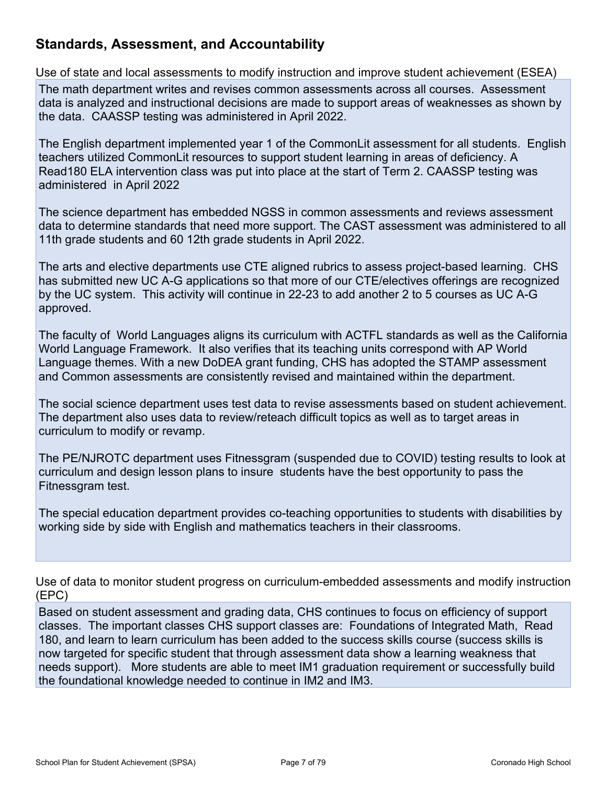### **Standards, Assessment, and Accountability**

Use of state and local assessments to modify instruction and improve student achievement (ESEA)

The math department writes and revises common assessments across all courses. Assessment data is analyzed and instructional decisions are made to support areas of weaknesses as shown by the data. CAASSP testing was administered in April 2022.

The English department implemented year 1 of the CommonLit assessment for all students. English teachers utilized CommonLit resources to support student learning in areas of deficiency. A Read180 ELA intervention class was put into place at the start of Term 2. CAASSP testing was administered in April 2022

The science department has embedded NGSS in common assessments and reviews assessment data to determine standards that need more support. The CAST assessment was administered to all 11th grade students and 60 12th grade students in April 2022.

The arts and elective departments use CTE aligned rubrics to assess project-based learning. CHS has submitted new UC A-G applications so that more of our CTE/electives offerings are recognized by the UC system. This activity will continue in 22-23 to add another 2 to 5 courses as UC A-G approved.

The faculty of World Languages aligns its curriculum with ACTFL standards as well as the California World Language Framework. It also verifies that its teaching units correspond with AP World Language themes. With a new DoDEA grant funding, CHS has adopted the STAMP assessment and Common assessments are consistently revised and maintained within the department.

The social science department uses test data to revise assessments based on student achievement. The department also uses data to review/reteach difficult topics as well as to target areas in curriculum to modify or revamp.

The PE/NJROTC department uses Fitnessgram (suspended due to COVID) testing results to look at curriculum and design lesson plans to insure students have the best opportunity to pass the Fitnessgram test.

The special education department provides co-teaching opportunities to students with disabilities by working side by side with English and mathematics teachers in their classrooms.

Use of data to monitor student progress on curriculum-embedded assessments and modify instruction (EPC)

Based on student assessment and grading data, CHS continues to focus on efficiency of support classes. The important classes CHS support classes are: Foundations of Integrated Math, Read 180, and learn to learn curriculum has been added to the success skills course (success skills is now targeted for specific student that through assessment data show a learning weakness that needs support). More students are able to meet IM1 graduation requirement or successfully build the foundational knowledge needed to continue in IM2 and IM3.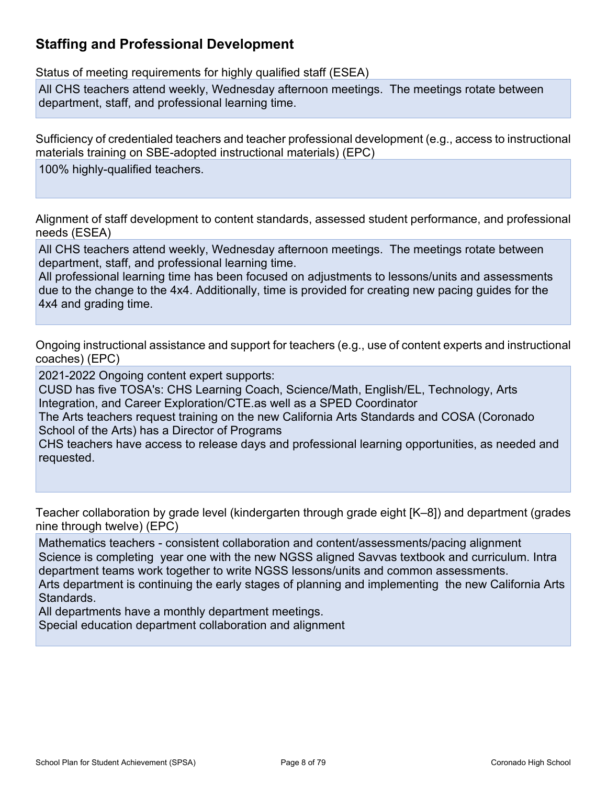## **Staffing and Professional Development**

Status of meeting requirements for highly qualified staff (ESEA)

All CHS teachers attend weekly, Wednesday afternoon meetings. The meetings rotate between department, staff, and professional learning time.

Sufficiency of credentialed teachers and teacher professional development (e.g., access to instructional materials training on SBE-adopted instructional materials) (EPC)

100% highly-qualified teachers.

Alignment of staff development to content standards, assessed student performance, and professional needs (ESEA)

All CHS teachers attend weekly, Wednesday afternoon meetings. The meetings rotate between department, staff, and professional learning time.

All professional learning time has been focused on adjustments to lessons/units and assessments due to the change to the 4x4. Additionally, time is provided for creating new pacing guides for the 4x4 and grading time.

Ongoing instructional assistance and support for teachers (e.g., use of content experts and instructional coaches) (EPC)

2021-2022 Ongoing content expert supports:

CUSD has five TOSA's: CHS Learning Coach, Science/Math, English/EL, Technology, Arts Integration, and Career Exploration/CTE.as well as a SPED Coordinator

The Arts teachers request training on the new California Arts Standards and COSA (Coronado School of the Arts) has a Director of Programs

CHS teachers have access to release days and professional learning opportunities, as needed and requested.

Teacher collaboration by grade level (kindergarten through grade eight [K–8]) and department (grades nine through twelve) (EPC)

Mathematics teachers - consistent collaboration and content/assessments/pacing alignment Science is completing year one with the new NGSS aligned Savvas textbook and curriculum. Intra department teams work together to write NGSS lessons/units and common assessments. Arts department is continuing the early stages of planning and implementing the new California Arts Standards.

All departments have a monthly department meetings.

Special education department collaboration and alignment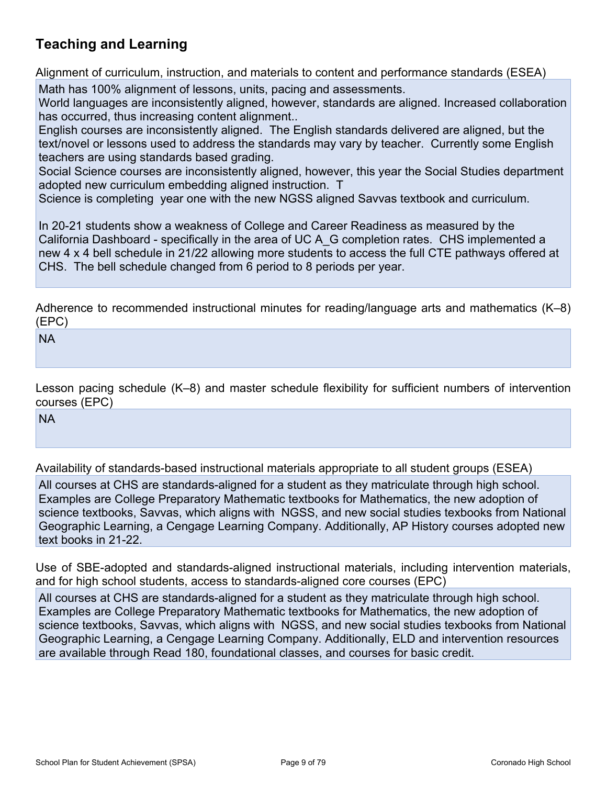## **Teaching and Learning**

Alignment of curriculum, instruction, and materials to content and performance standards (ESEA)

Math has 100% alignment of lessons, units, pacing and assessments.

World languages are inconsistently aligned, however, standards are aligned. Increased collaboration has occurred, thus increasing content alignment..

English courses are inconsistently aligned. The English standards delivered are aligned, but the text/novel or lessons used to address the standards may vary by teacher. Currently some English teachers are using standards based grading.

Social Science courses are inconsistently aligned, however, this year the Social Studies department adopted new curriculum embedding aligned instruction. T

Science is completing year one with the new NGSS aligned Savvas textbook and curriculum.

In 20-21 students show a weakness of College and Career Readiness as measured by the California Dashboard - specifically in the area of UC A\_G completion rates. CHS implemented a new 4 x 4 bell schedule in 21/22 allowing more students to access the full CTE pathways offered at CHS. The bell schedule changed from 6 period to 8 periods per year.

Adherence to recommended instructional minutes for reading/language arts and mathematics (K–8) (EPC)

NA

Lesson pacing schedule (K–8) and master schedule flexibility for sufficient numbers of intervention courses (EPC)

NA

Availability of standards-based instructional materials appropriate to all student groups (ESEA)

All courses at CHS are standards-aligned for a student as they matriculate through high school. Examples are College Preparatory Mathematic textbooks for Mathematics, the new adoption of science textbooks, Savvas, which aligns with NGSS, and new social studies texbooks from National Geographic Learning, a Cengage Learning Company. Additionally, AP History courses adopted new text books in 21-22.

Use of SBE-adopted and standards-aligned instructional materials, including intervention materials, and for high school students, access to standards-aligned core courses (EPC)

All courses at CHS are standards-aligned for a student as they matriculate through high school. Examples are College Preparatory Mathematic textbooks for Mathematics, the new adoption of science textbooks, Savvas, which aligns with NGSS, and new social studies texbooks from National Geographic Learning, a Cengage Learning Company. Additionally, ELD and intervention resources are available through Read 180, foundational classes, and courses for basic credit.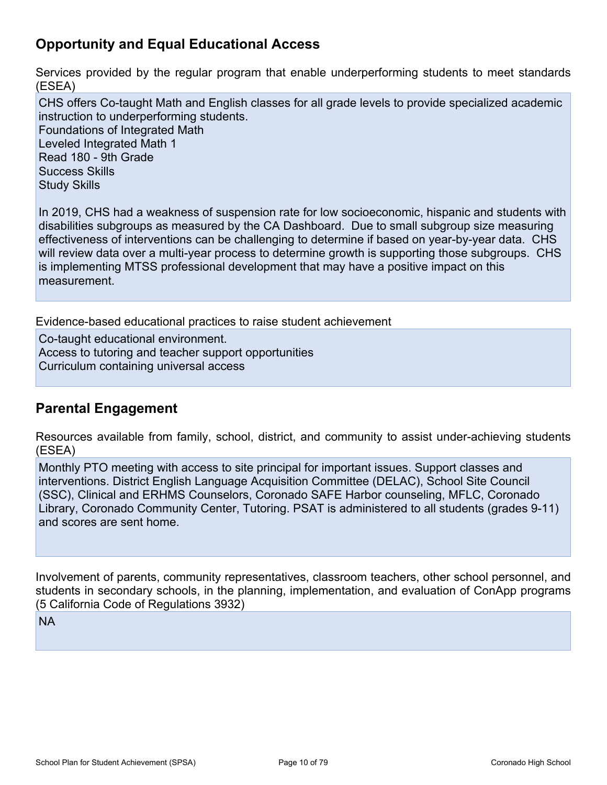## **Opportunity and Equal Educational Access**

Services provided by the regular program that enable underperforming students to meet standards (ESEA)

CHS offers Co-taught Math and English classes for all grade levels to provide specialized academic instruction to underperforming students. Foundations of Integrated Math Leveled Integrated Math 1 Read 180 - 9th Grade Success Skills Study Skills

In 2019, CHS had a weakness of suspension rate for low socioeconomic, hispanic and students with disabilities subgroups as measured by the CA Dashboard. Due to small subgroup size measuring effectiveness of interventions can be challenging to determine if based on year-by-year data. CHS will review data over a multi-year process to determine growth is supporting those subgroups. CHS is implementing MTSS professional development that may have a positive impact on this measurement.

Evidence-based educational practices to raise student achievement

Co-taught educational environment. Access to tutoring and teacher support opportunities Curriculum containing universal access

## **Parental Engagement**

Resources available from family, school, district, and community to assist under-achieving students (ESEA)

Monthly PTO meeting with access to site principal for important issues. Support classes and interventions. District English Language Acquisition Committee (DELAC), School Site Council (SSC), Clinical and ERHMS Counselors, Coronado SAFE Harbor counseling, MFLC, Coronado Library, Coronado Community Center, Tutoring. PSAT is administered to all students (grades 9-11) and scores are sent home.

Involvement of parents, community representatives, classroom teachers, other school personnel, and students in secondary schools, in the planning, implementation, and evaluation of ConApp programs (5 California Code of Regulations 3932)

NA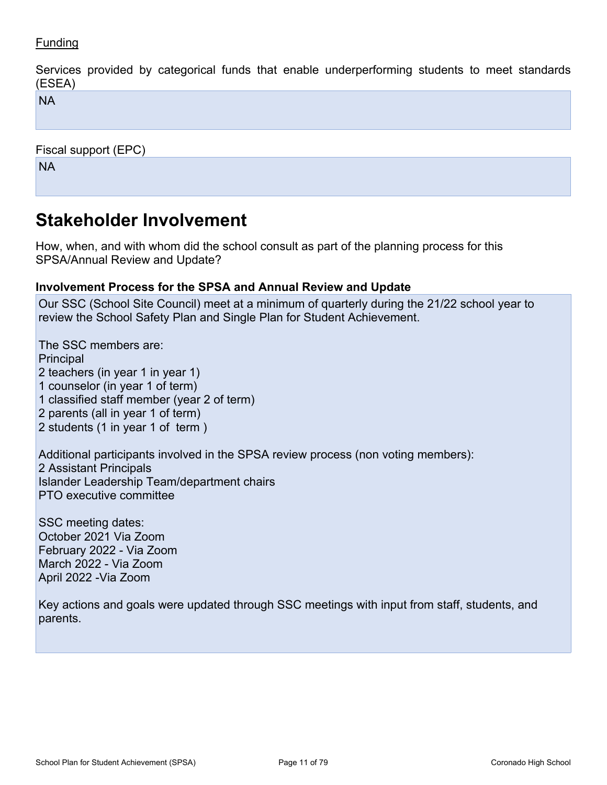### **Funding**

Services provided by categorical funds that enable underperforming students to meet standards (ESEA)

NA

Fiscal support (EPC)

NA

## <span id="page-10-0"></span>**Stakeholder Involvement**

How, when, and with whom did the school consult as part of the planning process for this SPSA/Annual Review and Update?

#### **Involvement Process for the SPSA and Annual Review and Update**

Our SSC (School Site Council) meet at a minimum of quarterly during the 21/22 school year to review the School Safety Plan and Single Plan for Student Achievement.

The SSC members are: **Principal** 2 teachers (in year 1 in year 1) 1 counselor (in year 1 of term) 1 classified staff member (year 2 of term) 2 parents (all in year 1 of term) 2 students (1 in year 1 of term )

Additional participants involved in the SPSA review process (non voting members): 2 Assistant Principals Islander Leadership Team/department chairs PTO executive committee

SSC meeting dates: October 2021 Via Zoom February 2022 - Via Zoom March 2022 - Via Zoom April 2022 -Via Zoom

Key actions and goals were updated through SSC meetings with input from staff, students, and parents.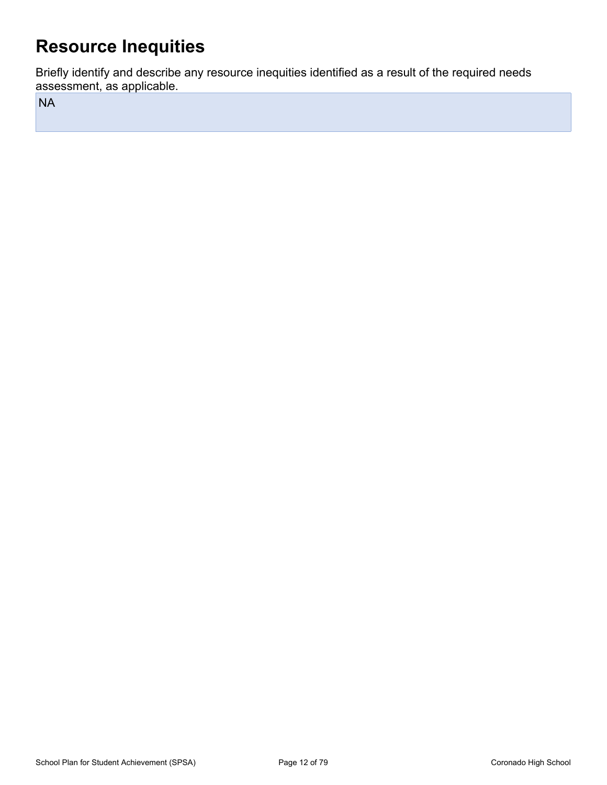## <span id="page-11-0"></span>**Resource Inequities**

Briefly identify and describe any resource inequities identified as a result of the required needs assessment, as applicable.

NA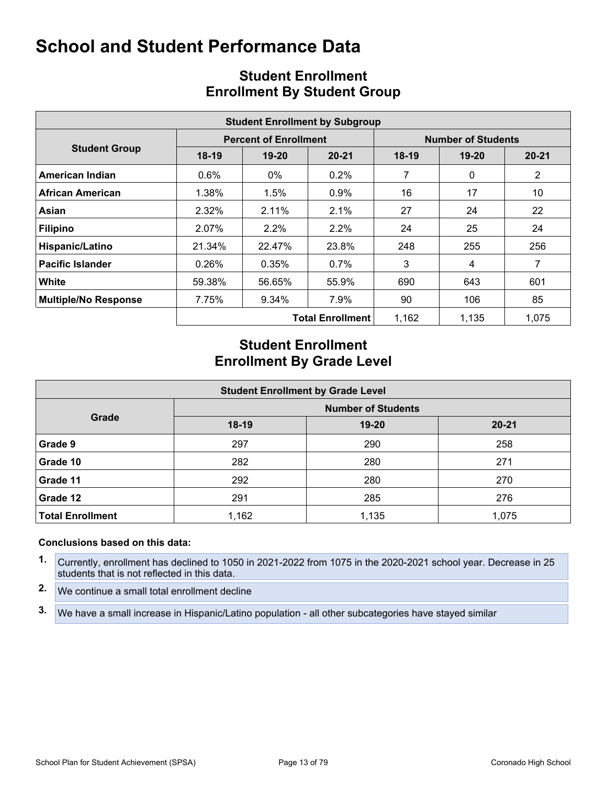<span id="page-12-0"></span>

|                             | <b>Student Enrollment by Subgroup</b> |                              |                         |                           |                                                                                                                                         |                |  |  |  |  |  |  |
|-----------------------------|---------------------------------------|------------------------------|-------------------------|---------------------------|-----------------------------------------------------------------------------------------------------------------------------------------|----------------|--|--|--|--|--|--|
|                             |                                       | <b>Percent of Enrollment</b> |                         | <b>Number of Students</b> |                                                                                                                                         |                |  |  |  |  |  |  |
| <b>Student Group</b>        | $18-19$                               | $19 - 20$                    | $20 - 21$               | $18-19$                   | $19 - 20$<br>7<br>$\mathbf{0}$<br>16<br>17<br>27<br>24<br>24<br>25<br>248<br>255<br>3<br>4<br>690<br>643<br>90<br>106<br>1,162<br>1,135 | $20 - 21$      |  |  |  |  |  |  |
| American Indian             | 0.6%                                  | $0\%$                        | $0.2\%$                 |                           |                                                                                                                                         | $\overline{2}$ |  |  |  |  |  |  |
| African American            | 1.38%                                 | 1.5%                         | $0.9\%$                 |                           |                                                                                                                                         | 10             |  |  |  |  |  |  |
| Asian                       | 2.32%                                 | 2.11%                        | 2.1%                    |                           |                                                                                                                                         | 22             |  |  |  |  |  |  |
| <b>Filipino</b>             | 2.07%                                 | $2.2\%$                      | $2.2\%$                 |                           |                                                                                                                                         | 24             |  |  |  |  |  |  |
| Hispanic/Latino             | 21.34%                                | 22.47%                       | 23.8%                   |                           |                                                                                                                                         | 256            |  |  |  |  |  |  |
| <b>Pacific Islander</b>     | 0.26%                                 | 0.35%                        | $0.7\%$                 |                           |                                                                                                                                         | 7              |  |  |  |  |  |  |
| White                       | 59.38%                                | 56.65%                       | 55.9%                   |                           |                                                                                                                                         | 601            |  |  |  |  |  |  |
| <b>Multiple/No Response</b> | 7.75%                                 | 9.34%                        | 7.9%                    |                           |                                                                                                                                         | 85             |  |  |  |  |  |  |
|                             |                                       |                              | <b>Total Enrollment</b> |                           |                                                                                                                                         | 1,075          |  |  |  |  |  |  |

## <span id="page-12-1"></span>**Student Enrollment Enrollment By Student Group**

### **Student Enrollment Enrollment By Grade Level**

| <b>Student Enrollment by Grade Level</b> |                           |           |           |  |  |  |  |  |  |  |
|------------------------------------------|---------------------------|-----------|-----------|--|--|--|--|--|--|--|
|                                          | <b>Number of Students</b> |           |           |  |  |  |  |  |  |  |
| Grade                                    | $18-19$                   | $19 - 20$ | $20 - 21$ |  |  |  |  |  |  |  |
| Grade 9                                  | 297                       | 290       | 258       |  |  |  |  |  |  |  |
| Grade 10                                 | 282                       | 280       | 271       |  |  |  |  |  |  |  |
| Grade 11                                 | 292                       | 280       | 270       |  |  |  |  |  |  |  |
| Grade 12                                 | 291                       | 285       | 276       |  |  |  |  |  |  |  |
| <b>Total Enrollment</b>                  | 1,162                     | 1,135     | 1,075     |  |  |  |  |  |  |  |

#### **Conclusions based on this data:**

- **1.** Currently, enrollment has declined to 1050 in 2021-2022 from 1075 in the 2020-2021 school year. Decrease in 25 students that is not reflected in this data.
- **2.** We continue a small total enrollment decline
- **3.** We have a small increase in Hispanic/Latino population all other subcategories have stayed similar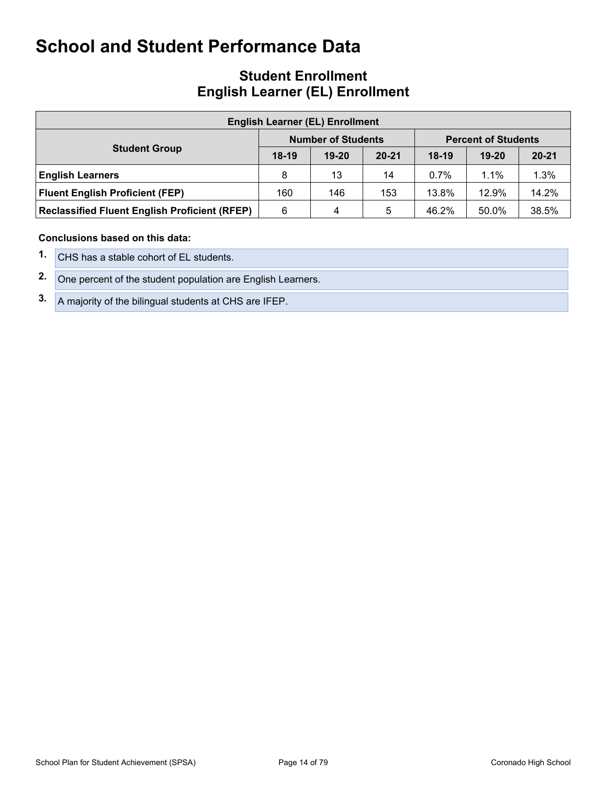### **Student Enrollment English Learner (EL) Enrollment**

| <b>English Learner (EL) Enrollment</b>               |         |                           |           |                            |           |           |  |  |  |  |
|------------------------------------------------------|---------|---------------------------|-----------|----------------------------|-----------|-----------|--|--|--|--|
|                                                      |         | <b>Number of Students</b> |           | <b>Percent of Students</b> |           |           |  |  |  |  |
| <b>Student Group</b>                                 | $18-19$ | $19 - 20$                 | $20 - 21$ | $18-19$                    | $19 - 20$ | $20 - 21$ |  |  |  |  |
| <b>English Learners</b>                              | 8       | 13                        | 14        | $0.7\%$                    | 1.1%      | 1.3%      |  |  |  |  |
| <b>Fluent English Proficient (FEP)</b>               | 160     | 146                       | 153       | 13.8%                      | 12.9%     | 14.2%     |  |  |  |  |
| <b>Reclassified Fluent English Proficient (RFEP)</b> | 6       | 4                         | 5         | 46.2%                      | 50.0%     | 38.5%     |  |  |  |  |

#### **Conclusions based on this data:**

**1.** CHS has a stable cohort of EL students.

**2.** One percent of the student population are English Learners.

**3.** A majority of the bilingual students at CHS are IFEP.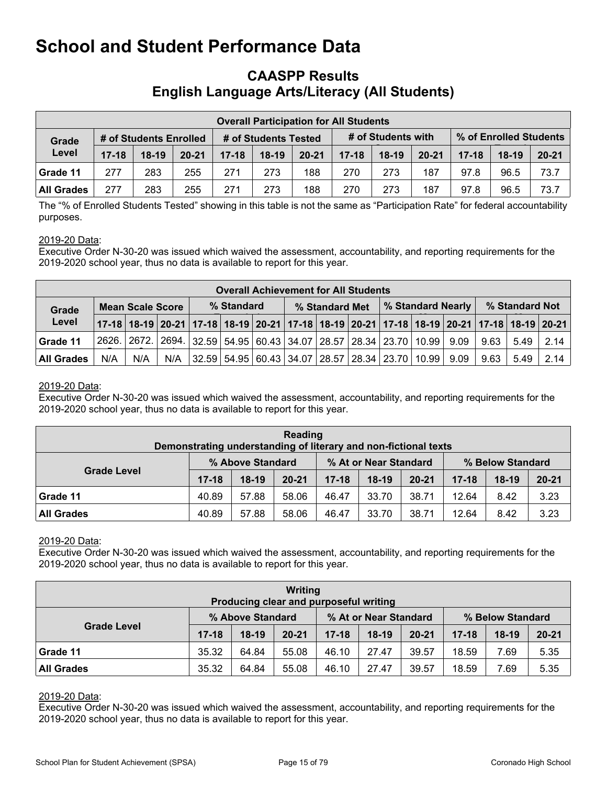### <span id="page-14-0"></span>**CAASPP Results English Language Arts/Literacy (All Students)**

|                   | <b>Overall Participation for All Students</b> |         |           |           |                      |           |           |                    |           |           |                        |           |  |
|-------------------|-----------------------------------------------|---------|-----------|-----------|----------------------|-----------|-----------|--------------------|-----------|-----------|------------------------|-----------|--|
| Grade             | # of Students Enrolled                        |         |           |           | # of Students Tested |           |           | # of Students with |           |           | % of Enrolled Students |           |  |
| Level             | $17 - 18$                                     | $18-19$ | $20 - 21$ | $17 - 18$ | $18-19$              | $20 - 21$ | $17 - 18$ | $18-19$            | $20 - 21$ | $17 - 18$ | $18-19$                | $20 - 21$ |  |
| Grade 11          | 277                                           | 283     | 255       | 271       | 273                  | 188       | 270       | 273                | 187       | 97.8      | 96.5                   | 73.7      |  |
| <b>All Grades</b> | 277                                           | 283     | 255       | 271       | 273                  | 188       | 270       | 273                | 187       | 97.8      | 96.5                   | 73.7      |  |

The "% of Enrolled Students Tested" showing in this table is not the same as "Participation Rate" for federal accountability purposes.

#### 2019-20 Data:

Executive Order N-30-20 was issued which waived the assessment, accountability, and reporting requirements for the 2019-2020 school year, thus no data is available to report for this year.

|                                  | <b>Overall Achievement for All Students</b>                                                                           |     |            |  |  |  |                |  |                                                                        |  |  |                |      |      |      |
|----------------------------------|-----------------------------------------------------------------------------------------------------------------------|-----|------------|--|--|--|----------------|--|------------------------------------------------------------------------|--|--|----------------|------|------|------|
| <b>Mean Scale Score</b><br>Grade |                                                                                                                       |     | % Standard |  |  |  | % Standard Met |  | <b>% Standard Nearly</b>                                               |  |  | % Standard Not |      |      |      |
| Level                            | 17-18   18-19   20-21   17-18   18-19   20-21   17-18   18-19   20-21   17-18   18-19   20-21   17-18   18-19   20-21 |     |            |  |  |  |                |  |                                                                        |  |  |                |      |      |      |
| Grade 11                         |                                                                                                                       |     |            |  |  |  |                |  | 2626. 2672. 2694. 32.59 54.95 60.43 34.07 28.57 28.34 23.70 10.99 9.09 |  |  |                | 9.63 | 5.49 | 2.14 |
| <b>All Grades</b>                | N/A                                                                                                                   | N/A | N/A        |  |  |  |                |  | 32.59   54.95   60.43   34.07   28.57   28.34   23.70   10.99    9.09  |  |  |                | 9.63 | 5.49 | 2.14 |

#### 2019-20 Data:

Executive Order N-30-20 was issued which waived the assessment, accountability, and reporting requirements for the 2019-2020 school year, thus no data is available to report for this year.

| Reading<br>Demonstrating understanding of literary and non-fictional texts |                  |         |           |                       |         |           |                  |         |           |  |
|----------------------------------------------------------------------------|------------------|---------|-----------|-----------------------|---------|-----------|------------------|---------|-----------|--|
|                                                                            | % Above Standard |         |           | % At or Near Standard |         |           | % Below Standard |         |           |  |
| <b>Grade Level</b>                                                         | $17 - 18$        | $18-19$ | $20 - 21$ | $17 - 18$             | $18-19$ | $20 - 21$ | $17 - 18$        | $18-19$ | $20 - 21$ |  |
| Grade 11                                                                   | 40.89            | 57.88   | 58.06     | 46.47                 | 33.70   | 38.71     | 12.64            | 8.42    | 3.23      |  |
| <b>All Grades</b>                                                          | 40.89            | 57.88   | 58.06     | 46.47                 | 33.70   | 38.71     | 12.64            | 8.42    | 3.23      |  |

#### 2019-20 Data:

Executive Order N-30-20 was issued which waived the assessment, accountability, and reporting requirements for the 2019-2020 school year, thus no data is available to report for this year.

| Writing<br>Producing clear and purposeful writing |                  |         |           |                       |         |           |                  |         |           |  |
|---------------------------------------------------|------------------|---------|-----------|-----------------------|---------|-----------|------------------|---------|-----------|--|
| <b>Grade Level</b>                                | % Above Standard |         |           | % At or Near Standard |         |           | % Below Standard |         |           |  |
|                                                   | $17 - 18$        | $18-19$ | $20 - 21$ | $17 - 18$             | $18-19$ | $20 - 21$ | $17 - 18$        | $18-19$ | $20 - 21$ |  |
| Grade 11                                          | 35.32            | 64.84   | 55.08     | 46.10                 | 27.47   | 39.57     | 18.59            | 7.69    | 5.35      |  |
| <b>All Grades</b>                                 | 35.32            | 64.84   | 55.08     | 46.10                 | 27.47   | 39.57     | 18.59            | 7.69    | 5.35      |  |

#### 2019-20 Data:

Executive Order N-30-20 was issued which waived the assessment, accountability, and reporting requirements for the 2019-2020 school year, thus no data is available to report for this year.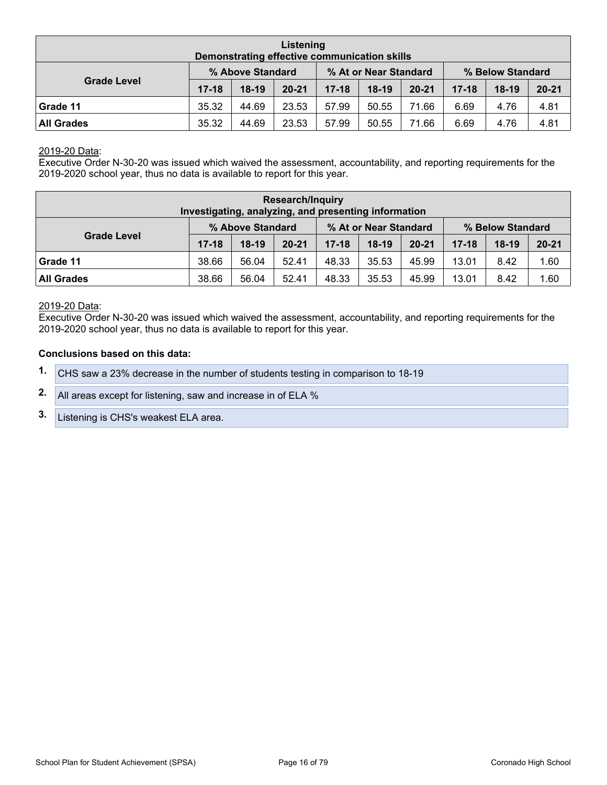| Listening<br>Demonstrating effective communication skills |                  |         |           |                       |         |           |                  |         |           |  |
|-----------------------------------------------------------|------------------|---------|-----------|-----------------------|---------|-----------|------------------|---------|-----------|--|
|                                                           | % Above Standard |         |           | % At or Near Standard |         |           | % Below Standard |         |           |  |
| <b>Grade Level</b>                                        | $17 - 18$        | $18-19$ | $20 - 21$ | $17 - 18$             | $18-19$ | $20 - 21$ | $17 - 18$        | $18-19$ | $20 - 21$ |  |
| Grade 11                                                  | 35.32            | 44.69   | 23.53     | 57.99                 | 50.55   | 71.66     | 6.69             | 4.76    | 4.81      |  |
| <b>All Grades</b>                                         | 35.32            | 44.69   | 23.53     | 57.99                 | 50.55   | 71.66     | 6.69             | 4.76    | 4.81      |  |

#### 2019-20 Data:

Executive Order N-30-20 was issued which waived the assessment, accountability, and reporting requirements for the 2019-2020 school year, thus no data is available to report for this year.

| <b>Research/Inquiry</b><br>Investigating, analyzing, and presenting information |                  |         |           |                       |         |           |                  |         |           |  |
|---------------------------------------------------------------------------------|------------------|---------|-----------|-----------------------|---------|-----------|------------------|---------|-----------|--|
|                                                                                 | % Above Standard |         |           | % At or Near Standard |         |           | % Below Standard |         |           |  |
| <b>Grade Level</b>                                                              | $17 - 18$        | $18-19$ | $20 - 21$ | $17 - 18$             | $18-19$ | $20 - 21$ | $17 - 18$        | $18-19$ | $20 - 21$ |  |
| Grade 11                                                                        | 38.66            | 56.04   | 52.41     | 48.33                 | 35.53   | 45.99     | 13.01            | 8.42    | 1.60      |  |
| <b>All Grades</b>                                                               | 38.66            | 56.04   | 52.41     | 48.33                 | 35.53   | 45.99     | 13.01            | 8.42    | 1.60      |  |

#### 2019-20 Data:

Executive Order N-30-20 was issued which waived the assessment, accountability, and reporting requirements for the 2019-2020 school year, thus no data is available to report for this year.

#### **Conclusions based on this data:**

- **1.** CHS saw a 23% decrease in the number of students testing in comparison to 18-19
- **2.** All areas except for listening, saw and increase in of ELA %
- **3.** Listening is CHS's weakest ELA area.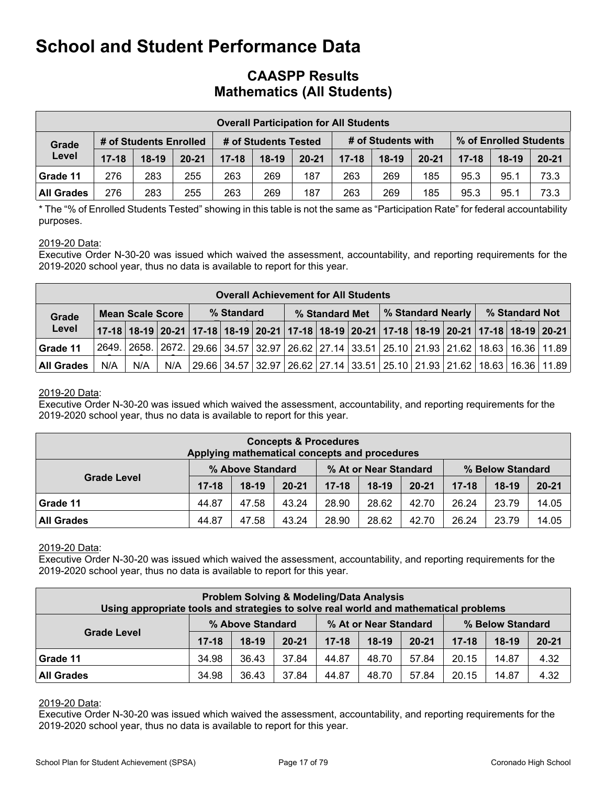### **CAASPP Results Mathematics (All Students)**

|                   | <b>Overall Participation for All Students</b> |                        |           |           |                      |           |           |                    |           |         |                        |           |  |  |  |
|-------------------|-----------------------------------------------|------------------------|-----------|-----------|----------------------|-----------|-----------|--------------------|-----------|---------|------------------------|-----------|--|--|--|
| Grade<br>Level    |                                               | # of Students Enrolled |           |           | # of Students Tested |           |           | # of Students with |           |         | % of Enrolled Students |           |  |  |  |
|                   | $17 - 18$                                     | $18-19$                | $20 - 21$ | $17 - 18$ | $18-19$              | $20 - 21$ | $17 - 18$ | $18-19$            | $20 - 21$ | $17-18$ | $18-19$                | $20 - 21$ |  |  |  |
| Grade 11          | 276                                           | 283                    | 255       | 263       | 269                  | 187       | 263       | 269                | 185       | 95.3    | 95.1                   | 73.3      |  |  |  |
| <b>All Grades</b> | 276                                           | 283                    | 255       | 263       | 269                  | 187       | 263       | 269                | 185       | 95.3    | 95.1                   | 73.3      |  |  |  |

\* The "% of Enrolled Students Tested" showing in this table is not the same as "Participation Rate" for federal accountability purposes.

#### 2019-20 Data:

Executive Order N-30-20 was issued which waived the assessment, accountability, and reporting requirements for the 2019-2020 school year, thus no data is available to report for this year.

|                   | <b>Overall Achievement for All Students</b> |                         |     |  |            |  |  |                |  |  |  |                                                                                                                       |  |                |  |
|-------------------|---------------------------------------------|-------------------------|-----|--|------------|--|--|----------------|--|--|--|-----------------------------------------------------------------------------------------------------------------------|--|----------------|--|
| Grade<br>Level    |                                             | <b>Mean Scale Score</b> |     |  | % Standard |  |  | % Standard Met |  |  |  | │% Standard Nearly │                                                                                                  |  | % Standard Not |  |
|                   |                                             |                         |     |  |            |  |  |                |  |  |  | 17-18   18-19   20-21   17-18   18-19   20-21   17-18   18-19   20-21   17-18   18-19   20-21   17-18   18-19   20-21 |  |                |  |
| Grade 11          |                                             |                         |     |  |            |  |  |                |  |  |  | 2649. 2658. 2672. 29.66 34.57 32.97 26.62 27.14 33.51 25.10 21.93 21.62 18.63 16.36 11.89                             |  |                |  |
| <b>All Grades</b> | N/A                                         | N/A                     | N/A |  |            |  |  |                |  |  |  | 29.66   34.57   32.97   26.62   27.14   33.51   25.10   21.93   21.62   18.63   16.36   11.89                         |  |                |  |

#### 2019-20 Data:

Executive Order N-30-20 was issued which waived the assessment, accountability, and reporting requirements for the 2019-2020 school year, thus no data is available to report for this year.

| <b>Concepts &amp; Procedures</b><br>Applying mathematical concepts and procedures |           |                  |           |           |                       |           |           |                  |           |  |  |  |
|-----------------------------------------------------------------------------------|-----------|------------------|-----------|-----------|-----------------------|-----------|-----------|------------------|-----------|--|--|--|
|                                                                                   |           | % Above Standard |           |           | % At or Near Standard |           |           | % Below Standard |           |  |  |  |
| <b>Grade Level</b>                                                                | $17 - 18$ | $18-19$          | $20 - 21$ | $17 - 18$ | $18-19$               | $20 - 21$ | $17 - 18$ | $18-19$          | $20 - 21$ |  |  |  |
| Grade 11                                                                          | 44.87     | 47.58            | 43.24     | 28.90     | 28.62                 | 42.70     | 26.24     | 23.79            | 14.05     |  |  |  |
| <b>All Grades</b>                                                                 | 44.87     | 47.58            | 43.24     | 28.90     | 28.62                 | 42.70     | 26.24     | 23.79            | 14.05     |  |  |  |

#### 2019-20 Data:

Executive Order N-30-20 was issued which waived the assessment, accountability, and reporting requirements for the 2019-2020 school year, thus no data is available to report for this year.

| <b>Problem Solving &amp; Modeling/Data Analysis</b><br>Using appropriate tools and strategies to solve real world and mathematical problems |           |                  |           |           |                       |           |           |                  |           |  |  |  |  |
|---------------------------------------------------------------------------------------------------------------------------------------------|-----------|------------------|-----------|-----------|-----------------------|-----------|-----------|------------------|-----------|--|--|--|--|
|                                                                                                                                             |           | % Above Standard |           |           | % At or Near Standard |           |           | % Below Standard |           |  |  |  |  |
| <b>Grade Level</b>                                                                                                                          | $17 - 18$ | $18-19$          | $20 - 21$ | $17 - 18$ | $18-19$               | $20 - 21$ | $17 - 18$ | $18-19$          | $20 - 21$ |  |  |  |  |
| Grade 11                                                                                                                                    | 34.98     | 36.43            | 37.84     | 44.87     | 48.70                 | 57.84     | 20.15     | 14.87            | 4.32      |  |  |  |  |
| <b>All Grades</b>                                                                                                                           | 34.98     | 36.43            | 37.84     | 44.87     | 48.70                 | 57.84     | 20.15     | 14.87            | 4.32      |  |  |  |  |

#### 2019-20 Data:

Executive Order N-30-20 was issued which waived the assessment, accountability, and reporting requirements for the 2019-2020 school year, thus no data is available to report for this year.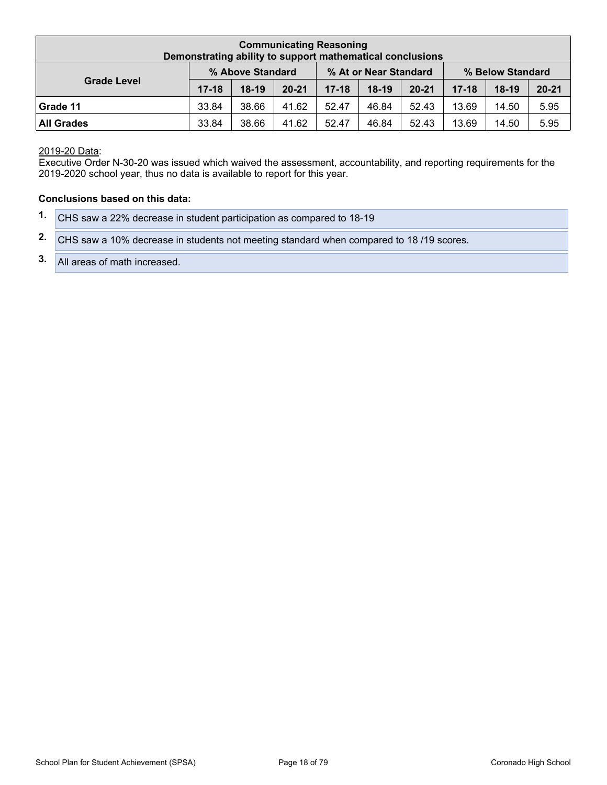| <b>Communicating Reasoning</b><br>Demonstrating ability to support mathematical conclusions |           |                  |           |           |                       |           |           |                  |           |  |  |  |
|---------------------------------------------------------------------------------------------|-----------|------------------|-----------|-----------|-----------------------|-----------|-----------|------------------|-----------|--|--|--|
|                                                                                             |           | % Above Standard |           |           | % At or Near Standard |           |           | % Below Standard |           |  |  |  |
| <b>Grade Level</b>                                                                          | $17 - 18$ | $18-19$          | $20 - 21$ | $17 - 18$ | $18-19$               | $20 - 21$ | $17 - 18$ | $18-19$          | $20 - 21$ |  |  |  |
| Grade 11                                                                                    | 33.84     | 38.66            | 41.62     | 52.47     | 46.84                 | 52.43     | 13.69     | 14.50            | 5.95      |  |  |  |
| <b>All Grades</b>                                                                           | 33.84     | 38.66            | 41.62     | 52.47     | 46.84                 | 52.43     | 13.69     | 14.50            | 5.95      |  |  |  |

2019-20 Data:

Executive Order N-30-20 was issued which waived the assessment, accountability, and reporting requirements for the 2019-2020 school year, thus no data is available to report for this year.

#### **Conclusions based on this data:**

| 1. CHS saw a 22% decrease in student participation as compared to 18-19                   |
|-------------------------------------------------------------------------------------------|
| 2. CHS saw a 10% decrease in students not meeting standard when compared to 18/19 scores. |
| 3. All areas of math increased.                                                           |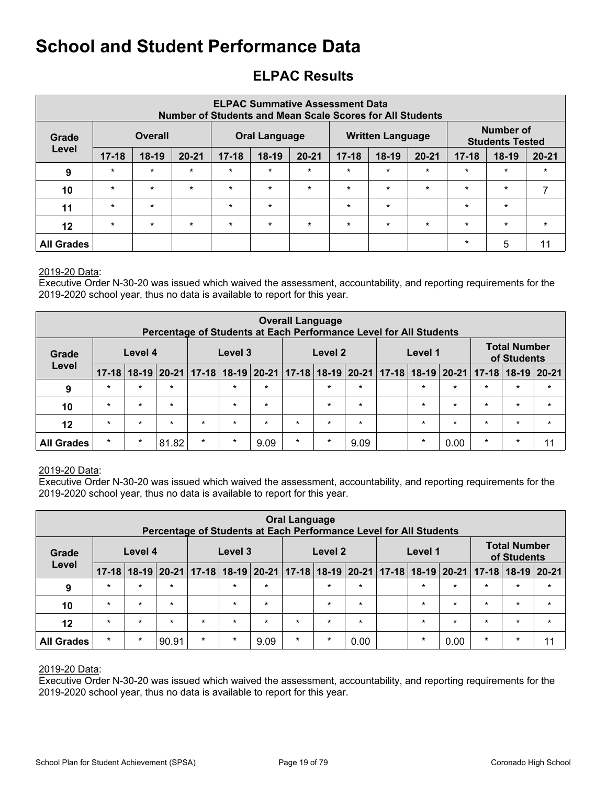## <span id="page-18-0"></span>**ELPAC Results**

|                   | <b>ELPAC Summative Assessment Data</b><br><b>Number of Students and Mean Scale Scores for All Students</b> |                |           |           |                      |           |           |                         |           |           |                                            |           |  |  |
|-------------------|------------------------------------------------------------------------------------------------------------|----------------|-----------|-----------|----------------------|-----------|-----------|-------------------------|-----------|-----------|--------------------------------------------|-----------|--|--|
| Grade             |                                                                                                            | <b>Overall</b> |           |           | <b>Oral Language</b> |           |           | <b>Written Language</b> |           |           | <b>Number of</b><br><b>Students Tested</b> |           |  |  |
| Level             | $17 - 18$                                                                                                  | $18-19$        | $20 - 21$ | $17 - 18$ | $18-19$              | $20 - 21$ | $17 - 18$ | $18-19$                 | $20 - 21$ | $17 - 18$ | $18-19$                                    | $20 - 21$ |  |  |
| 9                 | $\star$                                                                                                    | $\star$        | $\star$   | $\star$   | $\star$              | $\ast$    | $\star$   | $\ast$                  | $\star$   | $\star$   | $\star$                                    | $\star$   |  |  |
| 10                | $\star$                                                                                                    | $\star$        | $\star$   | $\star$   | $\star$              | $\star$   | $\star$   | $\star$                 | $\star$   | $\star$   | $\star$                                    |           |  |  |
| 11                | $\star$                                                                                                    | $\star$        |           | $\star$   | $\star$              |           | $\ast$    | $\star$                 |           | $\star$   | $\star$                                    |           |  |  |
| 12                | $\star$                                                                                                    | $\star$        | $\star$   | $\star$   | $\star$              | $\star$   | $\star$   | $\star$                 | $\star$   | $\star$   | $\star$                                    | $\star$   |  |  |
| <b>All Grades</b> |                                                                                                            |                |           |           |                      |           |           |                         |           | $\star$   | 5                                          | 11        |  |  |

#### 2019-20 Data:

Executive Order N-30-20 was issued which waived the assessment, accountability, and reporting requirements for the 2019-2020 school year, thus no data is available to report for this year.

|                   | <b>Overall Language</b><br>Percentage of Students at Each Performance Level for All Students |         |                                                 |         |         |         |         |         |         |  |         |         |                                 |                                    |           |
|-------------------|----------------------------------------------------------------------------------------------|---------|-------------------------------------------------|---------|---------|---------|---------|---------|---------|--|---------|---------|---------------------------------|------------------------------------|-----------|
| Grade             |                                                                                              | Level 4 |                                                 |         | Level 3 |         |         | Level 2 |         |  | Level 1 |         |                                 | <b>Total Number</b><br>of Students |           |
| Level             | $17 - 18$                                                                                    |         | 18-19 20-21 17-18 18-19 20-21 17-18 18-19 20-21 |         |         |         |         |         |         |  |         |         | $17-18$   18-19   20-21   17-18 | $18-19$                            | $ 20-21 $ |
| 9                 | $\star$                                                                                      | $\star$ | $\star$                                         |         | $\star$ | $\star$ |         | $\star$ | $\star$ |  | $\star$ | $\star$ | $\star$                         | $\star$                            | $\star$   |
| 10                | $\star$                                                                                      | $\star$ | $\star$                                         |         | $\star$ | $\star$ |         | $\star$ | $\star$ |  | $\star$ | $\star$ | $\star$                         | $\star$                            | $\star$   |
| $12 \,$           | $\star$                                                                                      | $\star$ | $\star$                                         | $\star$ | $\star$ | $\star$ | $\star$ | $\star$ | $\star$ |  | $\star$ | $\star$ | $\star$                         | $\star$                            | $\star$   |
| <b>All Grades</b> | $\star$                                                                                      | $\ast$  | 81.82                                           | $\star$ | $\star$ | 9.09    | $\star$ | $\star$ | 9.09    |  | $\star$ | 0.00    | $\star$                         | $\star$                            | 11        |

#### 2019-20 Data:

Executive Order N-30-20 was issued which waived the assessment, accountability, and reporting requirements for the 2019-2020 school year, thus no data is available to report for this year.

|                   | <b>Oral Language</b><br>Percentage of Students at Each Performance Level for All Students |         |         |                                                                                             |         |         |         |         |         |  |         |         |         |                                    |               |
|-------------------|-------------------------------------------------------------------------------------------|---------|---------|---------------------------------------------------------------------------------------------|---------|---------|---------|---------|---------|--|---------|---------|---------|------------------------------------|---------------|
| Grade<br>Level    |                                                                                           | Level 4 |         |                                                                                             | Level 3 |         |         | Level 2 |         |  | Level 1 |         |         | <b>Total Number</b><br>of Students |               |
|                   | $17 - 18$                                                                                 |         |         | 18-19 20-21   17-18   18-19   20-21   17-18   18-19   20-21   17-18   18-19   20-21   17-18 |         |         |         |         |         |  |         |         |         |                                    | $18-19$ 20-21 |
| 9                 | $\star$                                                                                   | $\star$ | $\star$ |                                                                                             | $\star$ | $\star$ |         | $\star$ | $\star$ |  | $\star$ | $\star$ | $\star$ | $\star$                            | $\star$       |
| 10                | $\star$                                                                                   | $\star$ | $\star$ |                                                                                             | $\star$ | $\star$ |         | $\star$ | $\star$ |  | $\star$ | $\star$ | $\star$ | $\star$                            | $\star$       |
| 12                | $\star$                                                                                   | $\star$ | $\star$ | $\star$                                                                                     | $\star$ | $\star$ | $\star$ | $\star$ | $\star$ |  | $\star$ | $\star$ | $\star$ | $\star$                            | $\star$       |
| <b>All Grades</b> | $\star$                                                                                   | $\star$ | 90.91   | $\star$                                                                                     | $\star$ | 9.09    | $\star$ | $\star$ | 0.00    |  | $\star$ | 0.00    | $\star$ | $\star$                            | 11            |

#### 2019-20 Data:

Executive Order N-30-20 was issued which waived the assessment, accountability, and reporting requirements for the 2019-2020 school year, thus no data is available to report for this year.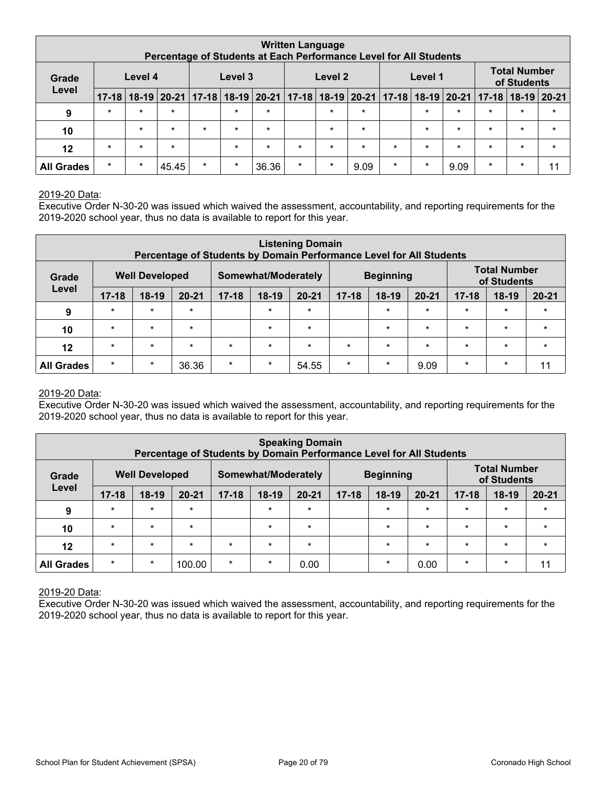|                   | <b>Written Language</b><br>Percentage of Students at Each Performance Level for All Students |           |         |               |         |                                         |         |         |         |                                        |         |         |         |                                    |         |
|-------------------|----------------------------------------------------------------------------------------------|-----------|---------|---------------|---------|-----------------------------------------|---------|---------|---------|----------------------------------------|---------|---------|---------|------------------------------------|---------|
| Grade<br>Level    |                                                                                              | Level 4   |         |               | Level 3 |                                         |         | Level 2 |         |                                        | Level 1 |         |         | <b>Total Number</b><br>of Students |         |
|                   | $17 - 18$                                                                                    | $18 - 19$ |         | 20-21   17-18 |         | $18-19$   20-21   17-18   18-19   20-21 |         |         |         | $ 17-18 18-19 20-21 17-18 18-19 20-21$ |         |         |         |                                    |         |
| 9                 | $\star$                                                                                      | $\star$   | $\star$ |               | $\star$ | $\star$                                 |         | $\star$ | $\star$ |                                        | $\star$ | $\star$ | $\star$ | $\star$                            | $\star$ |
| 10                |                                                                                              | $\star$   | $\star$ | $\star$       | $\star$ | $\star$                                 |         | $\star$ | $\star$ |                                        | $\star$ | $\star$ | $\star$ | $\star$                            | $\star$ |
| 12                | $\star$                                                                                      | $\star$   | $\star$ |               | $\star$ | $\star$                                 | $\star$ | $\star$ | $\star$ | $\star$                                | $\star$ | $\star$ | $\star$ | $\star$                            | $\star$ |
| <b>All Grades</b> | $\star$                                                                                      | $\star$   | 45.45   | $\star$       | $\star$ | 36.36                                   | $\star$ | $\star$ | 9.09    | $\star$                                | $\ast$  | 9.09    | $\star$ | $\ast$                             | 11      |

#### 2019-20 Data:

Executive Order N-30-20 was issued which waived the assessment, accountability, and reporting requirements for the 2019-2020 school year, thus no data is available to report for this year.

|                   | <b>Listening Domain</b><br>Percentage of Students by Domain Performance Level for All Students |                       |           |           |                     |           |           |                  |           |           |                                    |           |  |  |  |
|-------------------|------------------------------------------------------------------------------------------------|-----------------------|-----------|-----------|---------------------|-----------|-----------|------------------|-----------|-----------|------------------------------------|-----------|--|--|--|
| Grade             |                                                                                                | <b>Well Developed</b> |           |           | Somewhat/Moderately |           |           | <b>Beginning</b> |           |           | <b>Total Number</b><br>of Students |           |  |  |  |
| Level             | $17 - 18$                                                                                      | $18-19$               | $20 - 21$ | $17 - 18$ | $18-19$             | $20 - 21$ | $17 - 18$ | $18-19$          | $20 - 21$ | $17 - 18$ | $18-19$                            | $20 - 21$ |  |  |  |
| 9                 | $\star$                                                                                        | $\star$               | $\star$   |           | $\star$             | $\star$   |           | $\star$          | $\star$   | $\star$   | $\star$                            | $\star$   |  |  |  |
| 10                | $\star$                                                                                        | $\star$               | $\star$   |           | $\star$             | $\ast$    |           | $\star$          | $\star$   | $\star$   | $\star$                            | $\star$   |  |  |  |
| 12                | $\star$                                                                                        | $\star$               | $\star$   | $\star$   | $\star$             | $\star$   | $\star$   | $\star$          | $\star$   | $\star$   | $\star$                            | $\star$   |  |  |  |
| <b>All Grades</b> | $\star$                                                                                        | $\star$               | 36.36     | $\star$   | $\star$             | 54.55     | $\star$   | $\ast$           | 9.09      | $\star$   | $\star$                            | 11        |  |  |  |

#### 2019-20 Data:

Executive Order N-30-20 was issued which waived the assessment, accountability, and reporting requirements for the 2019-2020 school year, thus no data is available to report for this year.

|                   | <b>Speaking Domain</b><br>Percentage of Students by Domain Performance Level for All Students |                       |           |           |                     |           |           |                  |           |           |                                    |           |  |  |  |
|-------------------|-----------------------------------------------------------------------------------------------|-----------------------|-----------|-----------|---------------------|-----------|-----------|------------------|-----------|-----------|------------------------------------|-----------|--|--|--|
| Grade             |                                                                                               | <b>Well Developed</b> |           |           | Somewhat/Moderately |           |           | <b>Beginning</b> |           |           | <b>Total Number</b><br>of Students |           |  |  |  |
| Level             | $17 - 18$                                                                                     | $18-19$               | $20 - 21$ | $17 - 18$ | $18-19$             | $20 - 21$ | $17 - 18$ | $18-19$          | $20 - 21$ | $17 - 18$ | $18-19$                            | $20 - 21$ |  |  |  |
| 9                 | $\star$                                                                                       | $\star$               | $\star$   |           | $\star$             | $\star$   |           | $\star$          | $\star$   | $\star$   | $\star$                            | $\star$   |  |  |  |
| 10                | $\star$                                                                                       | $\star$               | $\star$   |           | $\star$             | $\star$   |           | $\star$          | $\star$   | $\star$   | $\star$                            | $\star$   |  |  |  |
| $12 \,$           | $\star$                                                                                       | $\star$               | $\star$   | $\star$   | $\star$             | $\star$   |           | $\star$          | $\star$   | $\star$   | $\star$                            | $\star$   |  |  |  |
| <b>All Grades</b> | $\star$                                                                                       | $\star$               | 100.00    | $\star$   | $\star$             | 0.00      |           | $\star$          | 0.00      | $\star$   | $\star$                            | 11        |  |  |  |

2019-20 Data:

Executive Order N-30-20 was issued which waived the assessment, accountability, and reporting requirements for the 2019-2020 school year, thus no data is available to report for this year.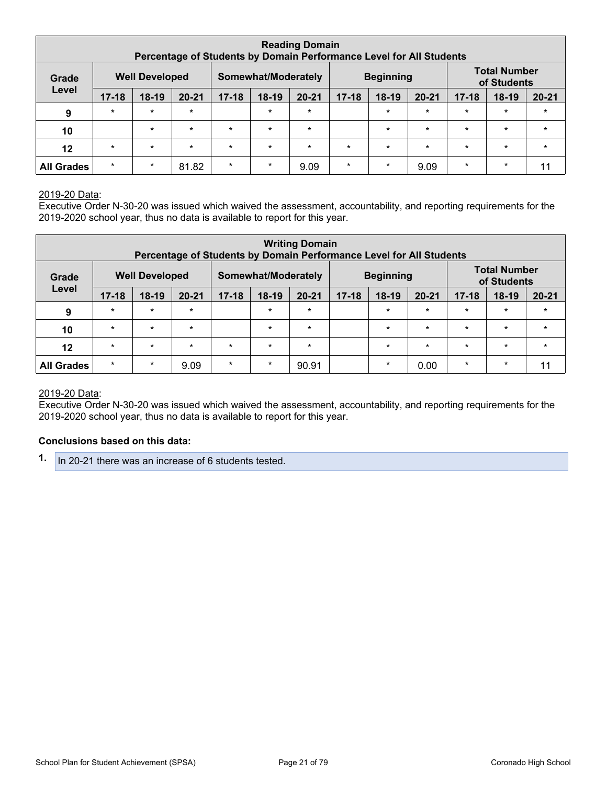|                   |                       |         | Percentage of Students by Domain Performance Level for All Students |           |                                                        | <b>Reading Domain</b> |           |         |           |           |         |           |
|-------------------|-----------------------|---------|---------------------------------------------------------------------|-----------|--------------------------------------------------------|-----------------------|-----------|---------|-----------|-----------|---------|-----------|
| Grade             | <b>Well Developed</b> |         | Somewhat/Moderately                                                 |           | <b>Total Number</b><br><b>Beginning</b><br>of Students |                       |           |         |           |           |         |           |
| Level             | $17 - 18$             | $18-19$ | $20 - 21$                                                           | $17 - 18$ | $18-19$                                                | $20 - 21$             | $17 - 18$ | $18-19$ | $20 - 21$ | $17 - 18$ | $18-19$ | $20 - 21$ |
| 9                 | $\star$               | $\star$ | $\star$                                                             |           | $\star$                                                | $\star$               |           | $\star$ | $\star$   | $\star$   | $\star$ | $\star$   |
| 10                |                       | $\star$ | $\star$                                                             | $\star$   | $\star$                                                | $\star$               |           | $\star$ | $\star$   | $\star$   | $\star$ | $\star$   |
| 12                | $\star$               | $\star$ | $\star$                                                             | $\star$   | $\star$                                                | $\star$               | $\star$   | $\star$ | $\star$   | $\star$   | $\star$ | $\star$   |
| <b>All Grades</b> | $\star$               | $\star$ | 81.82                                                               | $\star$   | $\star$                                                | 9.09                  | $\star$   | $\ast$  | 9.09      | $\star$   | $\star$ | 11        |

#### 2019-20 Data:

Executive Order N-30-20 was issued which waived the assessment, accountability, and reporting requirements for the 2019-2020 school year, thus no data is available to report for this year.

|                   |           |                       |           |           |                     | <b>Writing Domain</b><br>Percentage of Students by Domain Performance Level for All Students |           |                  |           |           |                                    |           |  |
|-------------------|-----------|-----------------------|-----------|-----------|---------------------|----------------------------------------------------------------------------------------------|-----------|------------------|-----------|-----------|------------------------------------|-----------|--|
| Grade             |           | <b>Well Developed</b> |           |           | Somewhat/Moderately |                                                                                              |           | <b>Beginning</b> |           |           | <b>Total Number</b><br>of Students |           |  |
| Level             | $17 - 18$ | $18-19$               | $20 - 21$ | $17 - 18$ | $18-19$             | $20 - 21$                                                                                    | $17 - 18$ | $18-19$          | $20 - 21$ | $17 - 18$ | $18-19$                            | $20 - 21$ |  |
| 9                 | $\star$   | $\star$               | $\star$   |           | $\star$             | $\star$                                                                                      |           | $\star$          | $\star$   | $\star$   | $\star$                            | $\star$   |  |
| 10                | $\star$   | $\star$               | $\star$   |           | $\star$             | $\star$                                                                                      |           | $\star$          | $\star$   | $\star$   | $\star$                            | $\star$   |  |
| 12                | $\star$   | $\star$               | $\star$   | $\star$   | $\star$             | $\star$                                                                                      |           | $\star$          | $\star$   | $\star$   | $\star$                            | $\star$   |  |
| <b>All Grades</b> | $\star$   | $\star$               | 9.09      | $\star$   | $\star$             | 90.91                                                                                        |           | $\star$          | 0.00      | $\star$   | $\star$                            |           |  |

#### 2019-20 Data:

Executive Order N-30-20 was issued which waived the assessment, accountability, and reporting requirements for the 2019-2020 school year, thus no data is available to report for this year.

#### **Conclusions based on this data:**

**1.** In 20-21 there was an increase of 6 students tested.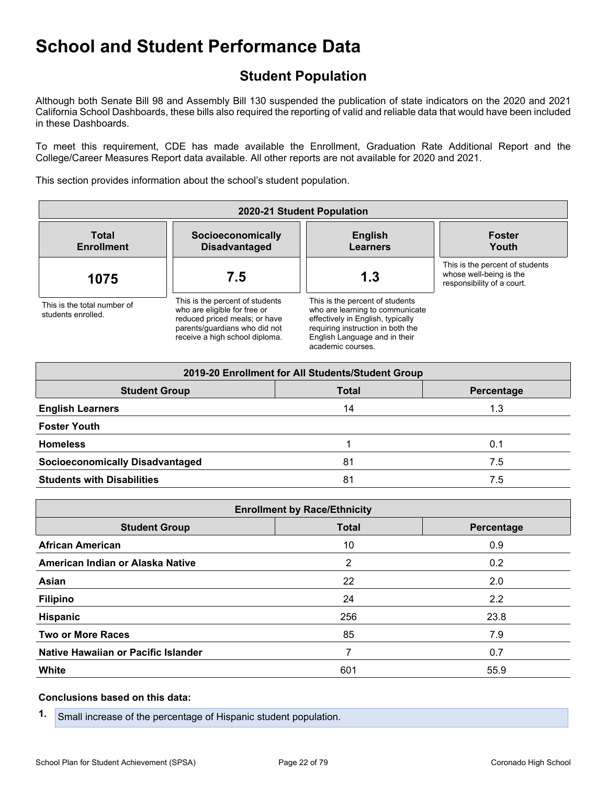## <span id="page-21-0"></span>**Student Population**

Although both Senate Bill 98 and Assembly Bill 130 suspended the publication of state indicators on the 2020 and 2021 California School Dashboards, these bills also required the reporting of valid and reliable data that would have been included in these Dashboards.

To meet this requirement, CDE has made available the Enrollment, Graduation Rate Additional Report and the College/Career Measures Report data available. All other reports are not available for 2020 and 2021.

This section provides information about the school's student population.

| 2020-21 Student Population                        |                                                                                                                                                                     |                                                                                                                                                                                                    |                                                                                          |  |
|---------------------------------------------------|---------------------------------------------------------------------------------------------------------------------------------------------------------------------|----------------------------------------------------------------------------------------------------------------------------------------------------------------------------------------------------|------------------------------------------------------------------------------------------|--|
| <b>Total</b><br><b>Enrollment</b>                 | Socioeconomically<br><b>Disadvantaged</b>                                                                                                                           | <b>English</b><br><b>Learners</b>                                                                                                                                                                  | <b>Foster</b><br>Youth                                                                   |  |
| 1075                                              | 7.5                                                                                                                                                                 | 1.3                                                                                                                                                                                                | This is the percent of students<br>whose well-being is the<br>responsibility of a court. |  |
| This is the total number of<br>students enrolled. | This is the percent of students<br>who are eligible for free or<br>reduced priced meals; or have<br>parents/quardians who did not<br>receive a high school diploma. | This is the percent of students<br>who are learning to communicate<br>effectively in English, typically<br>requiring instruction in both the<br>English Language and in their<br>academic courses. |                                                                                          |  |

|                                        | 2019-20 Enrollment for All Students/Student Group |            |  |
|----------------------------------------|---------------------------------------------------|------------|--|
| <b>Student Group</b>                   | <b>Total</b>                                      | Percentage |  |
| <b>English Learners</b>                | 14                                                | 1.3        |  |
| <b>Foster Youth</b>                    |                                                   |            |  |
| <b>Homeless</b>                        |                                                   | 0.1        |  |
| <b>Socioeconomically Disadvantaged</b> | 81                                                | 7.5        |  |
| <b>Students with Disabilities</b>      | 81                                                | 7.5        |  |

| <b>Enrollment by Race/Ethnicity</b> |              |            |  |
|-------------------------------------|--------------|------------|--|
| <b>Student Group</b>                | <b>Total</b> | Percentage |  |
| <b>African American</b>             | 10           | 0.9        |  |
| American Indian or Alaska Native    | 2            | 0.2        |  |
| Asian                               | 22           | 2.0        |  |
| <b>Filipino</b>                     | 24           | 2.2        |  |
| Hispanic                            | 256          | 23.8       |  |
| <b>Two or More Races</b>            | 85           | 7.9        |  |
| Native Hawaiian or Pacific Islander |              | 0.7        |  |
| <b>White</b>                        | 601          | 55.9       |  |

#### **Conclusions based on this data:**

**1.** Small increase of the percentage of Hispanic student population.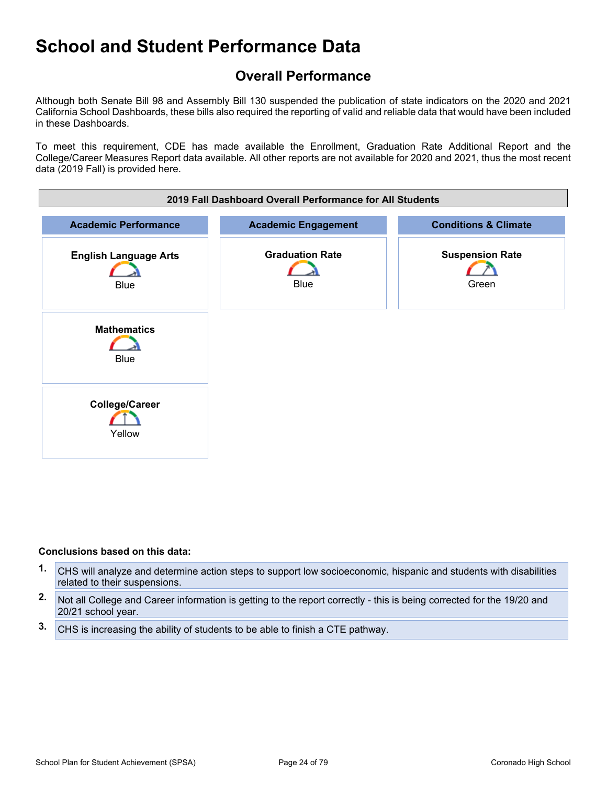### <span id="page-23-0"></span>**Overall Performance**

Although both Senate Bill 98 and Assembly Bill 130 suspended the publication of state indicators on the 2020 and 2021 California School Dashboards, these bills also required the reporting of valid and reliable data that would have been included in these Dashboards.

To meet this requirement, CDE has made available the Enrollment, Graduation Rate Additional Report and the College/Career Measures Report data available. All other reports are not available for 2020 and 2021, thus the most recent data (2019 Fall) is provided here.



#### **Conclusions based on this data:**

- **1.** CHS will analyze and determine action steps to support low socioeconomic, hispanic and students with disabilities related to their suspensions.
- **2.** Not all College and Career information is getting to the report correctly this is being corrected for the 19/20 and 20/21 school year.
- **3.** CHS is increasing the ability of students to be able to finish a CTE pathway.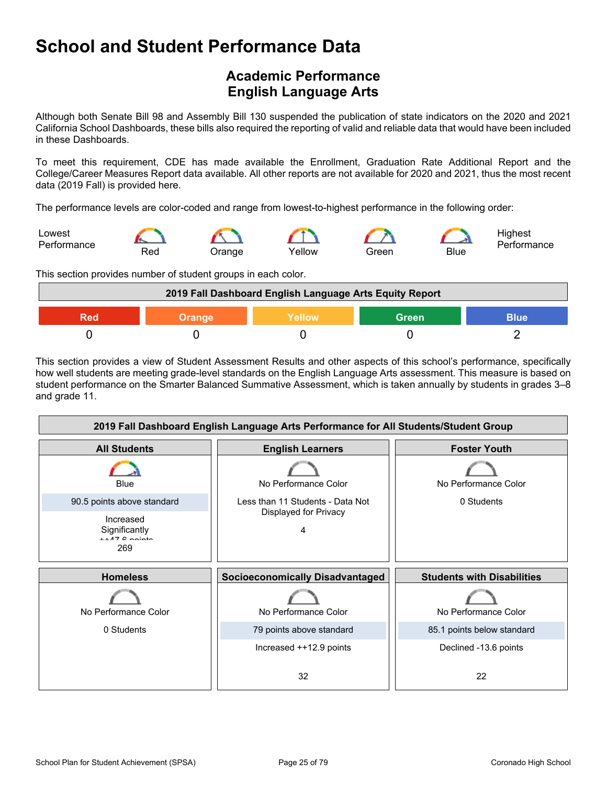## <span id="page-24-0"></span>**Academic Performance English Language Arts**

Although both Senate Bill 98 and Assembly Bill 130 suspended the publication of state indicators on the 2020 and 2021 California School Dashboards, these bills also required the reporting of valid and reliable data that would have been included in these Dashboards.

To meet this requirement, CDE has made available the Enrollment, Graduation Rate Additional Report and the College/Career Measures Report data available. All other reports are not available for 2020 and 2021, thus the most recent data (2019 Fall) is provided here.

The performance levels are color-coded and range from lowest-to-highest performance in the following order:



This section provides number of student groups in each color.

|        | 2019 Fall Dashboard English Language Arts Equity Report |       |             |
|--------|---------------------------------------------------------|-------|-------------|
| Orange | Yellow                                                  | Green | <b>Blue</b> |
|        |                                                         |       |             |

This section provides a view of Student Assessment Results and other aspects of this school's performance, specifically how well students are meeting grade-level standards on the English Language Arts assessment. This measure is based on student performance on the Smarter Balanced Summative Assessment, which is taken annually by students in grades 3–8 and grade 11.

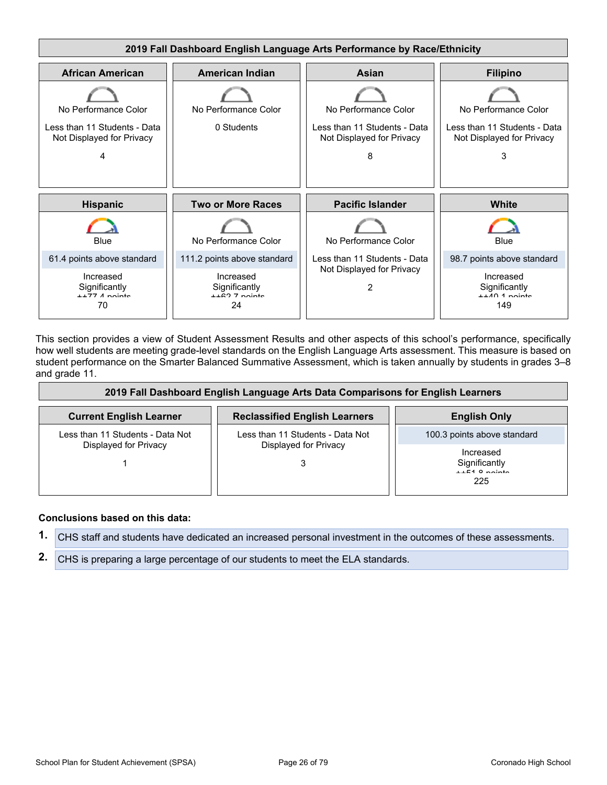

This section provides a view of Student Assessment Results and other aspects of this school's performance, specifically how well students are meeting grade-level standards on the English Language Arts assessment. This measure is based on student performance on the Smarter Balanced Summative Assessment, which is taken annually by students in grades 3–8 and grade 11.

| 2019 Fall Dashboard English Language Arts Data Comparisons for English Learners |                                      |                                                      |  |  |
|---------------------------------------------------------------------------------|--------------------------------------|------------------------------------------------------|--|--|
| <b>Current English Learner</b>                                                  | <b>Reclassified English Learners</b> | <b>English Only</b>                                  |  |  |
| Less than 11 Students - Data Not                                                | Less than 11 Students - Data Not     | 100.3 points above standard                          |  |  |
| Displayed for Privacy                                                           | Displayed for Privacy                | Increased<br>Significantly<br>$++51$ 8 nointe<br>225 |  |  |

#### **Conclusions based on this data:**

**1.** CHS staff and students have dedicated an increased personal investment in the outcomes of these assessments.

**2.** CHS is preparing a large percentage of our students to meet the ELA standards.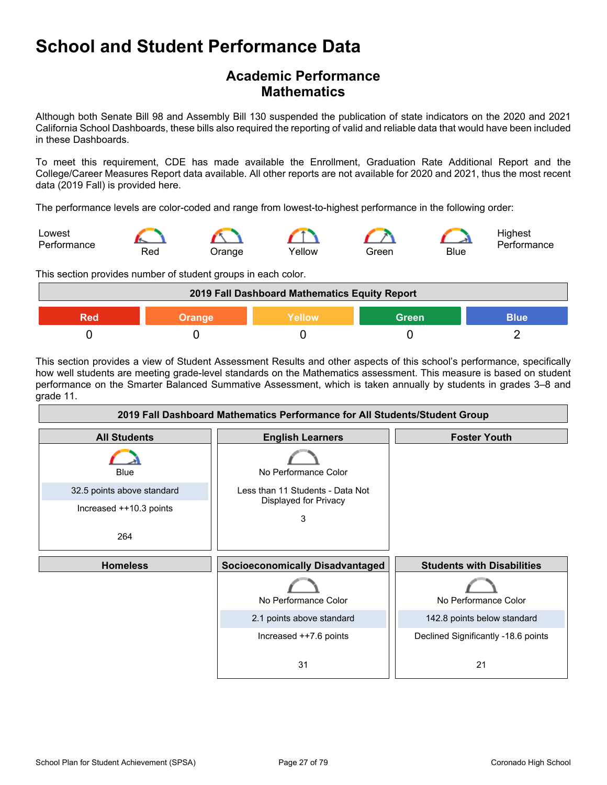### **Academic Performance Mathematics**

Although both Senate Bill 98 and Assembly Bill 130 suspended the publication of state indicators on the 2020 and 2021 California School Dashboards, these bills also required the reporting of valid and reliable data that would have been included in these Dashboards.

To meet this requirement, CDE has made available the Enrollment, Graduation Rate Additional Report and the College/Career Measures Report data available. All other reports are not available for 2020 and 2021, thus the most recent data (2019 Fall) is provided here.

The performance levels are color-coded and range from lowest-to-highest performance in the following order:



This section provides number of student groups in each color.

|        | 2019 Fall Dashboard Mathematics Equity Report |              |             |
|--------|-----------------------------------------------|--------------|-------------|
| Orange | Yellow                                        | <b>Green</b> | <b>Blue</b> |
|        |                                               |              |             |

This section provides a view of Student Assessment Results and other aspects of this school's performance, specifically how well students are meeting grade-level standards on the Mathematics assessment. This measure is based on student performance on the Smarter Balanced Summative Assessment, which is taken annually by students in grades 3–8 and grade 11.

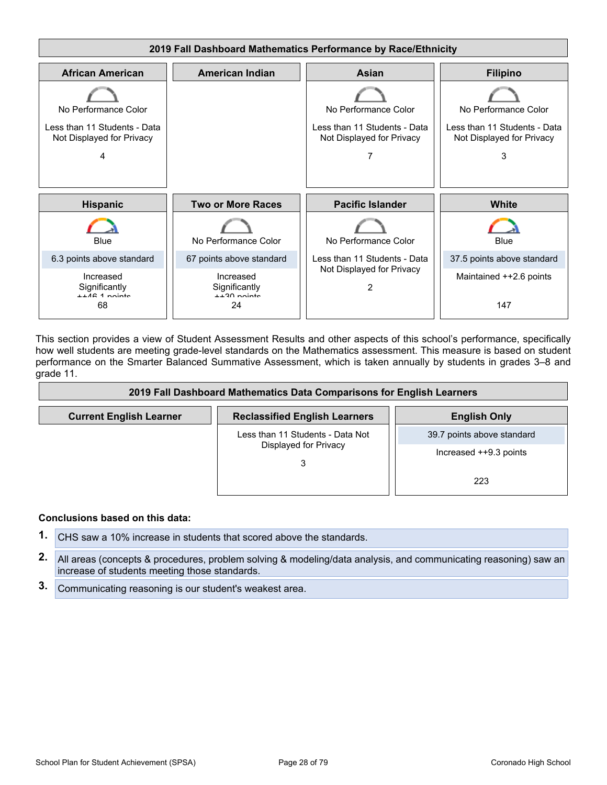

This section provides a view of Student Assessment Results and other aspects of this school's performance, specifically how well students are meeting grade-level standards on the Mathematics assessment. This measure is based on student performance on the Smarter Balanced Summative Assessment, which is taken annually by students in grades 3–8 and grade 11.

|                                | 2019 Fall Dashboard Mathematics Data Comparisons for English Learners |                            |  |  |  |
|--------------------------------|-----------------------------------------------------------------------|----------------------------|--|--|--|
| <b>Current English Learner</b> | <b>Reclassified English Learners</b>                                  | <b>English Only</b>        |  |  |  |
|                                | Less than 11 Students - Data Not                                      | 39.7 points above standard |  |  |  |
|                                | Displayed for Privacy                                                 | Increased ++9.3 points     |  |  |  |
|                                |                                                                       | 223                        |  |  |  |

#### **Conclusions based on this data:**

- **1.** CHS saw a 10% increase in students that scored above the standards.
- **2.** All areas (concepts & procedures, problem solving & modeling/data analysis, and communicating reasoning) saw an increase of students meeting those standards.
- **3.** Communicating reasoning is our student's weakest area.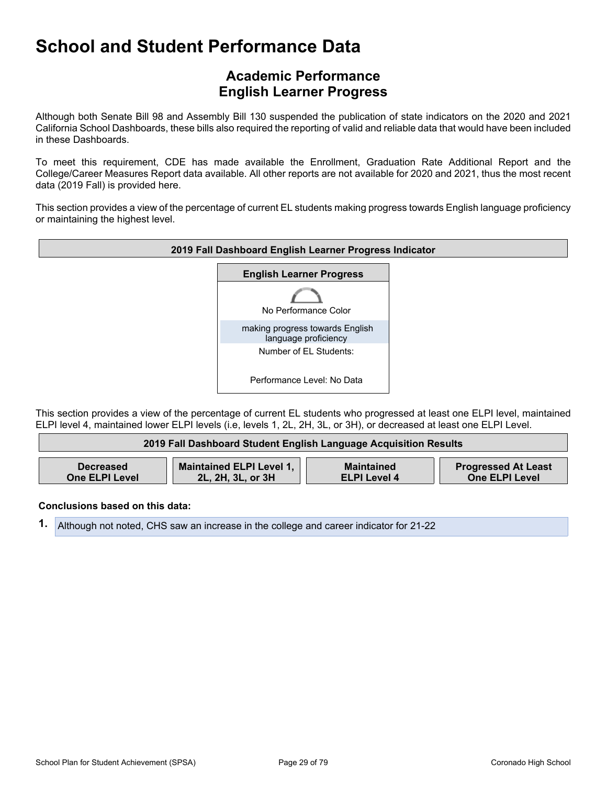### **Academic Performance English Learner Progress**

Although both Senate Bill 98 and Assembly Bill 130 suspended the publication of state indicators on the 2020 and 2021 California School Dashboards, these bills also required the reporting of valid and reliable data that would have been included in these Dashboards.

To meet this requirement, CDE has made available the Enrollment, Graduation Rate Additional Report and the College/Career Measures Report data available. All other reports are not available for 2020 and 2021, thus the most recent data (2019 Fall) is provided here.

This section provides a view of the percentage of current EL students making progress towards English language proficiency or maintaining the highest level.



This section provides a view of the percentage of current EL students who progressed at least one ELPI level, maintained ELPI level 4, maintained lower ELPI levels (i.e, levels 1, 2L, 2H, 3L, or 3H), or decreased at least one ELPI Level.

|                       | 2019 Fall Dashboard Student English Language Acquisition Results |                     |                            |
|-----------------------|------------------------------------------------------------------|---------------------|----------------------------|
| <b>Decreased</b>      | Maintained ELPI Level 1,                                         | <b>Maintained</b>   | <b>Progressed At Least</b> |
| <b>One ELPI Level</b> | 2L, 2H, 3L, or 3H                                                | <b>ELPI Level 4</b> | <b>One ELPI Level</b>      |

**Conclusions based on this data:**

**1.** Although not noted, CHS saw an increase in the college and career indicator for 21-22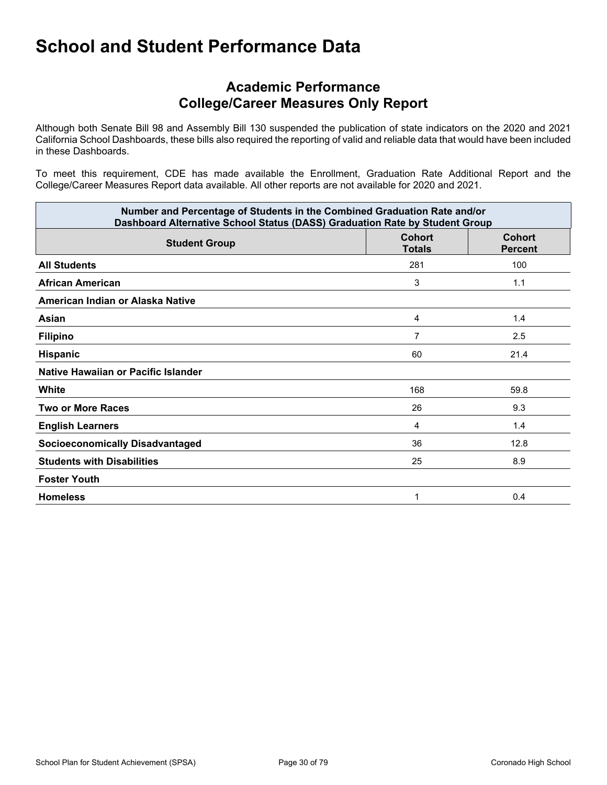### **Academic Performance College/Career Measures Only Report**

Although both Senate Bill 98 and Assembly Bill 130 suspended the publication of state indicators on the 2020 and 2021 California School Dashboards, these bills also required the reporting of valid and reliable data that would have been included in these Dashboards.

To meet this requirement, CDE has made available the Enrollment, Graduation Rate Additional Report and the College/Career Measures Report data available. All other reports are not available for 2020 and 2021.

| Number and Percentage of Students in the Combined Graduation Rate and/or<br>Dashboard Alternative School Status (DASS) Graduation Rate by Student Group |                                |                          |  |
|---------------------------------------------------------------------------------------------------------------------------------------------------------|--------------------------------|--------------------------|--|
| <b>Student Group</b>                                                                                                                                    | <b>Cohort</b><br><b>Totals</b> | Cohort<br><b>Percent</b> |  |
| <b>All Students</b>                                                                                                                                     | 281                            | 100                      |  |
| African American                                                                                                                                        | 3                              | 1.1                      |  |
| American Indian or Alaska Native                                                                                                                        |                                |                          |  |
| Asian                                                                                                                                                   | 4                              | 1.4                      |  |
| <b>Filipino</b>                                                                                                                                         | 7                              | 2.5                      |  |
| <b>Hispanic</b>                                                                                                                                         | 60                             | 21.4                     |  |
| Native Hawaiian or Pacific Islander                                                                                                                     |                                |                          |  |
| White                                                                                                                                                   | 168                            | 59.8                     |  |
| <b>Two or More Races</b>                                                                                                                                | 26                             | 9.3                      |  |
| <b>English Learners</b>                                                                                                                                 | 4                              | 1.4                      |  |
| <b>Socioeconomically Disadvantaged</b>                                                                                                                  | 36                             | 12.8                     |  |
| <b>Students with Disabilities</b>                                                                                                                       | 25                             | 8.9                      |  |
| <b>Foster Youth</b>                                                                                                                                     |                                |                          |  |
| <b>Homeless</b>                                                                                                                                         | 1                              | 0.4                      |  |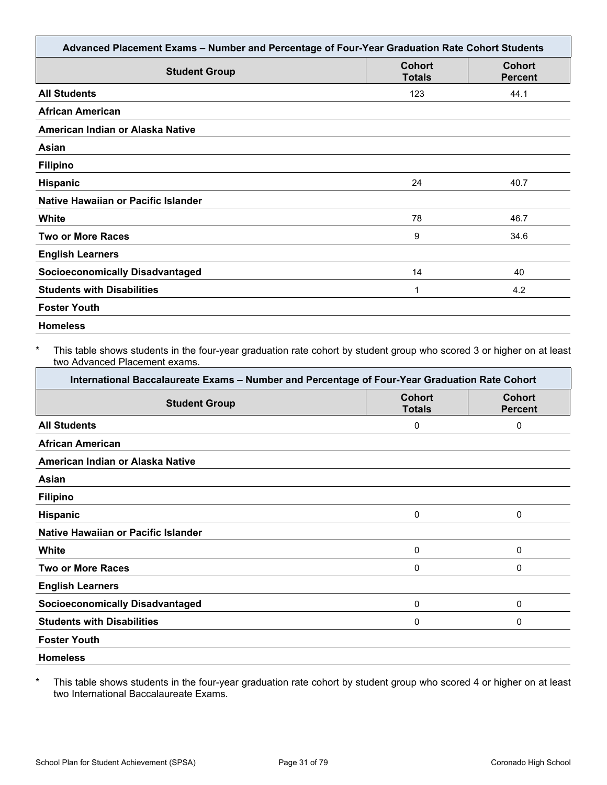| <b>Student Group</b>                   | <b>Cohort</b><br><b>Totals</b> | <b>Cohort</b><br><b>Percent</b> |
|----------------------------------------|--------------------------------|---------------------------------|
| <b>All Students</b>                    | 123                            | 44.1                            |
| <b>African American</b>                |                                |                                 |
| American Indian or Alaska Native       |                                |                                 |
| Asian                                  |                                |                                 |
| <b>Filipino</b>                        |                                |                                 |
| <b>Hispanic</b>                        | 24                             | 40.7                            |
| Native Hawaiian or Pacific Islander    |                                |                                 |
| White                                  | 78                             | 46.7                            |
| <b>Two or More Races</b>               | 9                              | 34.6                            |
| <b>English Learners</b>                |                                |                                 |
| <b>Socioeconomically Disadvantaged</b> | 14                             | 40                              |
| <b>Students with Disabilities</b>      | 1                              | 4.2                             |
| <b>Foster Youth</b>                    |                                |                                 |

This table shows students in the four-year graduation rate cohort by student group who scored 3 or higher on at least two Advanced Placement exams.

| International Baccalaureate Exams - Number and Percentage of Four-Year Graduation Rate Cohort |                                |                                 |  |  |
|-----------------------------------------------------------------------------------------------|--------------------------------|---------------------------------|--|--|
| <b>Student Group</b>                                                                          | <b>Cohort</b><br><b>Totals</b> | <b>Cohort</b><br><b>Percent</b> |  |  |
| <b>All Students</b>                                                                           | 0                              | 0                               |  |  |
| <b>African American</b>                                                                       |                                |                                 |  |  |
| American Indian or Alaska Native                                                              |                                |                                 |  |  |
| Asian                                                                                         |                                |                                 |  |  |
| <b>Filipino</b>                                                                               |                                |                                 |  |  |
| Hispanic                                                                                      | 0                              | 0                               |  |  |
| Native Hawaiian or Pacific Islander                                                           |                                |                                 |  |  |
| White                                                                                         | 0                              | 0                               |  |  |
| <b>Two or More Races</b>                                                                      | 0                              | 0                               |  |  |
| <b>English Learners</b>                                                                       |                                |                                 |  |  |
| <b>Socioeconomically Disadvantaged</b>                                                        | 0                              | 0                               |  |  |
| <b>Students with Disabilities</b>                                                             | 0                              | 0                               |  |  |
| <b>Foster Youth</b>                                                                           |                                |                                 |  |  |
| <b>Homeless</b>                                                                               |                                |                                 |  |  |

\* This table shows students in the four-year graduation rate cohort by student group who scored 4 or higher on at least two International Baccalaureate Exams.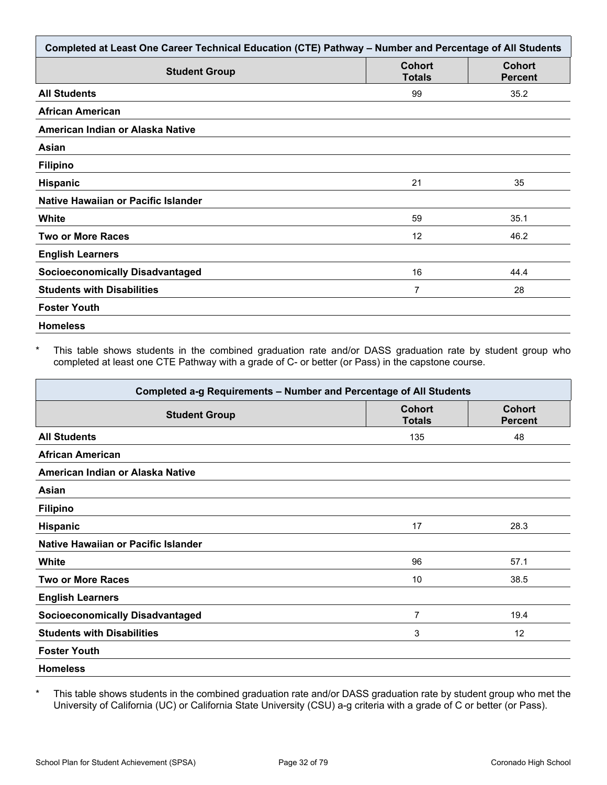| Completed at Least One Career Technical Education (CTE) Pathway - Number and Percentage of All Students |                                |                                 |  |  |
|---------------------------------------------------------------------------------------------------------|--------------------------------|---------------------------------|--|--|
| <b>Student Group</b>                                                                                    | <b>Cohort</b><br><b>Totals</b> | <b>Cohort</b><br><b>Percent</b> |  |  |
| <b>All Students</b>                                                                                     | 99                             | 35.2                            |  |  |
| <b>African American</b>                                                                                 |                                |                                 |  |  |
| American Indian or Alaska Native                                                                        |                                |                                 |  |  |
| Asian                                                                                                   |                                |                                 |  |  |
| <b>Filipino</b>                                                                                         |                                |                                 |  |  |
| <b>Hispanic</b>                                                                                         | 21                             | 35                              |  |  |
| Native Hawaiian or Pacific Islander                                                                     |                                |                                 |  |  |
| White                                                                                                   | 59                             | 35.1                            |  |  |
| <b>Two or More Races</b>                                                                                | 12                             | 46.2                            |  |  |
| <b>English Learners</b>                                                                                 |                                |                                 |  |  |
| <b>Socioeconomically Disadvantaged</b>                                                                  | 16                             | 44.4                            |  |  |
| <b>Students with Disabilities</b>                                                                       | 7                              | 28                              |  |  |
| <b>Foster Youth</b>                                                                                     |                                |                                 |  |  |
| <b>Homeless</b>                                                                                         |                                |                                 |  |  |

This table shows students in the combined graduation rate and/or DASS graduation rate by student group who completed at least one CTE Pathway with a grade of C- or better (or Pass) in the capstone course.

| Completed a-g Requirements - Number and Percentage of All Students |                                |                                 |  |  |
|--------------------------------------------------------------------|--------------------------------|---------------------------------|--|--|
| <b>Student Group</b>                                               | <b>Cohort</b><br><b>Totals</b> | <b>Cohort</b><br><b>Percent</b> |  |  |
| <b>All Students</b>                                                | 135                            | 48                              |  |  |
| <b>African American</b>                                            |                                |                                 |  |  |
| American Indian or Alaska Native                                   |                                |                                 |  |  |
| Asian                                                              |                                |                                 |  |  |
| <b>Filipino</b>                                                    |                                |                                 |  |  |
| Hispanic                                                           | 17                             | 28.3                            |  |  |
| Native Hawaiian or Pacific Islander                                |                                |                                 |  |  |
| White                                                              | 96                             | 57.1                            |  |  |
| <b>Two or More Races</b>                                           | 10                             | 38.5                            |  |  |
| <b>English Learners</b>                                            |                                |                                 |  |  |
| <b>Socioeconomically Disadvantaged</b>                             | 7                              | 19.4                            |  |  |
| <b>Students with Disabilities</b>                                  | 3                              | 12                              |  |  |
| <b>Foster Youth</b>                                                |                                |                                 |  |  |
| <b>Homeless</b>                                                    |                                |                                 |  |  |

\* This table shows students in the combined graduation rate and/or DASS graduation rate by student group who met the University of California (UC) or California State University (CSU) a-g criteria with a grade of C or better (or Pass).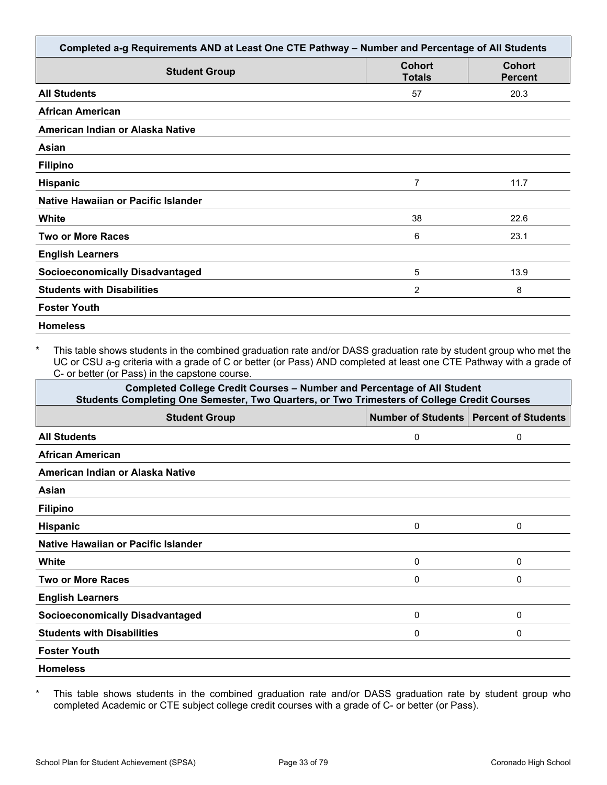| Completed a-g Requirements AND at Least One CTE Pathway - Number and Percentage of All Students |                                |                                 |  |  |
|-------------------------------------------------------------------------------------------------|--------------------------------|---------------------------------|--|--|
| <b>Student Group</b>                                                                            | <b>Cohort</b><br><b>Totals</b> | <b>Cohort</b><br><b>Percent</b> |  |  |
| <b>All Students</b>                                                                             | 57                             | 20.3                            |  |  |
| <b>African American</b>                                                                         |                                |                                 |  |  |
| American Indian or Alaska Native                                                                |                                |                                 |  |  |
| Asian                                                                                           |                                |                                 |  |  |
| <b>Filipino</b>                                                                                 |                                |                                 |  |  |
| <b>Hispanic</b>                                                                                 | 7                              | 11.7                            |  |  |
| Native Hawaiian or Pacific Islander                                                             |                                |                                 |  |  |
| <b>White</b>                                                                                    | 38                             | 22.6                            |  |  |
| <b>Two or More Races</b>                                                                        | 6                              | 23.1                            |  |  |
| <b>English Learners</b>                                                                         |                                |                                 |  |  |
| <b>Socioeconomically Disadvantaged</b>                                                          | 5                              | 13.9                            |  |  |
| <b>Students with Disabilities</b>                                                               | 2                              | 8                               |  |  |
| <b>Foster Youth</b>                                                                             |                                |                                 |  |  |
| <b>Homeless</b>                                                                                 |                                |                                 |  |  |

This table shows students in the combined graduation rate and/or DASS graduation rate by student group who met the UC or CSU a-g criteria with a grade of C or better (or Pass) AND completed at least one CTE Pathway with a grade of C- or better (or Pass) in the capstone course.

| <b>Completed College Credit Courses - Number and Percentage of All Student</b><br>Students Completing One Semester, Two Quarters, or Two Trimesters of College Credit Courses |   |          |  |  |  |  |
|-------------------------------------------------------------------------------------------------------------------------------------------------------------------------------|---|----------|--|--|--|--|
| Number of Students   Percent of Students<br><b>Student Group</b>                                                                                                              |   |          |  |  |  |  |
| <b>All Students</b>                                                                                                                                                           | 0 | 0        |  |  |  |  |
| <b>African American</b>                                                                                                                                                       |   |          |  |  |  |  |
| American Indian or Alaska Native                                                                                                                                              |   |          |  |  |  |  |
| Asian                                                                                                                                                                         |   |          |  |  |  |  |
| <b>Filipino</b>                                                                                                                                                               |   |          |  |  |  |  |
| <b>Hispanic</b>                                                                                                                                                               | 0 | 0        |  |  |  |  |
| Native Hawaiian or Pacific Islander                                                                                                                                           |   |          |  |  |  |  |
| White                                                                                                                                                                         | 0 | 0        |  |  |  |  |
| <b>Two or More Races</b>                                                                                                                                                      | 0 | 0        |  |  |  |  |
| <b>English Learners</b>                                                                                                                                                       |   |          |  |  |  |  |
| <b>Socioeconomically Disadvantaged</b>                                                                                                                                        | 0 | $\Omega$ |  |  |  |  |
| <b>Students with Disabilities</b>                                                                                                                                             | 0 | 0        |  |  |  |  |
| <b>Foster Youth</b>                                                                                                                                                           |   |          |  |  |  |  |
| <b>Homeless</b>                                                                                                                                                               |   |          |  |  |  |  |

\* This table shows students in the combined graduation rate and/or DASS graduation rate by student group who completed Academic or CTE subject college credit courses with a grade of C- or better (or Pass).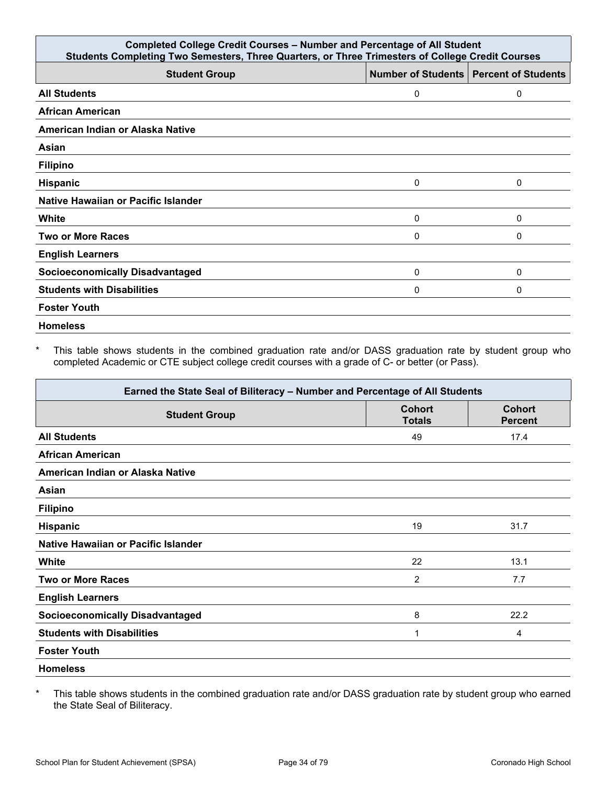| <b>Completed College Credit Courses - Number and Percentage of All Student</b><br>Students Completing Two Semesters, Three Quarters, or Three Trimesters of College Credit Courses |   |                                          |  |  |
|------------------------------------------------------------------------------------------------------------------------------------------------------------------------------------|---|------------------------------------------|--|--|
| <b>Student Group</b>                                                                                                                                                               |   | Number of Students   Percent of Students |  |  |
| <b>All Students</b>                                                                                                                                                                | 0 | 0                                        |  |  |
| <b>African American</b>                                                                                                                                                            |   |                                          |  |  |
| American Indian or Alaska Native                                                                                                                                                   |   |                                          |  |  |
| Asian                                                                                                                                                                              |   |                                          |  |  |
| <b>Filipino</b>                                                                                                                                                                    |   |                                          |  |  |
| <b>Hispanic</b>                                                                                                                                                                    | 0 | 0                                        |  |  |
| Native Hawaiian or Pacific Islander                                                                                                                                                |   |                                          |  |  |
| White                                                                                                                                                                              | 0 | $\Omega$                                 |  |  |
| <b>Two or More Races</b>                                                                                                                                                           | 0 | 0                                        |  |  |
| <b>English Learners</b>                                                                                                                                                            |   |                                          |  |  |
| <b>Socioeconomically Disadvantaged</b>                                                                                                                                             | 0 | 0                                        |  |  |
| <b>Students with Disabilities</b>                                                                                                                                                  | 0 | 0                                        |  |  |
| <b>Foster Youth</b>                                                                                                                                                                |   |                                          |  |  |
| <b>Homeless</b>                                                                                                                                                                    |   |                                          |  |  |

\* This table shows students in the combined graduation rate and/or DASS graduation rate by student group who completed Academic or CTE subject college credit courses with a grade of C- or better (or Pass).

| Earned the State Seal of Biliteracy - Number and Percentage of All Students |                                |                                 |  |  |  |
|-----------------------------------------------------------------------------|--------------------------------|---------------------------------|--|--|--|
| <b>Student Group</b>                                                        | <b>Cohort</b><br><b>Totals</b> | <b>Cohort</b><br><b>Percent</b> |  |  |  |
| <b>All Students</b>                                                         | 49                             | 17.4                            |  |  |  |
| <b>African American</b>                                                     |                                |                                 |  |  |  |
| American Indian or Alaska Native                                            |                                |                                 |  |  |  |
| Asian                                                                       |                                |                                 |  |  |  |
| <b>Filipino</b>                                                             |                                |                                 |  |  |  |
| <b>Hispanic</b>                                                             | 19                             | 31.7                            |  |  |  |
| Native Hawaiian or Pacific Islander                                         |                                |                                 |  |  |  |
| White                                                                       | 22                             | 13.1                            |  |  |  |
| <b>Two or More Races</b>                                                    | $\overline{2}$                 | 7.7                             |  |  |  |
| <b>English Learners</b>                                                     |                                |                                 |  |  |  |
| <b>Socioeconomically Disadvantaged</b>                                      | 8                              | 22.2                            |  |  |  |
| <b>Students with Disabilities</b>                                           | 1                              | 4                               |  |  |  |
| <b>Foster Youth</b>                                                         |                                |                                 |  |  |  |
| <b>Homeless</b>                                                             |                                |                                 |  |  |  |

\* This table shows students in the combined graduation rate and/or DASS graduation rate by student group who earned the State Seal of Biliteracy.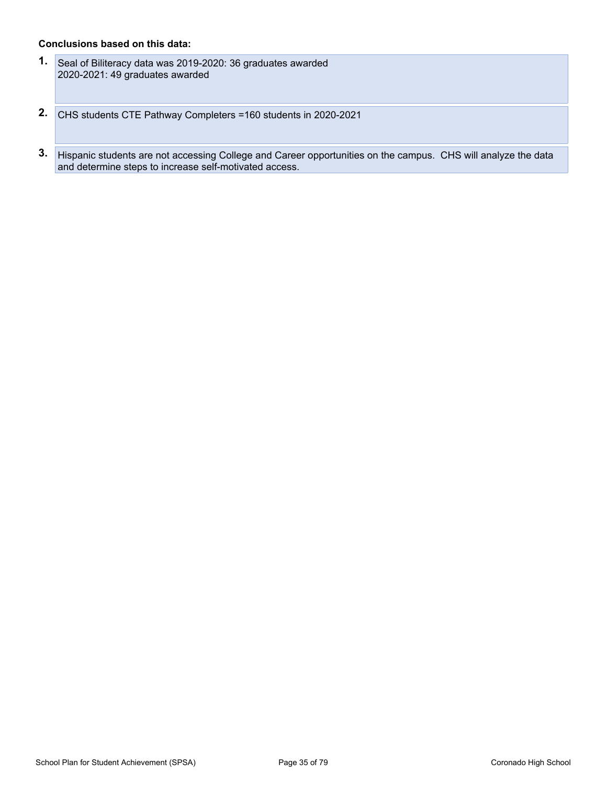#### **Conclusions based on this data:**

- **1.** Seal of Biliteracy data was 2019-2020: 36 graduates awarded 2020-2021: 49 graduates awarded
- **2.** CHS students CTE Pathway Completers =160 students in 2020-2021
- **3.** Hispanic students are not accessing College and Career opportunities on the campus. CHS will analyze the data and determine steps to increase self-motivated access.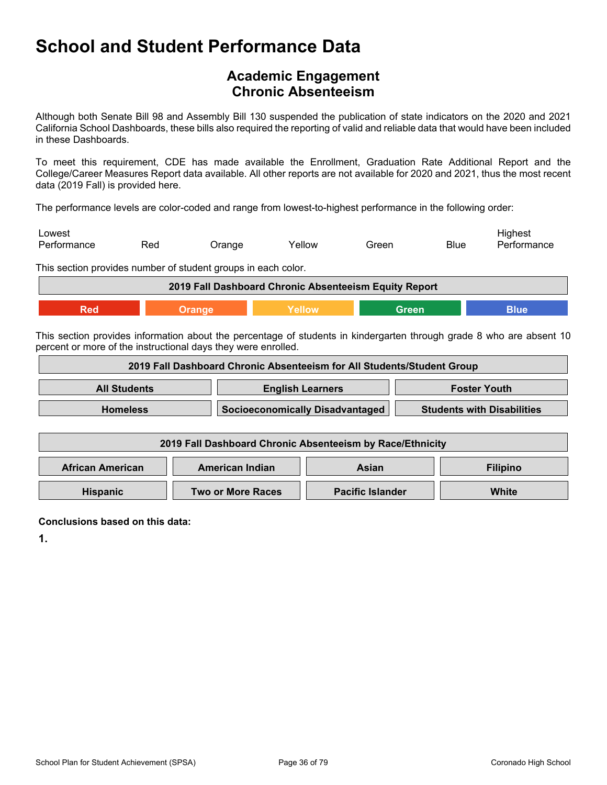### <span id="page-35-0"></span>**Academic Engagement Chronic Absenteeism**

Although both Senate Bill 98 and Assembly Bill 130 suspended the publication of state indicators on the 2020 and 2021 California School Dashboards, these bills also required the reporting of valid and reliable data that would have been included in these Dashboards.

To meet this requirement, CDE has made available the Enrollment, Graduation Rate Additional Report and the College/Career Measures Report data available. All other reports are not available for 2020 and 2021, thus the most recent data (2019 Fall) is provided here.

The performance levels are color-coded and range from lowest-to-highest performance in the following order:

| Lowest      |     |        |        |       |             | Highest     |
|-------------|-----|--------|--------|-------|-------------|-------------|
| Performance | Red | Orange | Yellow | Green | <b>Blue</b> | Performance |

This section provides number of student groups in each color.

| 2019 Fall Dashboard Chronic Absenteeism Equity Report |  |  |  |  |
|-------------------------------------------------------|--|--|--|--|
|                                                       |  |  |  |  |

This section provides information about the percentage of students in kindergarten through grade 8 who are absent 10 percent or more of the instructional days they were enrolled.

| 2019 Fall Dashboard Chronic Absenteeism for All Students/Student Group |  |                                        |                         |  |                                   |
|------------------------------------------------------------------------|--|----------------------------------------|-------------------------|--|-----------------------------------|
| <b>All Students</b>                                                    |  | <b>English Learners</b>                |                         |  | <b>Foster Youth</b>               |
| <b>Homeless</b>                                                        |  | <b>Socioeconomically Disadvantaged</b> |                         |  | <b>Students with Disabilities</b> |
|                                                                        |  |                                        |                         |  |                                   |
| 2019 Fall Dashboard Chronic Absenteeism by Race/Ethnicity              |  |                                        |                         |  |                                   |
| <b>African American</b>                                                |  | American Indian<br><b>Asian</b>        |                         |  | <b>Filipino</b>                   |
| <b>Hispanic</b>                                                        |  | <b>Two or More Races</b>               | <b>Pacific Islander</b> |  | White                             |

**Conclusions based on this data:**

**1.**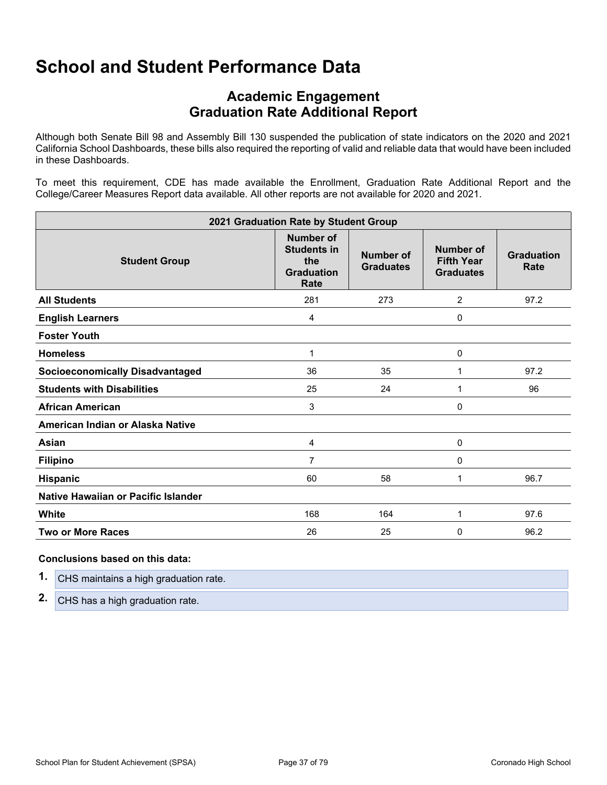## **School and Student Performance Data**

## **Academic Engagement Graduation Rate Additional Report**

Although both Senate Bill 98 and Assembly Bill 130 suspended the publication of state indicators on the 2020 and 2021 California School Dashboards, these bills also required the reporting of valid and reliable data that would have been included in these Dashboards.

To meet this requirement, CDE has made available the Enrollment, Graduation Rate Additional Report and the College/Career Measures Report data available. All other reports are not available for 2020 and 2021.

| 2021 Graduation Rate by Student Group  |                                                                            |                                      |                                                    |                           |
|----------------------------------------|----------------------------------------------------------------------------|--------------------------------------|----------------------------------------------------|---------------------------|
| <b>Student Group</b>                   | <b>Number of</b><br><b>Students in</b><br>the<br><b>Graduation</b><br>Rate | <b>Number of</b><br><b>Graduates</b> | Number of<br><b>Fifth Year</b><br><b>Graduates</b> | <b>Graduation</b><br>Rate |
| <b>All Students</b>                    | 281                                                                        | 273                                  | 2                                                  | 97.2                      |
| <b>English Learners</b>                | 4                                                                          |                                      | 0                                                  |                           |
| <b>Foster Youth</b>                    |                                                                            |                                      |                                                    |                           |
| <b>Homeless</b>                        | 1                                                                          |                                      | 0                                                  |                           |
| <b>Socioeconomically Disadvantaged</b> | 36                                                                         | 35                                   | 1                                                  | 97.2                      |
| <b>Students with Disabilities</b>      | 25                                                                         | 24                                   | 1                                                  | 96                        |
| <b>African American</b>                | 3                                                                          |                                      | 0                                                  |                           |
| American Indian or Alaska Native       |                                                                            |                                      |                                                    |                           |
| Asian                                  | 4                                                                          |                                      | 0                                                  |                           |
| <b>Filipino</b>                        | 7                                                                          |                                      | 0                                                  |                           |
| Hispanic                               | 60                                                                         | 58                                   | 1                                                  | 96.7                      |
| Native Hawaiian or Pacific Islander    |                                                                            |                                      |                                                    |                           |
| White                                  | 168                                                                        | 164                                  | 1                                                  | 97.6                      |
| <b>Two or More Races</b>               | 26                                                                         | 25                                   | 0                                                  | 96.2                      |

#### **Conclusions based on this data:**

| 1. | CHS maintains a high graduation rate. |
|----|---------------------------------------|
|    | 2. CHS has a high graduation rate.    |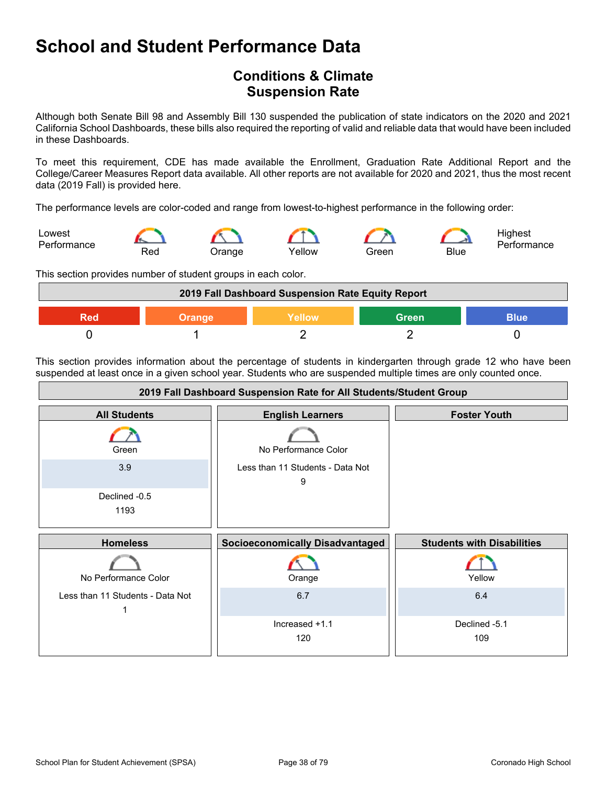## **School and Student Performance Data**

## **Conditions & Climate Suspension Rate**

Although both Senate Bill 98 and Assembly Bill 130 suspended the publication of state indicators on the 2020 and 2021 California School Dashboards, these bills also required the reporting of valid and reliable data that would have been included in these Dashboards.

To meet this requirement, CDE has made available the Enrollment, Graduation Rate Additional Report and the College/Career Measures Report data available. All other reports are not available for 2020 and 2021, thus the most recent data (2019 Fall) is provided here.

The performance levels are color-coded and range from lowest-to-highest performance in the following order:



This section provides number of student groups in each color.



This section provides information about the percentage of students in kindergarten through grade 12 who have been suspended at least once in a given school year. Students who are suspended multiple times are only counted once.

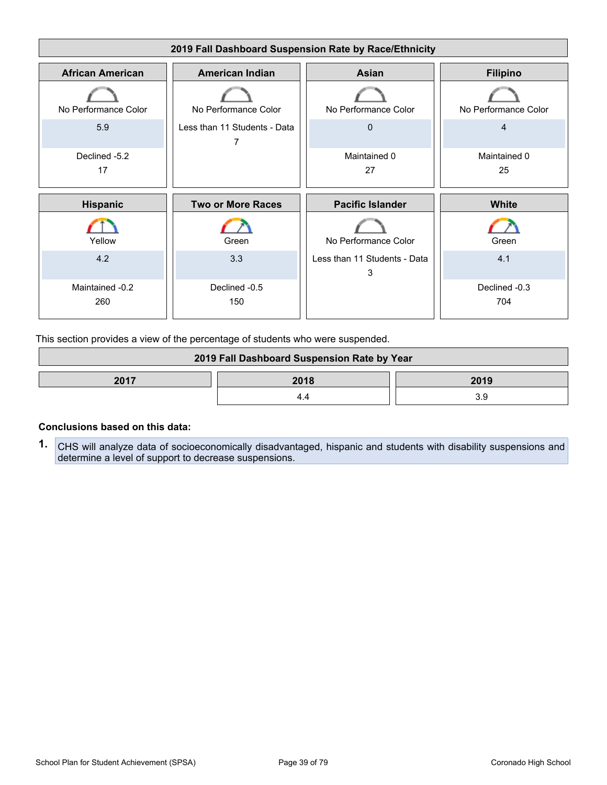

This section provides a view of the percentage of students who were suspended.

| 2019 Fall Dashboard Suspension Rate by Year |  |  |
|---------------------------------------------|--|--|
| 2017<br>2018<br>2019                        |  |  |
|                                             |  |  |

#### **Conclusions based on this data:**

**1.** CHS will analyze data of socioeconomically disadvantaged, hispanic and students with disability suspensions and determine a level of support to decrease suspensions.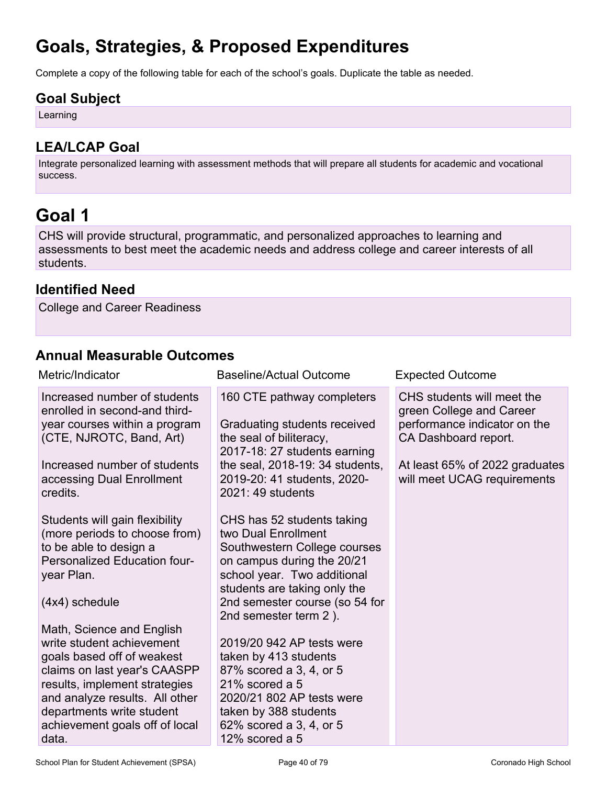## **Goals, Strategies, & Proposed Expenditures**

Complete a copy of the following table for each of the school's goals. Duplicate the table as needed.

### **Goal Subject**

Learning

## **LEA/LCAP Goal**

Integrate personalized learning with assessment methods that will prepare all students for academic and vocational success.

## **Goal 1**

CHS will provide structural, programmatic, and personalized approaches to learning and assessments to best meet the academic needs and address college and career interests of all students.

### **Identified Need**

College and Career Readiness

## **Annual Measurable Outcomes**

| Metric/Indicator                                                                                                                                                                                                                                                                                                                                                                                                                                                                                                                                                                                                                    | <b>Baseline/Actual Outcome</b>                                                                                                                                                                                                                                                                                                                                                                                                                                                                                                                                                                                                                                     | <b>Expected Outcome</b>                                                                                                                                                         |
|-------------------------------------------------------------------------------------------------------------------------------------------------------------------------------------------------------------------------------------------------------------------------------------------------------------------------------------------------------------------------------------------------------------------------------------------------------------------------------------------------------------------------------------------------------------------------------------------------------------------------------------|--------------------------------------------------------------------------------------------------------------------------------------------------------------------------------------------------------------------------------------------------------------------------------------------------------------------------------------------------------------------------------------------------------------------------------------------------------------------------------------------------------------------------------------------------------------------------------------------------------------------------------------------------------------------|---------------------------------------------------------------------------------------------------------------------------------------------------------------------------------|
| Increased number of students<br>enrolled in second-and third-<br>year courses within a program<br>(CTE, NJROTC, Band, Art)<br>Increased number of students<br>accessing Dual Enrollment<br>credits.<br>Students will gain flexibility<br>(more periods to choose from)<br>to be able to design a<br>Personalized Education four-<br>year Plan.<br>(4x4) schedule<br>Math, Science and English<br>write student achievement<br>goals based off of weakest<br>claims on last year's CAASPP<br>results, implement strategies<br>and analyze results. All other<br>departments write student<br>achievement goals off of local<br>data. | 160 CTE pathway completers<br>Graduating students received<br>the seal of biliteracy,<br>2017-18: 27 students earning<br>the seal, 2018-19: 34 students,<br>2019-20: 41 students, 2020-<br>2021: 49 students<br>CHS has 52 students taking<br>two Dual Enrollment<br>Southwestern College courses<br>on campus during the 20/21<br>school year. Two additional<br>students are taking only the<br>2nd semester course (so 54 for<br>2nd semester term 2).<br>2019/20 942 AP tests were<br>taken by 413 students<br>87% scored a 3, 4, or 5<br>$21\%$ scored a 5<br>2020/21 802 AP tests were<br>taken by 388 students<br>62% scored a 3, 4, or 5<br>12% scored a 5 | CHS students will meet the<br>green College and Career<br>performance indicator on the<br>CA Dashboard report.<br>At least 65% of 2022 graduates<br>will meet UCAG requirements |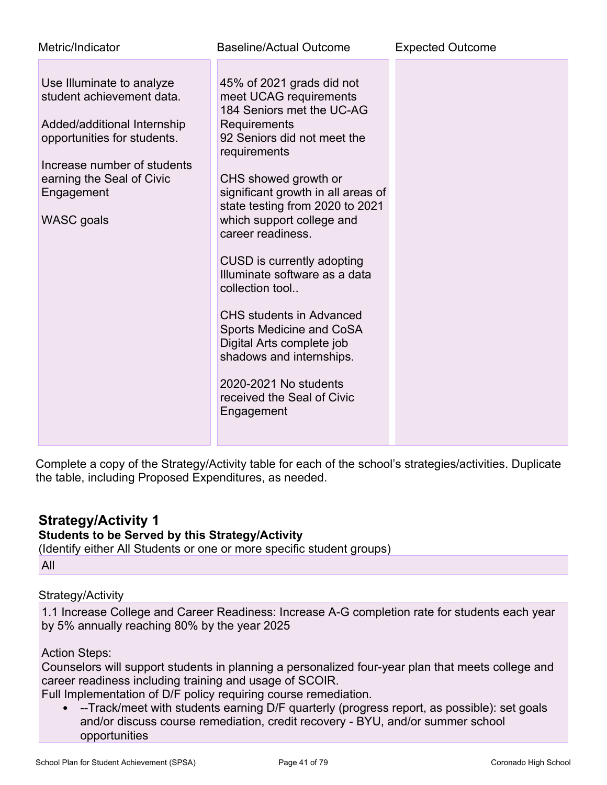| Metric/Indicator                                                                                                                                                                                             | Baseline/Actual Outcome                                                                                                                                                                                                                                                                                                                                                                                                                                                                                                                                                           | <b>Expected Outcome</b> |
|--------------------------------------------------------------------------------------------------------------------------------------------------------------------------------------------------------------|-----------------------------------------------------------------------------------------------------------------------------------------------------------------------------------------------------------------------------------------------------------------------------------------------------------------------------------------------------------------------------------------------------------------------------------------------------------------------------------------------------------------------------------------------------------------------------------|-------------------------|
| Use Illuminate to analyze<br>student achievement data.<br>Added/additional Internship<br>opportunities for students.<br>Increase number of students<br>earning the Seal of Civic<br>Engagement<br>WASC goals | 45% of 2021 grads did not<br>meet UCAG requirements<br>184 Seniors met the UC-AG<br>Requirements<br>92 Seniors did not meet the<br>requirements<br>CHS showed growth or<br>significant growth in all areas of<br>state testing from 2020 to 2021<br>which support college and<br>career readiness.<br>CUSD is currently adopting<br>Illuminate software as a data<br>collection tool<br><b>CHS</b> students in Advanced<br>Sports Medicine and CoSA<br>Digital Arts complete job<br>shadows and internships.<br>2020-2021 No students<br>received the Seal of Civic<br>Engagement |                         |

Complete a copy of the Strategy/Activity table for each of the school's strategies/activities. Duplicate the table, including Proposed Expenditures, as needed.

## **Strategy/Activity 1**

#### **Students to be Served by this Strategy/Activity**

(Identify either All Students or one or more specific student groups) All

#### Strategy/Activity

1.1 Increase College and Career Readiness: Increase A-G completion rate for students each year by 5% annually reaching 80% by the year 2025

#### Action Steps:

Counselors will support students in planning a personalized four-year plan that meets college and career readiness including training and usage of SCOIR.

Full Implementation of D/F policy requiring course remediation.

• --Track/meet with students earning D/F quarterly (progress report, as possible): set goals and/or discuss course remediation, credit recovery - BYU, and/or summer school opportunities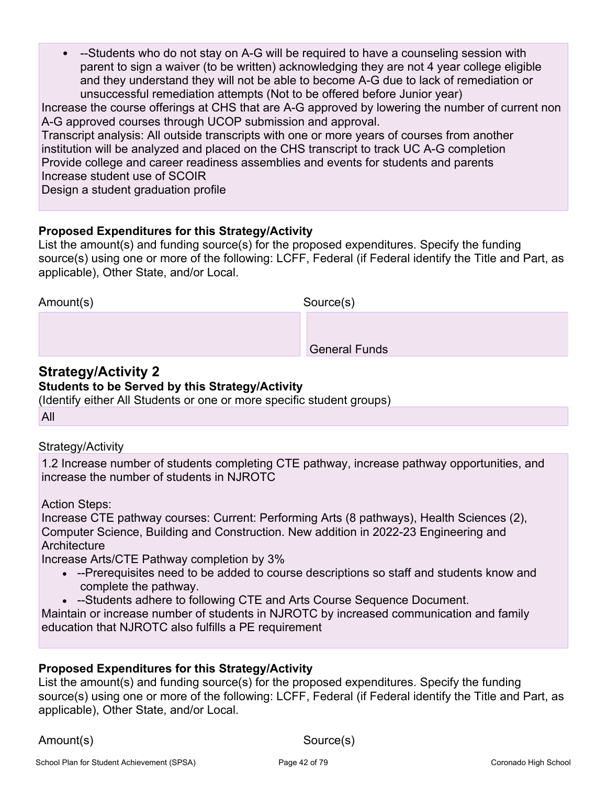• --Students who do not stay on A-G will be required to have a counseling session with parent to sign a waiver (to be written) acknowledging they are not 4 year college eligible and they understand they will not be able to become A-G due to lack of remediation or unsuccessful remediation attempts (Not to be offered before Junior year)

Increase the course offerings at CHS that are A-G approved by lowering the number of current non A-G approved courses through UCOP submission and approval.

Transcript analysis: All outside transcripts with one or more years of courses from another institution will be analyzed and placed on the CHS transcript to track UC A-G completion Provide college and career readiness assemblies and events for students and parents Increase student use of SCOIR

Design a student graduation profile

### **Proposed Expenditures for this Strategy/Activity**

List the amount(s) and funding source(s) for the proposed expenditures. Specify the funding source(s) using one or more of the following: LCFF, Federal (if Federal identify the Title and Part, as applicable), Other State, and/or Local.

Amount(s) Source(s)

General Funds

### **Strategy/Activity 2**

#### **Students to be Served by this Strategy/Activity**

(Identify either All Students or one or more specific student groups)

All

### Strategy/Activity

1.2 Increase number of students completing CTE pathway, increase pathway opportunities, and increase the number of students in NJROTC

Action Steps:

Increase CTE pathway courses: Current: Performing Arts (8 pathways), Health Sciences (2), Computer Science, Building and Construction. New addition in 2022-23 Engineering and **Architecture** 

Increase Arts/CTE Pathway completion by 3%

- --Prerequisites need to be added to course descriptions so staff and students know and complete the pathway.
- --Students adhere to following CTE and Arts Course Sequence Document.

Maintain or increase number of students in NJROTC by increased communication and family education that NJROTC also fulfills a PE requirement

### **Proposed Expenditures for this Strategy/Activity**

List the amount(s) and funding source(s) for the proposed expenditures. Specify the funding source(s) using one or more of the following: LCFF, Federal (if Federal identify the Title and Part, as applicable), Other State, and/or Local.

Amount(s) Source(s)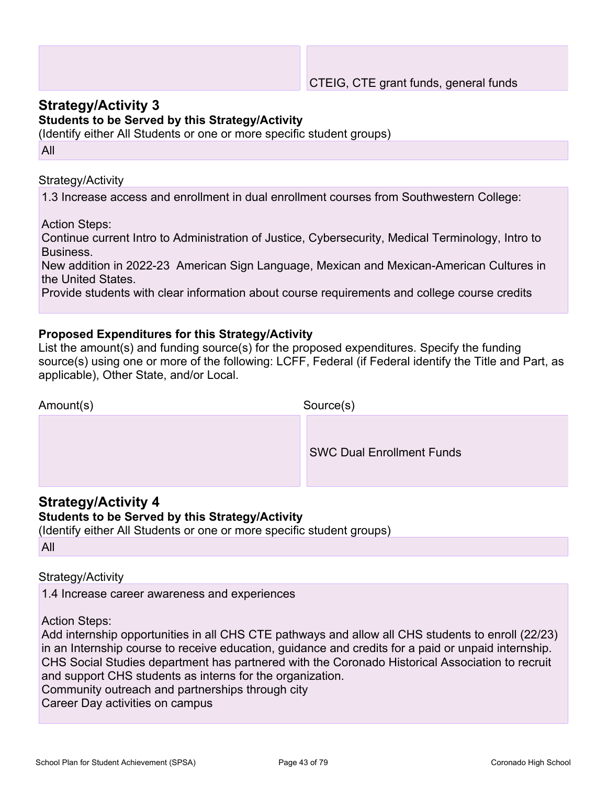### **Strategy/Activity 3**

#### **Students to be Served by this Strategy/Activity**

(Identify either All Students or one or more specific student groups) All

Strategy/Activity

1.3 Increase access and enrollment in dual enrollment courses from Southwestern College:

Action Steps:

Continue current Intro to Administration of Justice, Cybersecurity, Medical Terminology, Intro to Business.

New addition in 2022-23 American Sign Language, Mexican and Mexican-American Cultures in the United States.

Provide students with clear information about course requirements and college course credits

#### **Proposed Expenditures for this Strategy/Activity**

List the amount(s) and funding source(s) for the proposed expenditures. Specify the funding source(s) using one or more of the following: LCFF, Federal (if Federal identify the Title and Part, as applicable), Other State, and/or Local.

| Amount(s) | Source(s)                        |  |
|-----------|----------------------------------|--|
|           | <b>SWC Dual Enrollment Funds</b> |  |

### **Strategy/Activity 4**

#### **Students to be Served by this Strategy/Activity**

(Identify either All Students or one or more specific student groups)

All

#### Strategy/Activity

1.4 Increase career awareness and experiences

Action Steps:

Add internship opportunities in all CHS CTE pathways and allow all CHS students to enroll (22/23) in an Internship course to receive education, guidance and credits for a paid or unpaid internship. CHS Social Studies department has partnered with the Coronado Historical Association to recruit and support CHS students as interns for the organization. Community outreach and partnerships through city

Career Day activities on campus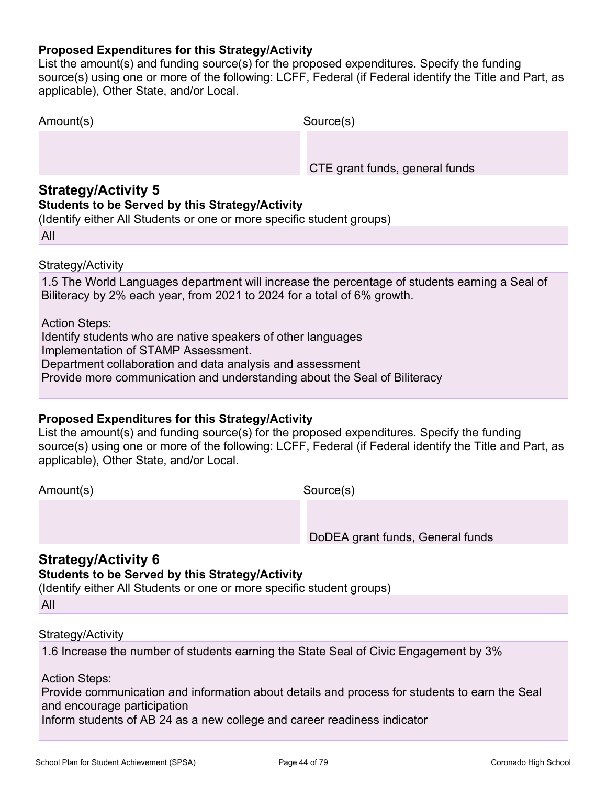#### **Proposed Expenditures for this Strategy/Activity**

List the amount(s) and funding source(s) for the proposed expenditures. Specify the funding source(s) using one or more of the following: LCFF, Federal (if Federal identify the Title and Part, as applicable), Other State, and/or Local.

| Amount(s) | Source(s)                      |
|-----------|--------------------------------|
|           |                                |
|           | CTE grant funds, general funds |

### **Strategy/Activity 5**

#### **Students to be Served by this Strategy/Activity**

(Identify either All Students or one or more specific student groups)

All

#### Strategy/Activity

1.5 The World Languages department will increase the percentage of students earning a Seal of Biliteracy by 2% each year, from 2021 to 2024 for a total of 6% growth.

Action Steps:

Identify students who are native speakers of other languages

Implementation of STAMP Assessment.

Department collaboration and data analysis and assessment

Provide more communication and understanding about the Seal of Biliteracy

#### **Proposed Expenditures for this Strategy/Activity**

List the amount(s) and funding source(s) for the proposed expenditures. Specify the funding source(s) using one or more of the following: LCFF, Federal (if Federal identify the Title and Part, as applicable), Other State, and/or Local.

Amount(s) Source(s)

DoDEA grant funds, General funds

### **Strategy/Activity 6**

### **Students to be Served by this Strategy/Activity**

(Identify either All Students or one or more specific student groups)

All

#### Strategy/Activity

1.6 Increase the number of students earning the State Seal of Civic Engagement by 3%

Action Steps:

Provide communication and information about details and process for students to earn the Seal and encourage participation

Inform students of AB 24 as a new college and career readiness indicator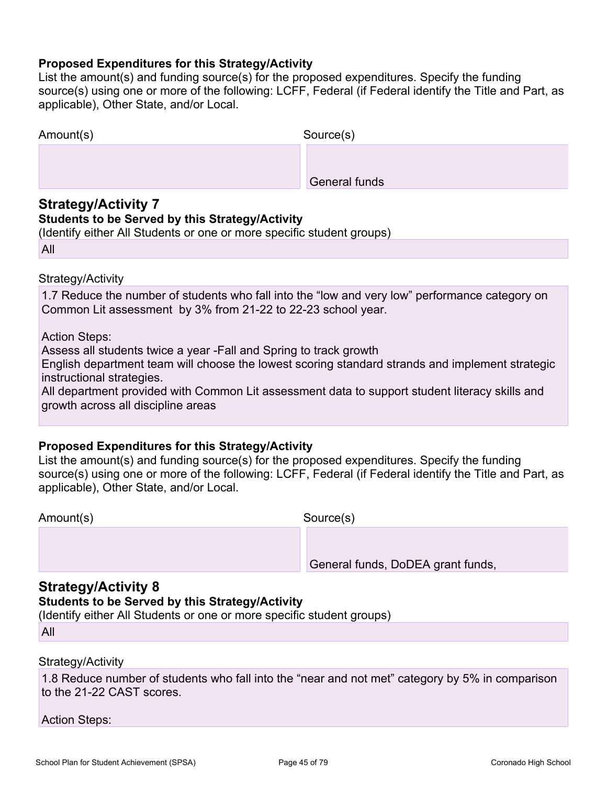#### **Proposed Expenditures for this Strategy/Activity**

List the amount(s) and funding source(s) for the proposed expenditures. Specify the funding source(s) using one or more of the following: LCFF, Federal (if Federal identify the Title and Part, as applicable), Other State, and/or Local.

| Amount(s) | Source(s)            |  |
|-----------|----------------------|--|
|           |                      |  |
|           | <b>General funds</b> |  |

### **Strategy/Activity 7**

#### **Students to be Served by this Strategy/Activity**

(Identify either All Students or one or more specific student groups)

All

Strategy/Activity

1.7 Reduce the number of students who fall into the "low and very low" performance category on Common Lit assessment by 3% from 21-22 to 22-23 school year.

Action Steps:

Assess all students twice a year -Fall and Spring to track growth

English department team will choose the lowest scoring standard strands and implement strategic instructional strategies.

All department provided with Common Lit assessment data to support student literacy skills and growth across all discipline areas

#### **Proposed Expenditures for this Strategy/Activity**

List the amount(s) and funding source(s) for the proposed expenditures. Specify the funding source(s) using one or more of the following: LCFF, Federal (if Federal identify the Title and Part, as applicable), Other State, and/or Local.

Amount(s) Source(s)

General funds, DoDEA grant funds,

### **Strategy/Activity 8**

#### **Students to be Served by this Strategy/Activity**

(Identify either All Students or one or more specific student groups)

| u |  |
|---|--|
|   |  |
|   |  |

#### Strategy/Activity

1.8 Reduce number of students who fall into the "near and not met" category by 5% in comparison to the 21-22 CAST scores.

Action Steps: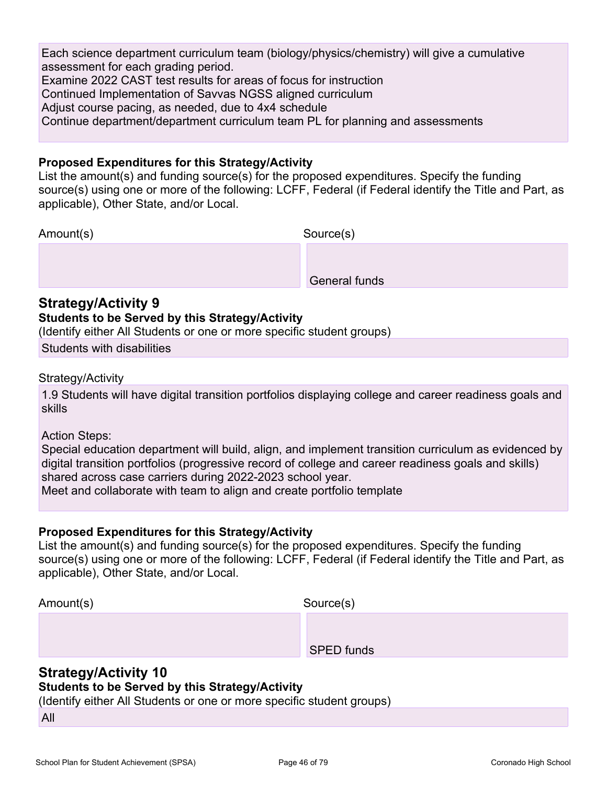Each science department curriculum team (biology/physics/chemistry) will give a cumulative assessment for each grading period. Examine 2022 CAST test results for areas of focus for instruction Continued Implementation of Savvas NGSS aligned curriculum Adjust course pacing, as needed, due to 4x4 schedule Continue department/department curriculum team PL for planning and assessments

#### **Proposed Expenditures for this Strategy/Activity**

List the amount(s) and funding source(s) for the proposed expenditures. Specify the funding source(s) using one or more of the following: LCFF, Federal (if Federal identify the Title and Part, as applicable), Other State, and/or Local.

Amount(s) Source(s)

General funds

### **Strategy/Activity 9**

#### **Students to be Served by this Strategy/Activity**

(Identify either All Students or one or more specific student groups)

Students with disabilities

Strategy/Activity

1.9 Students will have digital transition portfolios displaying college and career readiness goals and skills

Action Steps:

Special education department will build, align, and implement transition curriculum as evidenced by digital transition portfolios (progressive record of college and career readiness goals and skills) shared across case carriers during 2022-2023 school year.

Meet and collaborate with team to align and create portfolio template

### **Proposed Expenditures for this Strategy/Activity**

List the amount(s) and funding source(s) for the proposed expenditures. Specify the funding source(s) using one or more of the following: LCFF, Federal (if Federal identify the Title and Part, as applicable), Other State, and/or Local.

| Amount(s) | Source(s)         |  |
|-----------|-------------------|--|
|           |                   |  |
|           | <b>SPED</b> funds |  |

### **Strategy/Activity 10**

#### **Students to be Served by this Strategy/Activity**

(Identify either All Students or one or more specific student groups)

All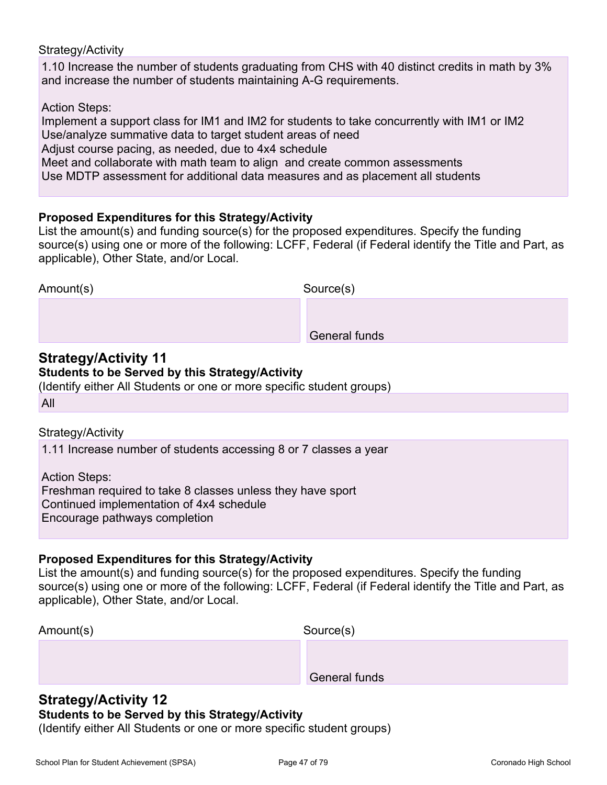#### Strategy/Activity

1.10 Increase the number of students graduating from CHS with 40 distinct credits in math by 3% and increase the number of students maintaining A-G requirements.

Action Steps:

Implement a support class for IM1 and IM2 for students to take concurrently with IM1 or IM2 Use/analyze summative data to target student areas of need Adjust course pacing, as needed, due to 4x4 schedule Meet and collaborate with math team to align and create common assessments Use MDTP assessment for additional data measures and as placement all students

### **Proposed Expenditures for this Strategy/Activity**

List the amount(s) and funding source(s) for the proposed expenditures. Specify the funding source(s) using one or more of the following: LCFF, Federal (if Federal identify the Title and Part, as applicable), Other State, and/or Local.

| Amount(s) | Source(s)            |  |
|-----------|----------------------|--|
|           |                      |  |
|           | <b>General funds</b> |  |

#### **Strategy/Activity 11 Students to be Served by this Strategy/Activity**

(Identify either All Students or one or more specific student groups)

All

### Strategy/Activity

1.11 Increase number of students accessing 8 or 7 classes a year

Action Steps: Freshman required to take 8 classes unless they have sport Continued implementation of 4x4 schedule Encourage pathways completion

#### **Proposed Expenditures for this Strategy/Activity**

List the amount(s) and funding source(s) for the proposed expenditures. Specify the funding source(s) using one or more of the following: LCFF, Federal (if Federal identify the Title and Part, as applicable), Other State, and/or Local.

| Amount(s) | Source(s)            |
|-----------|----------------------|
|           |                      |
|           | <b>General funds</b> |

## **Strategy/Activity 12**

**Students to be Served by this Strategy/Activity**

(Identify either All Students or one or more specific student groups)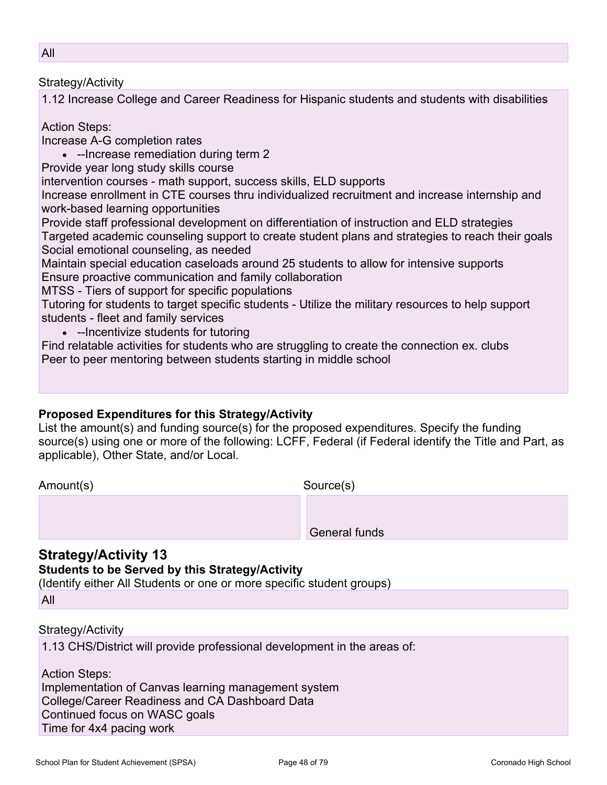#### Strategy/Activity

1.12 Increase College and Career Readiness for Hispanic students and students with disabilities

Action Steps:

Increase A-G completion rates

• --Increase remediation during term 2

Provide year long study skills course

intervention courses - math support, success skills, ELD supports

Increase enrollment in CTE courses thru individualized recruitment and increase internship and work-based learning opportunities

Provide staff professional development on differentiation of instruction and ELD strategies Targeted academic counseling support to create student plans and strategies to reach their goals Social emotional counseling, as needed

Maintain special education caseloads around 25 students to allow for intensive supports Ensure proactive communication and family collaboration

MTSS - Tiers of support for specific populations

Tutoring for students to target specific students - Utilize the military resources to help support students - fleet and family services

• --Incentivize students for tutoring

Find relatable activities for students who are struggling to create the connection ex. clubs Peer to peer mentoring between students starting in middle school

### **Proposed Expenditures for this Strategy/Activity**

List the amount(s) and funding source(s) for the proposed expenditures. Specify the funding source(s) using one or more of the following: LCFF, Federal (if Federal identify the Title and Part, as applicable), Other State, and/or Local.

Amount(s) Source(s)

General funds

## **Strategy/Activity 13**

**Students to be Served by this Strategy/Activity**

(Identify either All Students or one or more specific student groups)

All

#### Strategy/Activity

1.13 CHS/District will provide professional development in the areas of:

Action Steps: Implementation of Canvas learning management system College/Career Readiness and CA Dashboard Data Continued focus on WASC goals Time for 4x4 pacing work

All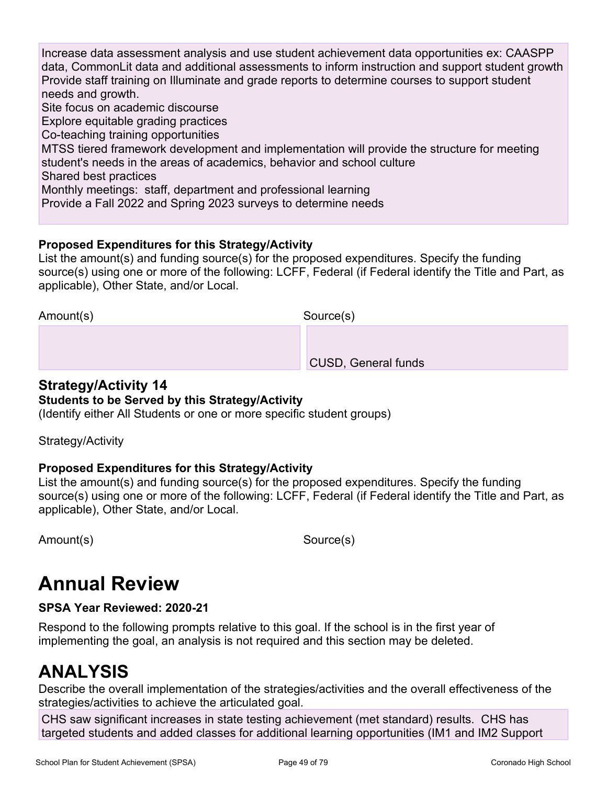Increase data assessment analysis and use student achievement data opportunities ex: CAASPP data, CommonLit data and additional assessments to inform instruction and support student growth Provide staff training on Illuminate and grade reports to determine courses to support student needs and growth. Site focus on academic discourse Explore equitable grading practices Co-teaching training opportunities MTSS tiered framework development and implementation will provide the structure for meeting student's needs in the areas of academics, behavior and school culture Shared best practices Monthly meetings: staff, department and professional learning

Provide a Fall 2022 and Spring 2023 surveys to determine needs

### **Proposed Expenditures for this Strategy/Activity**

List the amount(s) and funding source(s) for the proposed expenditures. Specify the funding source(s) using one or more of the following: LCFF, Federal (if Federal identify the Title and Part, as applicable), Other State, and/or Local.

Amount(s) Source(s)

CUSD, General funds

#### **Strategy/Activity 14 Students to be Served by this Strategy/Activity**

## (Identify either All Students or one or more specific student groups)

Strategy/Activity

### **Proposed Expenditures for this Strategy/Activity**

List the amount(s) and funding source(s) for the proposed expenditures. Specify the funding source(s) using one or more of the following: LCFF, Federal (if Federal identify the Title and Part, as applicable), Other State, and/or Local.

Amount(s) Source(s)

## **Annual Review**

### **SPSA Year Reviewed: 2020-21**

Respond to the following prompts relative to this goal. If the school is in the first year of implementing the goal, an analysis is not required and this section may be deleted.

## **ANALYSIS**

Describe the overall implementation of the strategies/activities and the overall effectiveness of the strategies/activities to achieve the articulated goal.

CHS saw significant increases in state testing achievement (met standard) results. CHS has targeted students and added classes for additional learning opportunities (IM1 and IM2 Support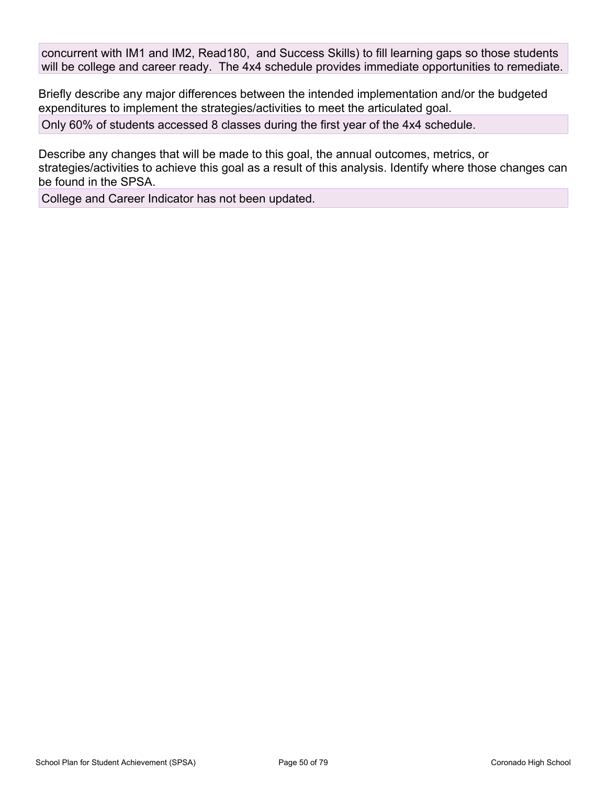concurrent with IM1 and IM2, Read180, and Success Skills) to fill learning gaps so those students will be college and career ready. The 4x4 schedule provides immediate opportunities to remediate.

Briefly describe any major differences between the intended implementation and/or the budgeted expenditures to implement the strategies/activities to meet the articulated goal. Only 60% of students accessed 8 classes during the first year of the 4x4 schedule.

Describe any changes that will be made to this goal, the annual outcomes, metrics, or strategies/activities to achieve this goal as a result of this analysis. Identify where those changes can be found in the SPSA.

College and Career Indicator has not been updated.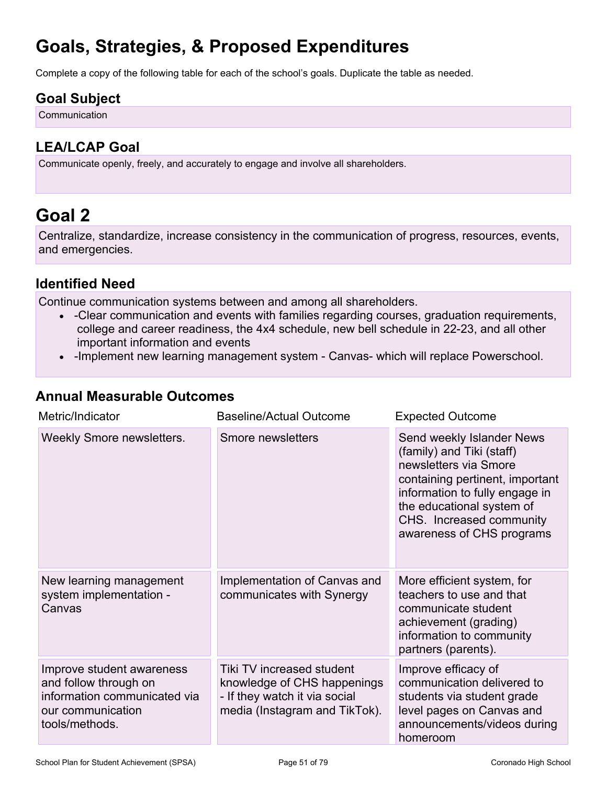## **Goals, Strategies, & Proposed Expenditures**

Complete a copy of the following table for each of the school's goals. Duplicate the table as needed.

## **Goal Subject**

Communication

## **LEA/LCAP Goal**

Communicate openly, freely, and accurately to engage and involve all shareholders.

## **Goal 2**

Centralize, standardize, increase consistency in the communication of progress, resources, events, and emergencies.

## **Identified Need**

Continue communication systems between and among all shareholders.

- -Clear communication and events with families regarding courses, graduation requirements, college and career readiness, the 4x4 schedule, new bell schedule in 22-23, and all other important information and events
- -Implement new learning management system Canvas- which will replace Powerschool.

## **Annual Measurable Outcomes**

| Metric/Indicator                                                                                                          | <b>Baseline/Actual Outcome</b>                                                                                             | <b>Expected Outcome</b>                                                                                                                                                                                                                    |
|---------------------------------------------------------------------------------------------------------------------------|----------------------------------------------------------------------------------------------------------------------------|--------------------------------------------------------------------------------------------------------------------------------------------------------------------------------------------------------------------------------------------|
| <b>Weekly Smore newsletters.</b>                                                                                          | Smore newsletters                                                                                                          | Send weekly Islander News<br>(family) and Tiki (staff)<br>newsletters via Smore<br>containing pertinent, important<br>information to fully engage in<br>the educational system of<br>CHS. Increased community<br>awareness of CHS programs |
| New learning management<br>system implementation -<br>Canvas                                                              | Implementation of Canvas and<br>communicates with Synergy                                                                  | More efficient system, for<br>teachers to use and that<br>communicate student<br>achievement (grading)<br>information to community<br>partners (parents).                                                                                  |
| Improve student awareness<br>and follow through on<br>information communicated via<br>our communication<br>tools/methods. | Tiki TV increased student<br>knowledge of CHS happenings<br>- If they watch it via social<br>media (Instagram and TikTok). | Improve efficacy of<br>communication delivered to<br>students via student grade<br>level pages on Canvas and<br>announcements/videos during<br>homeroom                                                                                    |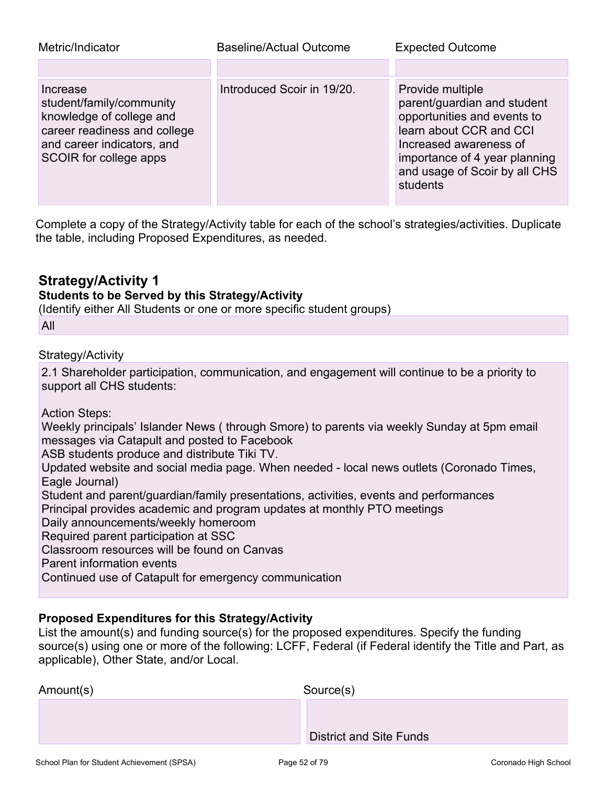| Metric/Indicator                                                                                                                                         | Baseline/Actual Outcome    | <b>Expected Outcome</b>                                                                                                                                                                                           |
|----------------------------------------------------------------------------------------------------------------------------------------------------------|----------------------------|-------------------------------------------------------------------------------------------------------------------------------------------------------------------------------------------------------------------|
|                                                                                                                                                          |                            |                                                                                                                                                                                                                   |
| Increase<br>student/family/community<br>knowledge of college and<br>career readiness and college<br>and career indicators, and<br>SCOIR for college apps | Introduced Scoir in 19/20. | Provide multiple<br>parent/guardian and student<br>opportunities and events to<br>learn about CCR and CCI<br>Increased awareness of<br>importance of 4 year planning<br>and usage of Scoir by all CHS<br>students |

Complete a copy of the Strategy/Activity table for each of the school's strategies/activities. Duplicate the table, including Proposed Expenditures, as needed.

## **Strategy/Activity 1**

### **Students to be Served by this Strategy/Activity**

(Identify either All Students or one or more specific student groups)

All

### Strategy/Activity

2.1 Shareholder participation, communication, and engagement will continue to be a priority to support all CHS students:

Action Steps:

Weekly principals' Islander News ( through Smore) to parents via weekly Sunday at 5pm email messages via Catapult and posted to Facebook

ASB students produce and distribute Tiki TV.

Updated website and social media page. When needed - local news outlets (Coronado Times, Eagle Journal)

Student and parent/guardian/family presentations, activities, events and performances

Principal provides academic and program updates at monthly PTO meetings

Daily announcements/weekly homeroom

Required parent participation at SSC

Classroom resources will be found on Canvas

Parent information events

Continued use of Catapult for emergency communication

#### **Proposed Expenditures for this Strategy/Activity**

List the amount(s) and funding source(s) for the proposed expenditures. Specify the funding source(s) using one or more of the following: LCFF, Federal (if Federal identify the Title and Part, as applicable), Other State, and/or Local.

| Amount(s) | Source(s)                      |
|-----------|--------------------------------|
|           |                                |
|           | <b>District and Site Funds</b> |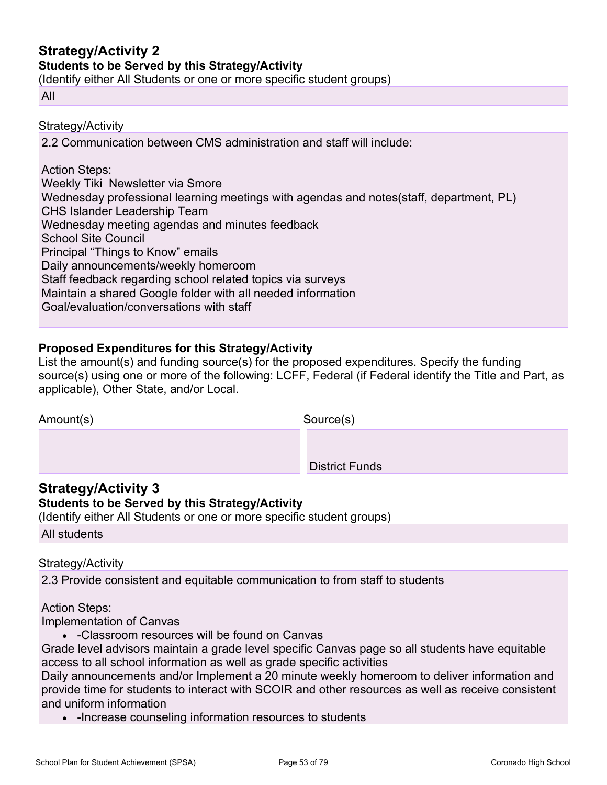## **Strategy/Activity 2**

#### **Students to be Served by this Strategy/Activity**

(Identify either All Students or one or more specific student groups)

#### All

Strategy/Activity

2.2 Communication between CMS administration and staff will include:

#### Action Steps:

Weekly Tiki Newsletter via Smore Wednesday professional learning meetings with agendas and notes(staff, department, PL) CHS Islander Leadership Team Wednesday meeting agendas and minutes feedback School Site Council Principal "Things to Know" emails Daily announcements/weekly homeroom Staff feedback regarding school related topics via surveys Maintain a shared Google folder with all needed information Goal/evaluation/conversations with staff

### **Proposed Expenditures for this Strategy/Activity**

List the amount(s) and funding source(s) for the proposed expenditures. Specify the funding source(s) using one or more of the following: LCFF, Federal (if Federal identify the Title and Part, as applicable), Other State, and/or Local.

| Amount(s) | Source(s)             |
|-----------|-----------------------|
|           |                       |
|           | <b>District Funds</b> |

## **Strategy/Activity 3**

#### **Students to be Served by this Strategy/Activity**

(Identify either All Students or one or more specific student groups)

All students

#### Strategy/Activity

2.3 Provide consistent and equitable communication to from staff to students

#### Action Steps:

Implementation of Canvas

• -Classroom resources will be found on Canvas

Grade level advisors maintain a grade level specific Canvas page so all students have equitable access to all school information as well as grade specific activities

Daily announcements and/or Implement a 20 minute weekly homeroom to deliver information and provide time for students to interact with SCOIR and other resources as well as receive consistent and uniform information

• -Increase counseling information resources to students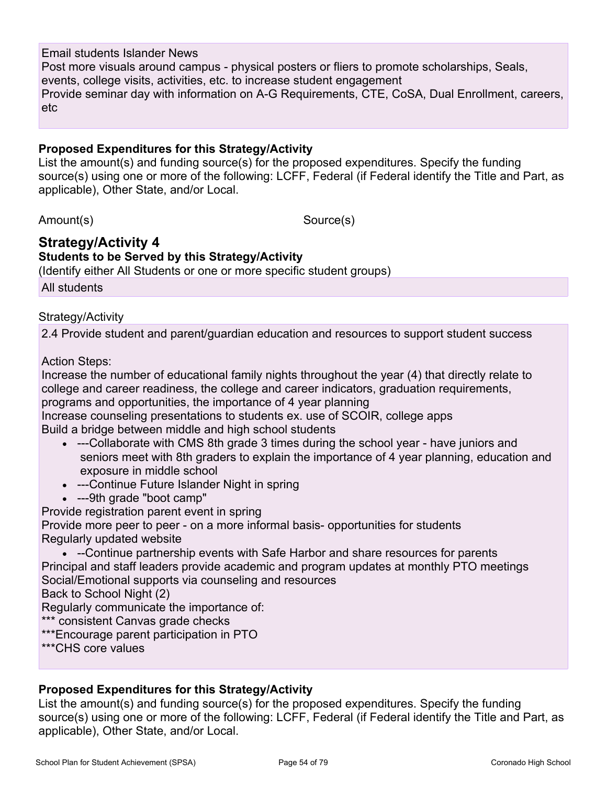#### Email students Islander News

Post more visuals around campus - physical posters or fliers to promote scholarships, Seals, events, college visits, activities, etc. to increase student engagement Provide seminar day with information on A-G Requirements, CTE, CoSA, Dual Enrollment, careers, etc

#### **Proposed Expenditures for this Strategy/Activity**

List the amount(s) and funding source(s) for the proposed expenditures. Specify the funding source(s) using one or more of the following: LCFF, Federal (if Federal identify the Title and Part, as applicable), Other State, and/or Local.

Amount(s) Source(s)

## **Strategy/Activity 4**

**Students to be Served by this Strategy/Activity**

(Identify either All Students or one or more specific student groups)

All students

#### Strategy/Activity

2.4 Provide student and parent/guardian education and resources to support student success

#### Action Steps:

Increase the number of educational family nights throughout the year (4) that directly relate to college and career readiness, the college and career indicators, graduation requirements, programs and opportunities, the importance of 4 year planning Increase counseling presentations to students ex. use of SCOIR, college apps

Build a bridge between middle and high school students

- ---Collaborate with CMS 8th grade 3 times during the school year have juniors and seniors meet with 8th graders to explain the importance of 4 year planning, education and exposure in middle school
- ---Continue Future Islander Night in spring
- ---9th grade "boot camp"

Provide registration parent event in spring

Provide more peer to peer - on a more informal basis- opportunities for students Regularly updated website

• --Continue partnership events with Safe Harbor and share resources for parents Principal and staff leaders provide academic and program updates at monthly PTO meetings Social/Emotional supports via counseling and resources Back to School Night (2)

Regularly communicate the importance of:

\*\*\* consistent Canvas grade checks

\*\*\*Encourage parent participation in PTO

\*\*\*CHS core values

#### **Proposed Expenditures for this Strategy/Activity**

List the amount(s) and funding source(s) for the proposed expenditures. Specify the funding source(s) using one or more of the following: LCFF, Federal (if Federal identify the Title and Part, as applicable), Other State, and/or Local.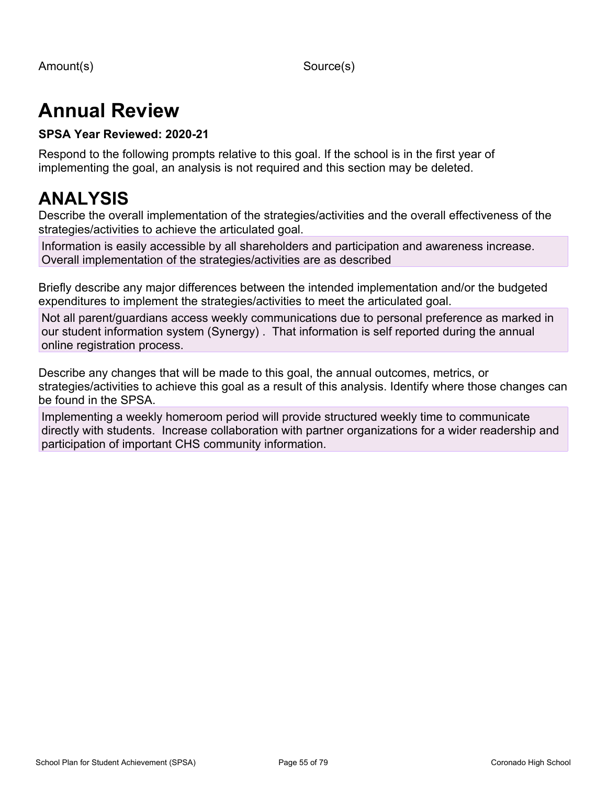Amount(s) Source(s)

# **Annual Review**

### **SPSA Year Reviewed: 2020-21**

Respond to the following prompts relative to this goal. If the school is in the first year of implementing the goal, an analysis is not required and this section may be deleted.

## **ANALYSIS**

Describe the overall implementation of the strategies/activities and the overall effectiveness of the strategies/activities to achieve the articulated goal.

Information is easily accessible by all shareholders and participation and awareness increase. Overall implementation of the strategies/activities are as described

Briefly describe any major differences between the intended implementation and/or the budgeted expenditures to implement the strategies/activities to meet the articulated goal.

Not all parent/guardians access weekly communications due to personal preference as marked in our student information system (Synergy) . That information is self reported during the annual online registration process.

Describe any changes that will be made to this goal, the annual outcomes, metrics, or strategies/activities to achieve this goal as a result of this analysis. Identify where those changes can be found in the SPSA.

Implementing a weekly homeroom period will provide structured weekly time to communicate directly with students. Increase collaboration with partner organizations for a wider readership and participation of important CHS community information.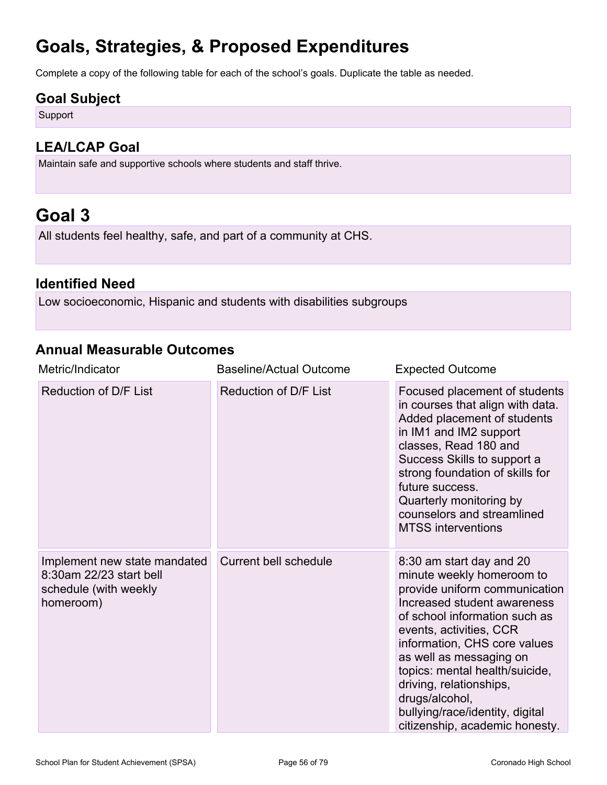## **Goals, Strategies, & Proposed Expenditures**

Complete a copy of the following table for each of the school's goals. Duplicate the table as needed.

### **Goal Subject**

Support

## **LEA/LCAP Goal**

Maintain safe and supportive schools where students and staff thrive.

## **Goal 3**

All students feel healthy, safe, and part of a community at CHS.

## **Identified Need**

Low socioeconomic, Hispanic and students with disabilities subgroups

### **Annual Measurable Outcomes**

| Metric/Indicator                                                                              | <b>Baseline/Actual Outcome</b> | <b>Expected Outcome</b>                                                                                                                                                                                                                                                                                                                                                                          |
|-----------------------------------------------------------------------------------------------|--------------------------------|--------------------------------------------------------------------------------------------------------------------------------------------------------------------------------------------------------------------------------------------------------------------------------------------------------------------------------------------------------------------------------------------------|
| Reduction of D/F List                                                                         | Reduction of D/F List          | Focused placement of students<br>in courses that align with data.<br>Added placement of students<br>in IM1 and IM2 support<br>classes, Read 180 and<br>Success Skills to support a<br>strong foundation of skills for<br>future success.<br>Quarterly monitoring by<br>counselors and streamlined<br><b>MTSS</b> interventions                                                                   |
| Implement new state mandated<br>8:30am 22/23 start bell<br>schedule (with weekly<br>homeroom) | <b>Current bell schedule</b>   | 8:30 am start day and 20<br>minute weekly homeroom to<br>provide uniform communication<br>Increased student awareness<br>of school information such as<br>events, activities, CCR<br>information, CHS core values<br>as well as messaging on<br>topics: mental health/suicide,<br>driving, relationships,<br>drugs/alcohol,<br>bullying/race/identity, digital<br>citizenship, academic honesty. |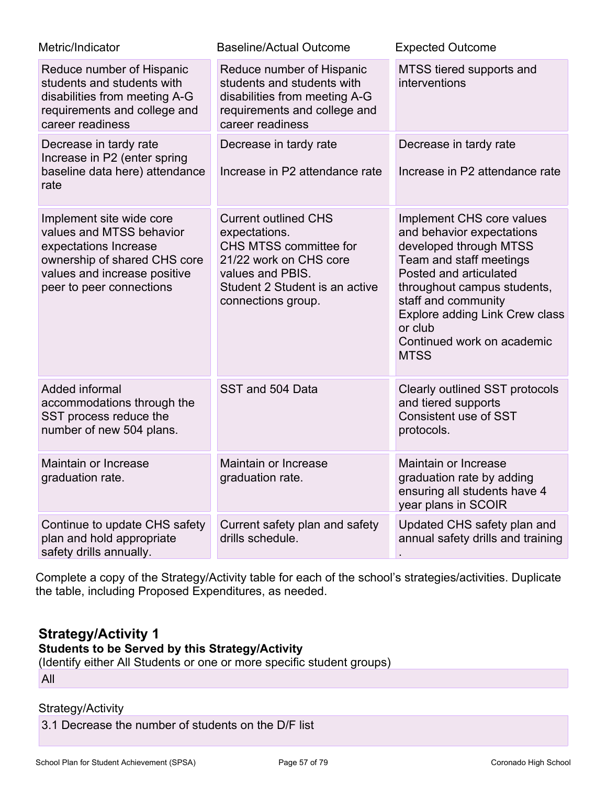| Metric/Indicator                                                                                                                                                          | <b>Baseline/Actual Outcome</b>                                                                                                                                               | <b>Expected Outcome</b>                                                                                                                                                                                                                                                               |
|---------------------------------------------------------------------------------------------------------------------------------------------------------------------------|------------------------------------------------------------------------------------------------------------------------------------------------------------------------------|---------------------------------------------------------------------------------------------------------------------------------------------------------------------------------------------------------------------------------------------------------------------------------------|
| Reduce number of Hispanic<br>students and students with<br>disabilities from meeting A-G<br>requirements and college and<br>career readiness                              | Reduce number of Hispanic<br>students and students with<br>disabilities from meeting A-G<br>requirements and college and<br>career readiness                                 | MTSS tiered supports and<br>interventions                                                                                                                                                                                                                                             |
| Decrease in tardy rate<br>Increase in P2 (enter spring<br>baseline data here) attendance<br>rate                                                                          | Decrease in tardy rate<br>Increase in P2 attendance rate                                                                                                                     | Decrease in tardy rate<br>Increase in P2 attendance rate                                                                                                                                                                                                                              |
| Implement site wide core<br>values and MTSS behavior<br>expectations Increase<br>ownership of shared CHS core<br>values and increase positive<br>peer to peer connections | <b>Current outlined CHS</b><br>expectations.<br>CHS MTSS committee for<br>21/22 work on CHS core<br>values and PBIS.<br>Student 2 Student is an active<br>connections group. | Implement CHS core values<br>and behavior expectations<br>developed through MTSS<br>Team and staff meetings<br>Posted and articulated<br>throughout campus students,<br>staff and community<br>Explore adding Link Crew class<br>or club<br>Continued work on academic<br><b>MTSS</b> |
| Added informal<br>accommodations through the<br>SST process reduce the<br>number of new 504 plans.                                                                        | SST and 504 Data                                                                                                                                                             | Clearly outlined SST protocols<br>and tiered supports<br><b>Consistent use of SST</b><br>protocols.                                                                                                                                                                                   |
| Maintain or Increase<br>graduation rate.                                                                                                                                  | Maintain or Increase<br>graduation rate.                                                                                                                                     | Maintain or Increase<br>graduation rate by adding<br>ensuring all students have 4<br>year plans in SCOIR                                                                                                                                                                              |
| Continue to update CHS safety<br>plan and hold appropriate<br>safety drills annually.                                                                                     | Current safety plan and safety<br>drills schedule.                                                                                                                           | Updated CHS safety plan and<br>annual safety drills and training                                                                                                                                                                                                                      |

Complete a copy of the Strategy/Activity table for each of the school's strategies/activities. Duplicate the table, including Proposed Expenditures, as needed.

## **Strategy/Activity 1**

## **Students to be Served by this Strategy/Activity**

(Identify either All Students or one or more specific student groups)

All

### Strategy/Activity

3.1 Decrease the number of students on the D/F list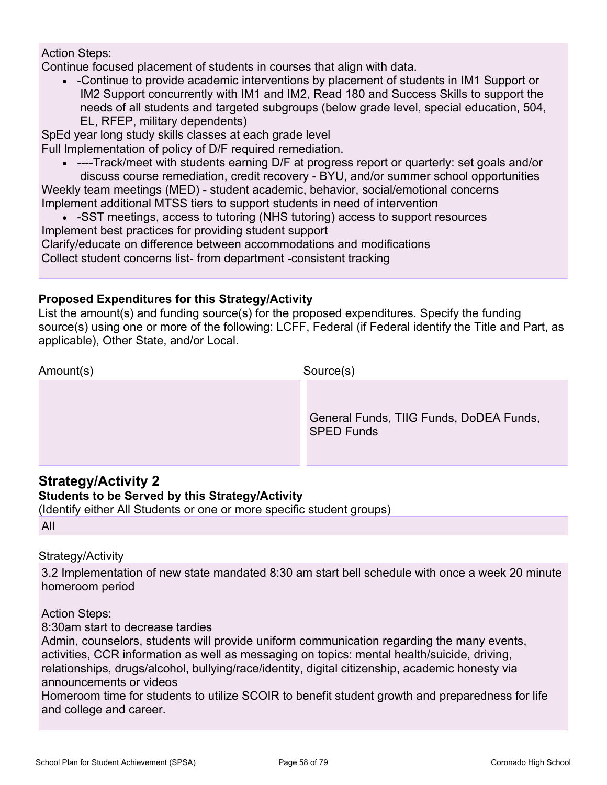#### Action Steps:

Continue focused placement of students in courses that align with data.

• -Continue to provide academic interventions by placement of students in IM1 Support or IM2 Support concurrently with IM1 and IM2, Read 180 and Success Skills to support the needs of all students and targeted subgroups (below grade level, special education, 504, EL, RFEP, military dependents)

SpEd year long study skills classes at each grade level

Full Implementation of policy of D/F required remediation.

• ----Track/meet with students earning D/F at progress report or quarterly: set goals and/or discuss course remediation, credit recovery - BYU, and/or summer school opportunities

Weekly team meetings (MED) - student academic, behavior, social/emotional concerns Implement additional MTSS tiers to support students in need of intervention

• -SST meetings, access to tutoring (NHS tutoring) access to support resources Implement best practices for providing student support Clarify/educate on difference between accommodations and modifications

Collect student concerns list- from department -consistent tracking

### **Proposed Expenditures for this Strategy/Activity**

List the amount(s) and funding source(s) for the proposed expenditures. Specify the funding source(s) using one or more of the following: LCFF, Federal (if Federal identify the Title and Part, as applicable), Other State, and/or Local.

| Amount(s) | Source(s)                                                    |
|-----------|--------------------------------------------------------------|
|           | General Funds, TIIG Funds, DoDEA Funds,<br><b>SPED Funds</b> |

## **Strategy/Activity 2**

### **Students to be Served by this Strategy/Activity**

(Identify either All Students or one or more specific student groups) All

## Strategy/Activity

3.2 Implementation of new state mandated 8:30 am start bell schedule with once a week 20 minute homeroom period

Action Steps:

8:30am start to decrease tardies

Admin, counselors, students will provide uniform communication regarding the many events, activities, CCR information as well as messaging on topics: mental health/suicide, driving, relationships, drugs/alcohol, bullying/race/identity, digital citizenship, academic honesty via announcements or videos

Homeroom time for students to utilize SCOIR to benefit student growth and preparedness for life and college and career.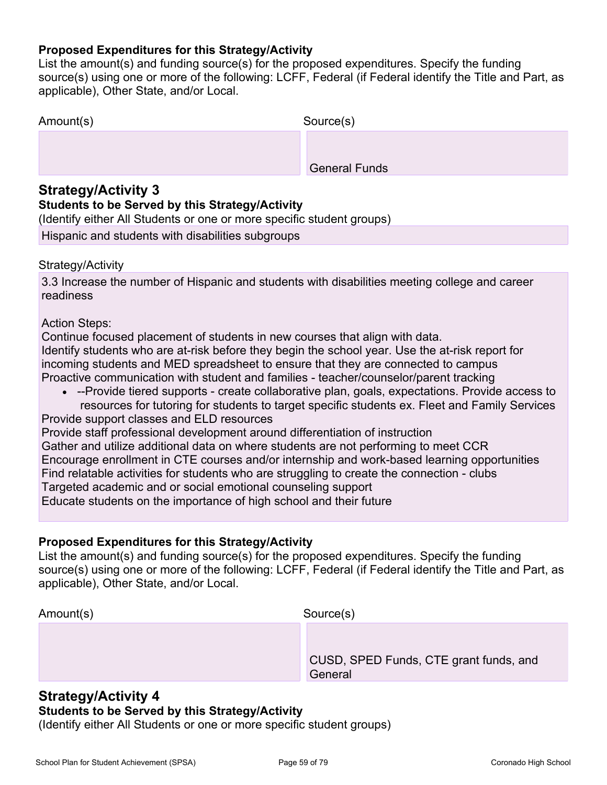#### **Proposed Expenditures for this Strategy/Activity**

List the amount(s) and funding source(s) for the proposed expenditures. Specify the funding source(s) using one or more of the following: LCFF, Federal (if Federal identify the Title and Part, as applicable), Other State, and/or Local.

| Amount(s) | Source(s)            |
|-----------|----------------------|
|           |                      |
|           | <b>General Funds</b> |

### **Strategy/Activity 3**

#### **Students to be Served by this Strategy/Activity**

(Identify either All Students or one or more specific student groups)

Hispanic and students with disabilities subgroups

#### Strategy/Activity

3.3 Increase the number of Hispanic and students with disabilities meeting college and career readiness

#### Action Steps:

Continue focused placement of students in new courses that align with data. Identify students who are at-risk before they begin the school year. Use the at-risk report for incoming students and MED spreadsheet to ensure that they are connected to campus Proactive communication with student and families - teacher/counselor/parent tracking

• --Provide tiered supports - create collaborative plan, goals, expectations. Provide access to resources for tutoring for students to target specific students ex. Fleet and Family Services

Provide support classes and ELD resources Provide staff professional development around differentiation of instruction Gather and utilize additional data on where students are not performing to meet CCR Encourage enrollment in CTE courses and/or internship and work-based learning opportunities Find relatable activities for students who are struggling to create the connection - clubs Targeted academic and or social emotional counseling support Educate students on the importance of high school and their future

#### **Proposed Expenditures for this Strategy/Activity**

List the amount(s) and funding source(s) for the proposed expenditures. Specify the funding source(s) using one or more of the following: LCFF, Federal (if Federal identify the Title and Part, as applicable), Other State, and/or Local.

| Amount(s) | Source(s)                                         |
|-----------|---------------------------------------------------|
|           |                                                   |
|           | CUSD, SPED Funds, CTE grant funds, and<br>General |

### **Strategy/Activity 4**

#### **Students to be Served by this Strategy/Activity**

(Identify either All Students or one or more specific student groups)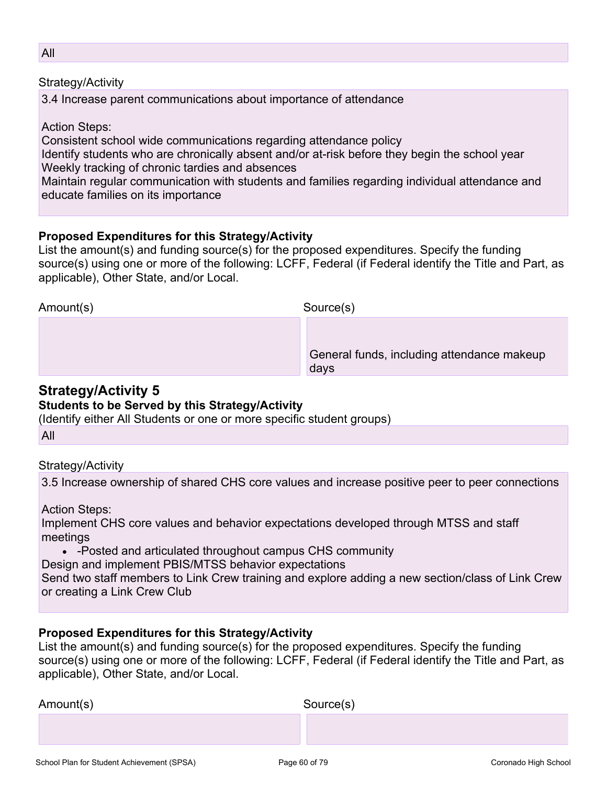Strategy/Activity

3.4 Increase parent communications about importance of attendance

Action Steps:

Consistent school wide communications regarding attendance policy

Identify students who are chronically absent and/or at-risk before they begin the school year Weekly tracking of chronic tardies and absences

Maintain regular communication with students and families regarding individual attendance and educate families on its importance

### **Proposed Expenditures for this Strategy/Activity**

List the amount(s) and funding source(s) for the proposed expenditures. Specify the funding source(s) using one or more of the following: LCFF, Federal (if Federal identify the Title and Part, as applicable), Other State, and/or Local.

| Amount(s) | Source(s)                                          |
|-----------|----------------------------------------------------|
|           | General funds, including attendance makeup<br>days |

## **Strategy/Activity 5**

### **Students to be Served by this Strategy/Activity**

(Identify either All Students or one or more specific student groups)

All

### Strategy/Activity

3.5 Increase ownership of shared CHS core values and increase positive peer to peer connections

Action Steps:

Implement CHS core values and behavior expectations developed through MTSS and staff meetings

• -Posted and articulated throughout campus CHS community

Design and implement PBIS/MTSS behavior expectations

Send two staff members to Link Crew training and explore adding a new section/class of Link Crew or creating a Link Crew Club

### **Proposed Expenditures for this Strategy/Activity**

List the amount(s) and funding source(s) for the proposed expenditures. Specify the funding source(s) using one or more of the following: LCFF, Federal (if Federal identify the Title and Part, as applicable), Other State, and/or Local.

| Amount(s) | Source(s) |
|-----------|-----------|
|           |           |
|           |           |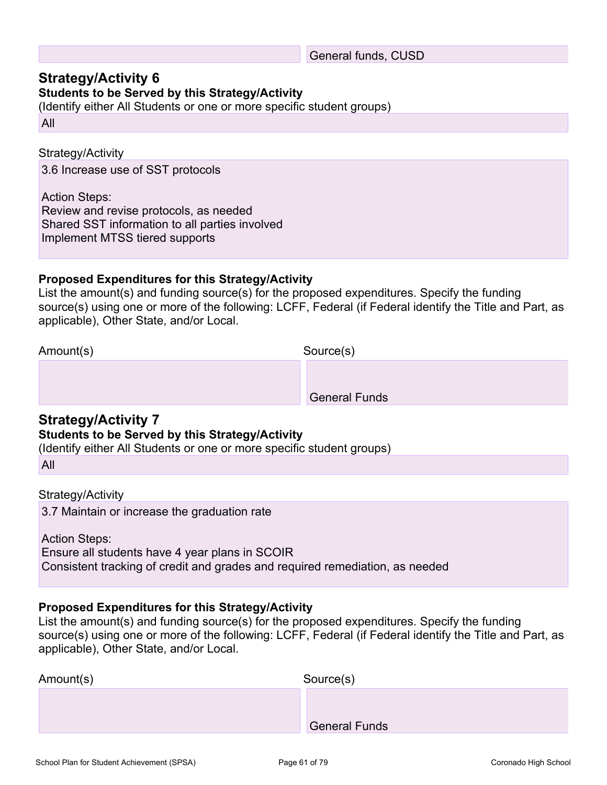#### General funds, CUSD

### **Strategy/Activity 6**

### **Students to be Served by this Strategy/Activity**

(Identify either All Students or one or more specific student groups)

All

#### Strategy/Activity

3.6 Increase use of SST protocols

Action Steps: Review and revise protocols, as needed Shared SST information to all parties involved Implement MTSS tiered supports

#### **Proposed Expenditures for this Strategy/Activity**

List the amount(s) and funding source(s) for the proposed expenditures. Specify the funding source(s) using one or more of the following: LCFF, Federal (if Federal identify the Title and Part, as applicable), Other State, and/or Local.

Amount(s) Source(s)

General Funds

### **Strategy/Activity 7**

#### **Students to be Served by this Strategy/Activity**

(Identify either All Students or one or more specific student groups)

#### Strategy/Activity

3.7 Maintain or increase the graduation rate

Action Steps:

Ensure all students have 4 year plans in SCOIR

Consistent tracking of credit and grades and required remediation, as needed

#### **Proposed Expenditures for this Strategy/Activity**

List the amount(s) and funding source(s) for the proposed expenditures. Specify the funding source(s) using one or more of the following: LCFF, Federal (if Federal identify the Title and Part, as applicable), Other State, and/or Local.

| Amount(s) | Source(s)            |
|-----------|----------------------|
|           |                      |
|           | <b>General Funds</b> |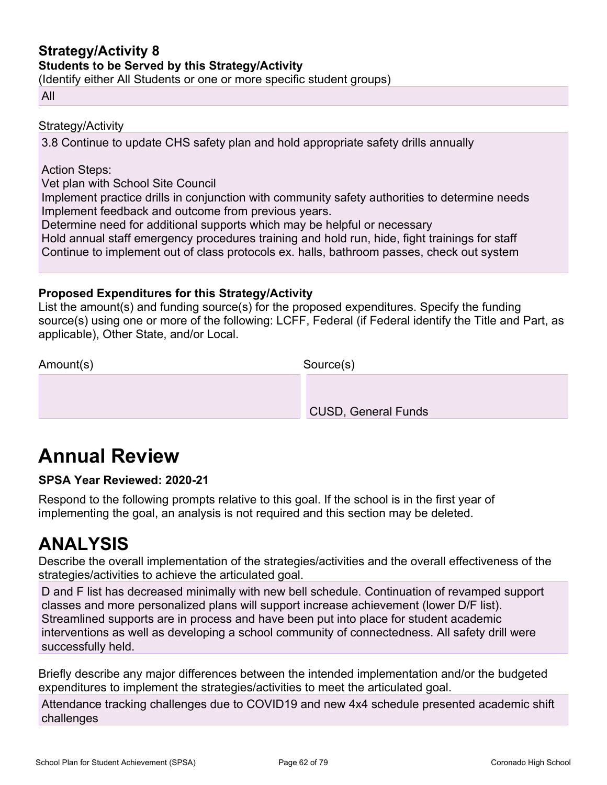## **Strategy/Activity 8**

**Students to be Served by this Strategy/Activity**

(Identify either All Students or one or more specific student groups)

#### All

Strategy/Activity

3.8 Continue to update CHS safety plan and hold appropriate safety drills annually

Action Steps:

Vet plan with School Site Council

Implement practice drills in conjunction with community safety authorities to determine needs Implement feedback and outcome from previous years.

Determine need for additional supports which may be helpful or necessary

Hold annual staff emergency procedures training and hold run, hide, fight trainings for staff Continue to implement out of class protocols ex. halls, bathroom passes, check out system

### **Proposed Expenditures for this Strategy/Activity**

List the amount(s) and funding source(s) for the proposed expenditures. Specify the funding source(s) using one or more of the following: LCFF, Federal (if Federal identify the Title and Part, as applicable), Other State, and/or Local.

Amount(s) Source(s)

CUSD, General Funds

## **Annual Review**

#### **SPSA Year Reviewed: 2020-21**

Respond to the following prompts relative to this goal. If the school is in the first year of implementing the goal, an analysis is not required and this section may be deleted.

## **ANALYSIS**

Describe the overall implementation of the strategies/activities and the overall effectiveness of the strategies/activities to achieve the articulated goal.

D and F list has decreased minimally with new bell schedule. Continuation of revamped support classes and more personalized plans will support increase achievement (lower D/F list). Streamlined supports are in process and have been put into place for student academic interventions as well as developing a school community of connectedness. All safety drill were successfully held.

Briefly describe any major differences between the intended implementation and/or the budgeted expenditures to implement the strategies/activities to meet the articulated goal.

Attendance tracking challenges due to COVID19 and new 4x4 schedule presented academic shift challenges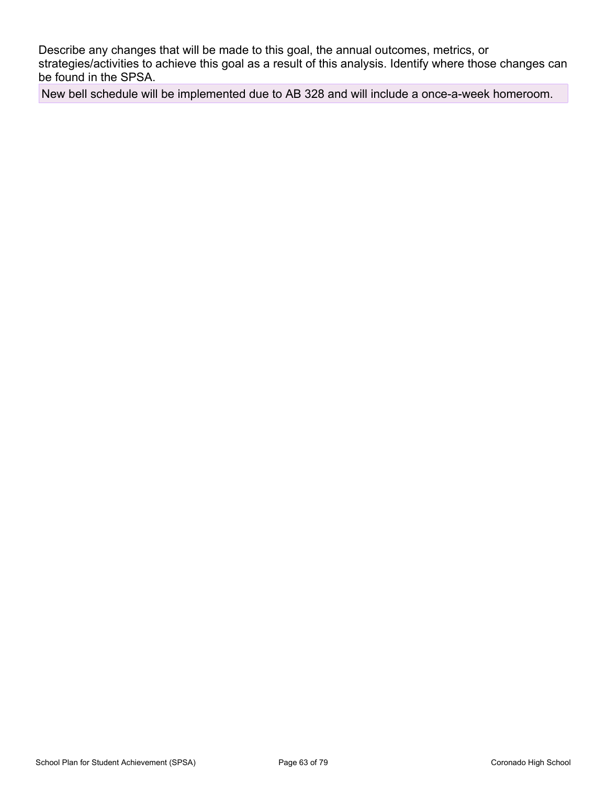Describe any changes that will be made to this goal, the annual outcomes, metrics, or strategies/activities to achieve this goal as a result of this analysis. Identify where those changes can be found in the SPSA.

New bell schedule will be implemented due to AB 328 and will include a once-a-week homeroom.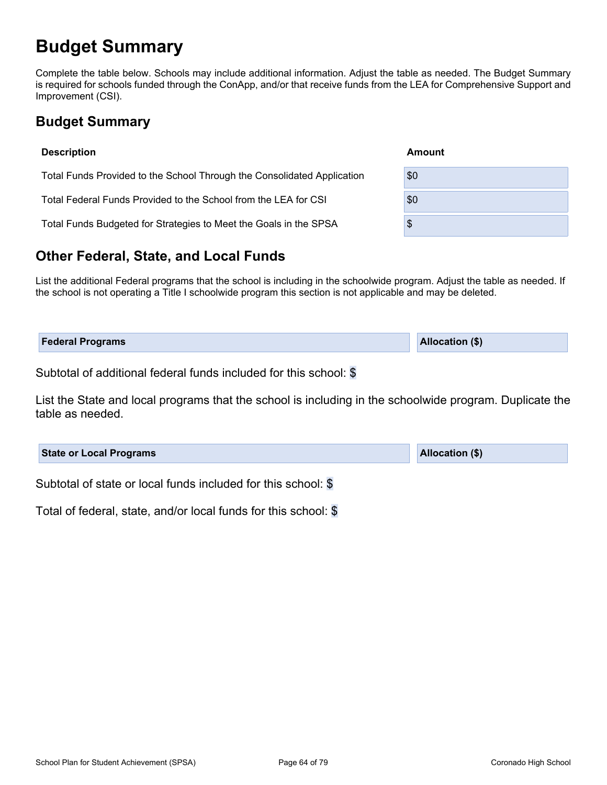## **Budget Summary**

Complete the table below. Schools may include additional information. Adjust the table as needed. The Budget Summary is required for schools funded through the ConApp, and/or that receive funds from the LEA for Comprehensive Support and Improvement (CSI).

## **Budget Summary**

| <b>Description</b>                                                      | Amount |
|-------------------------------------------------------------------------|--------|
| Total Funds Provided to the School Through the Consolidated Application | \$0    |
| Total Federal Funds Provided to the School from the LEA for CSI         | \$0    |
| Total Funds Budgeted for Strategies to Meet the Goals in the SPSA       | \$     |
|                                                                         |        |

## **Other Federal, State, and Local Funds**

List the additional Federal programs that the school is including in the schoolwide program. Adjust the table as needed. If the school is not operating a Title I schoolwide program this section is not applicable and may be deleted.

| <b>Federal Programs</b> | <b>Allocation (\$)</b> |
|-------------------------|------------------------|
|                         |                        |

Subtotal of additional federal funds included for this school: \$

List the State and local programs that the school is including in the schoolwide program. Duplicate the table as needed.

| <b>State or Local Programs</b>                                | <b>Allocation (\$)</b> |
|---------------------------------------------------------------|------------------------|
| Subtotal of state or local funds included for this school: \$ |                        |

Total of federal, state, and/or local funds for this school: \$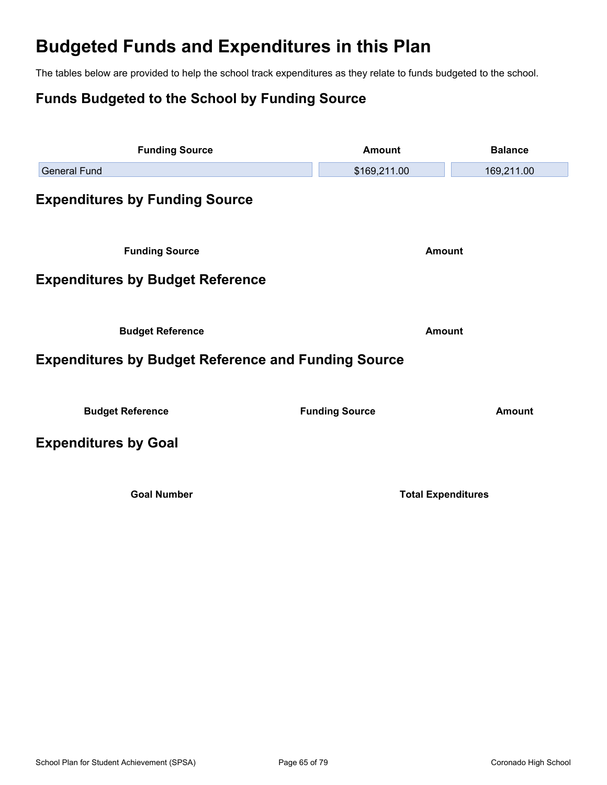## **Budgeted Funds and Expenditures in this Plan**

The tables below are provided to help the school track expenditures as they relate to funds budgeted to the school.

## **Funds Budgeted to the School by Funding Source**

| <b>Funding Source</b>                                      | <b>Amount</b>             | <b>Balance</b> |  |  |
|------------------------------------------------------------|---------------------------|----------------|--|--|
| <b>General Fund</b>                                        | \$169,211.00              | 169,211.00     |  |  |
| <b>Expenditures by Funding Source</b>                      |                           |                |  |  |
| <b>Funding Source</b>                                      | <b>Amount</b>             |                |  |  |
| <b>Expenditures by Budget Reference</b>                    |                           |                |  |  |
| <b>Budget Reference</b>                                    | <b>Amount</b>             |                |  |  |
| <b>Expenditures by Budget Reference and Funding Source</b> |                           |                |  |  |
| <b>Budget Reference</b>                                    | <b>Funding Source</b>     | <b>Amount</b>  |  |  |
| <b>Expenditures by Goal</b>                                |                           |                |  |  |
| <b>Goal Number</b>                                         | <b>Total Expenditures</b> |                |  |  |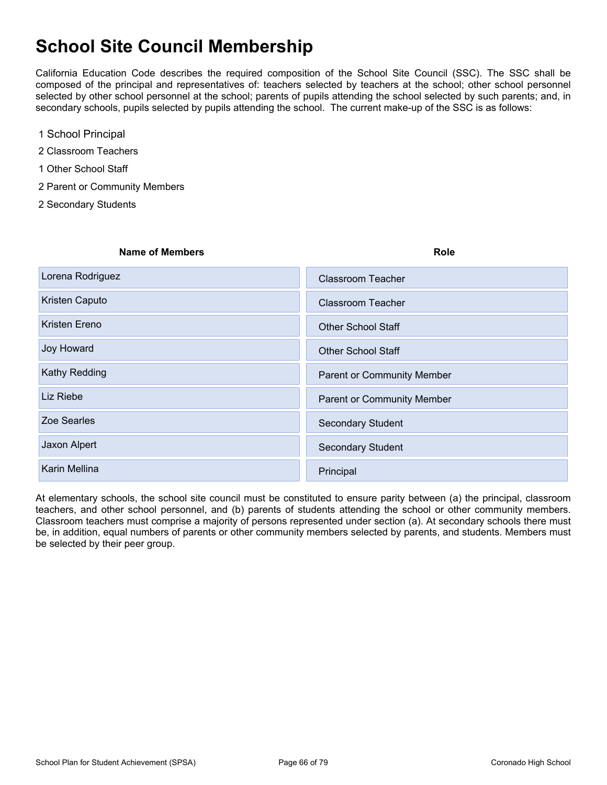## **School Site Council Membership**

California Education Code describes the required composition of the School Site Council (SSC). The SSC shall be composed of the principal and representatives of: teachers selected by teachers at the school; other school personnel selected by other school personnel at the school; parents of pupils attending the school selected by such parents; and, in secondary schools, pupils selected by pupils attending the school. The current make-up of the SSC is as follows:

- 1 School Principal
- 2 Classroom Teachers
- 1 Other School Staff
- 2 Parent or Community Members
- 2 Secondary Students

| <b>Name of Members</b> | <b>Role</b>                       |
|------------------------|-----------------------------------|
| Lorena Rodriguez       | <b>Classroom Teacher</b>          |
| Kristen Caputo         | <b>Classroom Teacher</b>          |
| Kristen Ereno          | <b>Other School Staff</b>         |
| <b>Joy Howard</b>      | <b>Other School Staff</b>         |
| Kathy Redding          | <b>Parent or Community Member</b> |
| Liz Riebe              | <b>Parent or Community Member</b> |
| Zoe Searles            | <b>Secondary Student</b>          |
| Jaxon Alpert           | <b>Secondary Student</b>          |
| Karin Mellina          | Principal                         |
|                        |                                   |

At elementary schools, the school site council must be constituted to ensure parity between (a) the principal, classroom teachers, and other school personnel, and (b) parents of students attending the school or other community members. Classroom teachers must comprise a majority of persons represented under section (a). At secondary schools there must be, in addition, equal numbers of parents or other community members selected by parents, and students. Members must be selected by their peer group.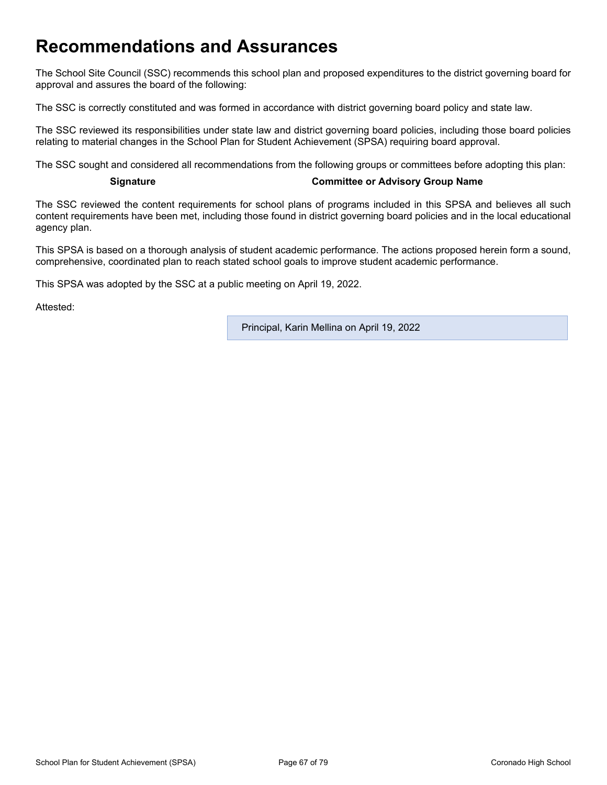## **Recommendations and Assurances**

The School Site Council (SSC) recommends this school plan and proposed expenditures to the district governing board for approval and assures the board of the following:

The SSC is correctly constituted and was formed in accordance with district governing board policy and state law.

The SSC reviewed its responsibilities under state law and district governing board policies, including those board policies relating to material changes in the School Plan for Student Achievement (SPSA) requiring board approval.

The SSC sought and considered all recommendations from the following groups or committees before adopting this plan:

#### **Signature Committee or Advisory Group Name**

The SSC reviewed the content requirements for school plans of programs included in this SPSA and believes all such content requirements have been met, including those found in district governing board policies and in the local educational agency plan.

This SPSA is based on a thorough analysis of student academic performance. The actions proposed herein form a sound, comprehensive, coordinated plan to reach stated school goals to improve student academic performance.

This SPSA was adopted by the SSC at a public meeting on April 19, 2022.

Attested:

Principal, Karin Mellina on April 19, 2022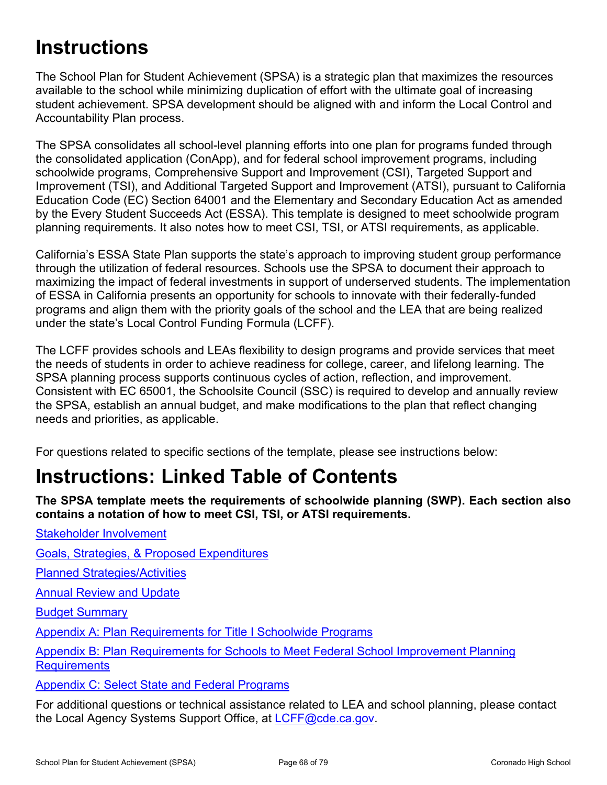## **Instructions**

The School Plan for Student Achievement (SPSA) is a strategic plan that maximizes the resources available to the school while minimizing duplication of effort with the ultimate goal of increasing student achievement. SPSA development should be aligned with and inform the Local Control and Accountability Plan process.

The SPSA consolidates all school-level planning efforts into one plan for programs funded through the consolidated application (ConApp), and for federal school improvement programs, including schoolwide programs, Comprehensive Support and Improvement (CSI), Targeted Support and Improvement (TSI), and Additional Targeted Support and Improvement (ATSI), pursuant to California Education Code (EC) Section 64001 and the Elementary and Secondary Education Act as amended by the Every Student Succeeds Act (ESSA). This template is designed to meet schoolwide program planning requirements. It also notes how to meet CSI, TSI, or ATSI requirements, as applicable.

California's ESSA State Plan supports the state's approach to improving student group performance through the utilization of federal resources. Schools use the SPSA to document their approach to maximizing the impact of federal investments in support of underserved students. The implementation of ESSA in California presents an opportunity for schools to innovate with their federally-funded programs and align them with the priority goals of the school and the LEA that are being realized under the state's Local Control Funding Formula (LCFF).

The LCFF provides schools and LEAs flexibility to design programs and provide services that meet the needs of students in order to achieve readiness for college, career, and lifelong learning. The SPSA planning process supports continuous cycles of action, reflection, and improvement. Consistent with EC 65001, the Schoolsite Council (SSC) is required to develop and annually review the SPSA, establish an annual budget, and make modifications to the plan that reflect changing needs and priorities, as applicable.

For questions related to specific sections of the template, please see instructions below:

## **Instructions: Linked Table of Contents**

**The SPSA template meets the requirements of schoolwide planning (SWP). Each section also contains a notation of how to meet CSI, TSI, or ATSI requirements.** 

[Goals, Strategies, & Proposed Expenditures](#page-69-0)

[Planned Strategies/Activities](#page-69-1)

**[Annual Review and Update](#page-70-0)** 

[Stakeholder Involvement](#page-68-0)

[Budget Summary](#page-71-0)

[Appendix A: Plan Requirements for Title I Schoolwide Programs](#page-73-0)

[Appendix B: Plan Requirements for Schools to Meet Federal School Improvement Planning](#page-76-0)  **[Requirements](#page-76-0)** 

[Appendix C: Select State and Federal Programs](#page-78-0)

For additional questions or technical assistance related to LEA and school planning, please contact the Local Agency Systems Support Office, at [LCFF@cde.ca.gov.](mailto:%20LCFF@cde.ca.gov)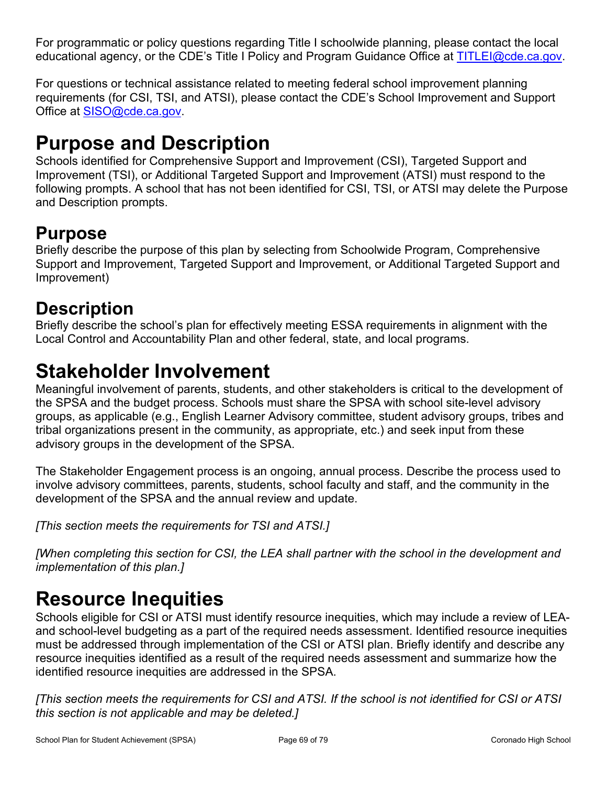For programmatic or policy questions regarding Title I schoolwide planning, please contact the local educational agency, or the CDE's Title I Policy and Program Guidance Office at [TITLEI@cde.ca.gov](mailto:%20TITLEI@cde.ca.gov).

For questions or technical assistance related to meeting federal school improvement planning requirements (for CSI, TSI, and ATSI), please contact the CDE's School Improvement and Support Office at [SISO@cde.ca.gov.](mailto:%20SISO@cde.ca.gov)

## **Purpose and Description**

Schools identified for Comprehensive Support and Improvement (CSI), Targeted Support and Improvement (TSI), or Additional Targeted Support and Improvement (ATSI) must respond to the following prompts. A school that has not been identified for CSI, TSI, or ATSI may delete the Purpose and Description prompts.

## **Purpose**

Briefly describe the purpose of this plan by selecting from Schoolwide Program, Comprehensive Support and Improvement, Targeted Support and Improvement, or Additional Targeted Support and Improvement)

## **Description**

Briefly describe the school's plan for effectively meeting ESSA requirements in alignment with the Local Control and Accountability Plan and other federal, state, and local programs.

## <span id="page-68-0"></span>**Stakeholder Involvement**

Meaningful involvement of parents, students, and other stakeholders is critical to the development of the SPSA and the budget process. Schools must share the SPSA with school site-level advisory groups, as applicable (e.g., English Learner Advisory committee, student advisory groups, tribes and tribal organizations present in the community, as appropriate, etc.) and seek input from these advisory groups in the development of the SPSA.

The Stakeholder Engagement process is an ongoing, annual process. Describe the process used to involve advisory committees, parents, students, school faculty and staff, and the community in the development of the SPSA and the annual review and update.

*[This section meets the requirements for TSI and ATSI.]*

*[When completing this section for CSI, the LEA shall partner with the school in the development and implementation of this plan.]*

## **Resource Inequities**

Schools eligible for CSI or ATSI must identify resource inequities, which may include a review of LEAand school-level budgeting as a part of the required needs assessment. Identified resource inequities must be addressed through implementation of the CSI or ATSI plan. Briefly identify and describe any resource inequities identified as a result of the required needs assessment and summarize how the identified resource inequities are addressed in the SPSA.

*[This section meets the requirements for CSI and ATSI. If the school is not identified for CSI or ATSI this section is not applicable and may be deleted.]*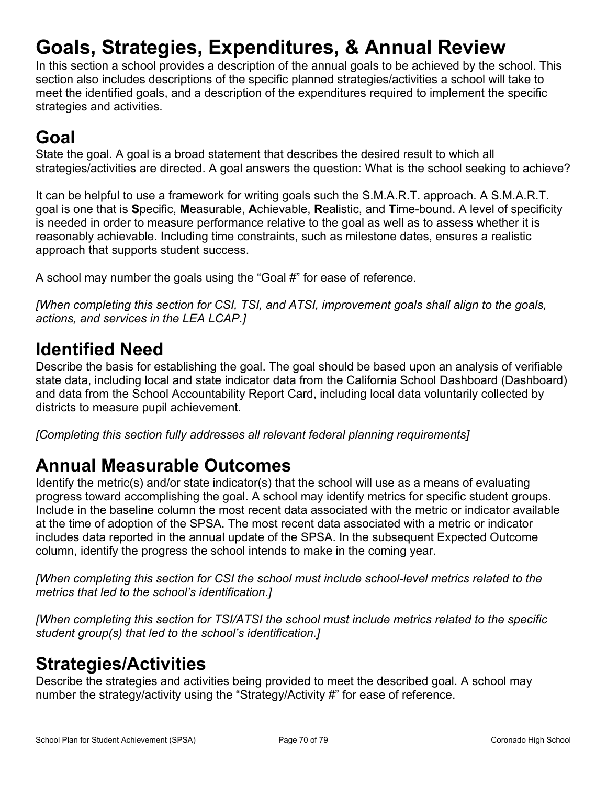# <span id="page-69-0"></span>**Goals, Strategies, Expenditures, & Annual Review**

In this section a school provides a description of the annual goals to be achieved by the school. This section also includes descriptions of the specific planned strategies/activities a school will take to meet the identified goals, and a description of the expenditures required to implement the specific strategies and activities.

## **Goal**

State the goal. A goal is a broad statement that describes the desired result to which all strategies/activities are directed. A goal answers the question: What is the school seeking to achieve?

It can be helpful to use a framework for writing goals such the S.M.A.R.T. approach. A S.M.A.R.T. goal is one that is **S**pecific, **M**easurable, **A**chievable, **R**ealistic, and **T**ime-bound. A level of specificity is needed in order to measure performance relative to the goal as well as to assess whether it is reasonably achievable. Including time constraints, such as milestone dates, ensures a realistic approach that supports student success.

A school may number the goals using the "Goal #" for ease of reference.

*[When completing this section for CSI, TSI, and ATSI, improvement goals shall align to the goals, actions, and services in the LEA LCAP.]*

## **Identified Need**

Describe the basis for establishing the goal. The goal should be based upon an analysis of verifiable state data, including local and state indicator data from the California School Dashboard (Dashboard) and data from the School Accountability Report Card, including local data voluntarily collected by districts to measure pupil achievement.

*[Completing this section fully addresses all relevant federal planning requirements]*

## **Annual Measurable Outcomes**

Identify the metric(s) and/or state indicator(s) that the school will use as a means of evaluating progress toward accomplishing the goal. A school may identify metrics for specific student groups. Include in the baseline column the most recent data associated with the metric or indicator available at the time of adoption of the SPSA. The most recent data associated with a metric or indicator includes data reported in the annual update of the SPSA. In the subsequent Expected Outcome column, identify the progress the school intends to make in the coming year.

*[When completing this section for CSI the school must include school-level metrics related to the metrics that led to the school's identification.]*

*[When completing this section for TSI/ATSI the school must include metrics related to the specific student group(s) that led to the school's identification.]* 

## <span id="page-69-1"></span>**Strategies/Activities**

Describe the strategies and activities being provided to meet the described goal. A school may number the strategy/activity using the "Strategy/Activity #" for ease of reference.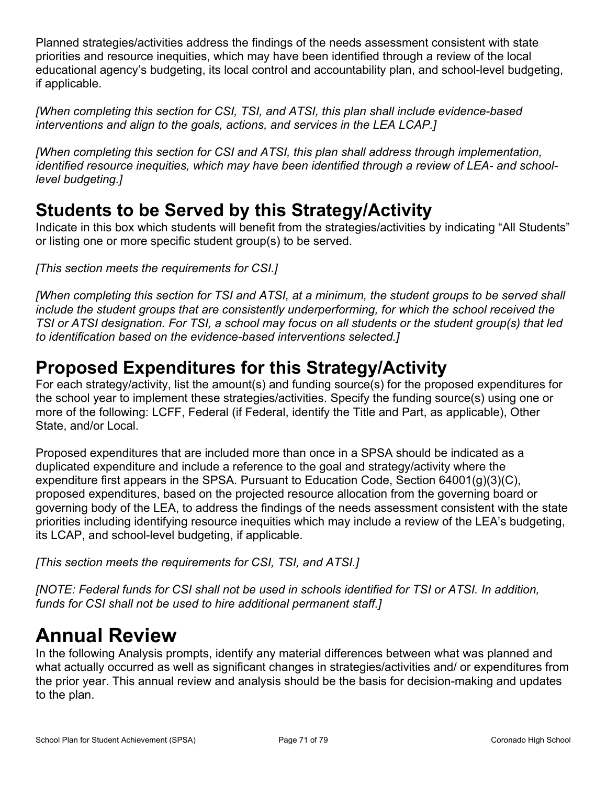Planned strategies/activities address the findings of the needs assessment consistent with state priorities and resource inequities, which may have been identified through a review of the local educational agency's budgeting, its local control and accountability plan, and school-level budgeting, if applicable.

*[When completing this section for CSI, TSI, and ATSI, this plan shall include evidence-based interventions and align to the goals, actions, and services in the LEA LCAP.]*

*[When completing this section for CSI and ATSI, this plan shall address through implementation, identified resource inequities, which may have been identified through a review of LEA- and schoollevel budgeting.]*

## **Students to be Served by this Strategy/Activity**

Indicate in this box which students will benefit from the strategies/activities by indicating "All Students" or listing one or more specific student group(s) to be served.

*[This section meets the requirements for CSI.]*

*[When completing this section for TSI and ATSI, at a minimum, the student groups to be served shall include the student groups that are consistently underperforming, for which the school received the TSI or ATSI designation. For TSI, a school may focus on all students or the student group(s) that led to identification based on the evidence-based interventions selected.]*

## **Proposed Expenditures for this Strategy/Activity**

For each strategy/activity, list the amount(s) and funding source(s) for the proposed expenditures for the school year to implement these strategies/activities. Specify the funding source(s) using one or more of the following: LCFF, Federal (if Federal, identify the Title and Part, as applicable), Other State, and/or Local.

Proposed expenditures that are included more than once in a SPSA should be indicated as a duplicated expenditure and include a reference to the goal and strategy/activity where the expenditure first appears in the SPSA. Pursuant to Education Code, Section 64001(g)(3)(C), proposed expenditures, based on the projected resource allocation from the governing board or governing body of the LEA, to address the findings of the needs assessment consistent with the state priorities including identifying resource inequities which may include a review of the LEA's budgeting, its LCAP, and school-level budgeting, if applicable.

*[This section meets the requirements for CSI, TSI, and ATSI.]*

*[NOTE: Federal funds for CSI shall not be used in schools identified for TSI or ATSI. In addition, funds for CSI shall not be used to hire additional permanent staff.]*

# <span id="page-70-0"></span>**Annual Review**

In the following Analysis prompts, identify any material differences between what was planned and what actually occurred as well as significant changes in strategies/activities and/ or expenditures from the prior year. This annual review and analysis should be the basis for decision-making and updates to the plan.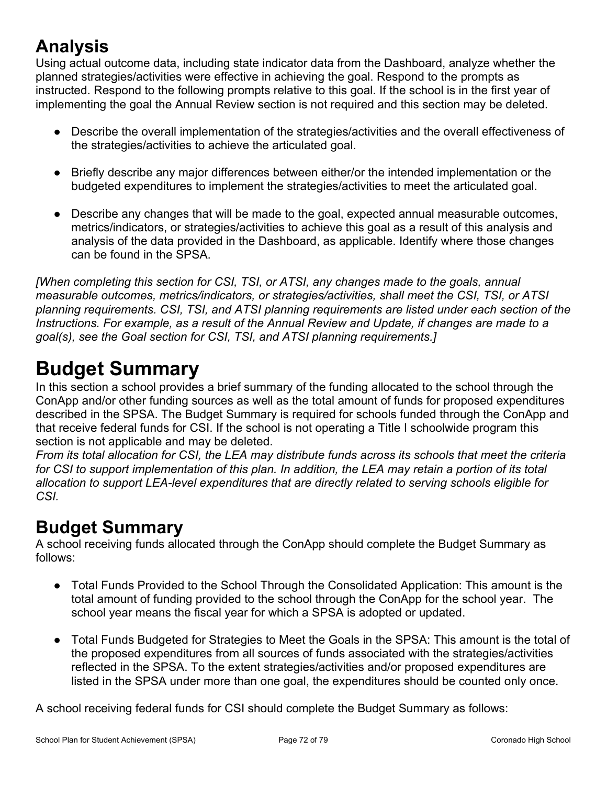## **Analysis**

Using actual outcome data, including state indicator data from the Dashboard, analyze whether the planned strategies/activities were effective in achieving the goal. Respond to the prompts as instructed. Respond to the following prompts relative to this goal. If the school is in the first year of implementing the goal the Annual Review section is not required and this section may be deleted.

- Describe the overall implementation of the strategies/activities and the overall effectiveness of the strategies/activities to achieve the articulated goal.
- Briefly describe any major differences between either/or the intended implementation or the budgeted expenditures to implement the strategies/activities to meet the articulated goal.
- Describe any changes that will be made to the goal, expected annual measurable outcomes, metrics/indicators, or strategies/activities to achieve this goal as a result of this analysis and analysis of the data provided in the Dashboard, as applicable. Identify where those changes can be found in the SPSA.

*[When completing this section for CSI, TSI, or ATSI, any changes made to the goals, annual measurable outcomes, metrics/indicators, or strategies/activities, shall meet the CSI, TSI, or ATSI planning requirements. CSI, TSI, and ATSI planning requirements are listed under each section of the Instructions. For example, as a result of the Annual Review and Update, if changes are made to a goal(s), see the Goal section for CSI, TSI, and ATSI planning requirements.]* 

## <span id="page-71-0"></span>**Budget Summary**

In this section a school provides a brief summary of the funding allocated to the school through the ConApp and/or other funding sources as well as the total amount of funds for proposed expenditures described in the SPSA. The Budget Summary is required for schools funded through the ConApp and that receive federal funds for CSI. If the school is not operating a Title I schoolwide program this section is not applicable and may be deleted.

*From its total allocation for CSI, the LEA may distribute funds across its schools that meet the criteria for CSI to support implementation of this plan. In addition, the LEA may retain a portion of its total allocation to support LEA-level expenditures that are directly related to serving schools eligible for CSI.*

## **Budget Summary**

A school receiving funds allocated through the ConApp should complete the Budget Summary as follows:

- Total Funds Provided to the School Through the Consolidated Application: This amount is the total amount of funding provided to the school through the ConApp for the school year. The school year means the fiscal year for which a SPSA is adopted or updated.
- Total Funds Budgeted for Strategies to Meet the Goals in the SPSA: This amount is the total of the proposed expenditures from all sources of funds associated with the strategies/activities reflected in the SPSA. To the extent strategies/activities and/or proposed expenditures are listed in the SPSA under more than one goal, the expenditures should be counted only once.

A school receiving federal funds for CSI should complete the Budget Summary as follows: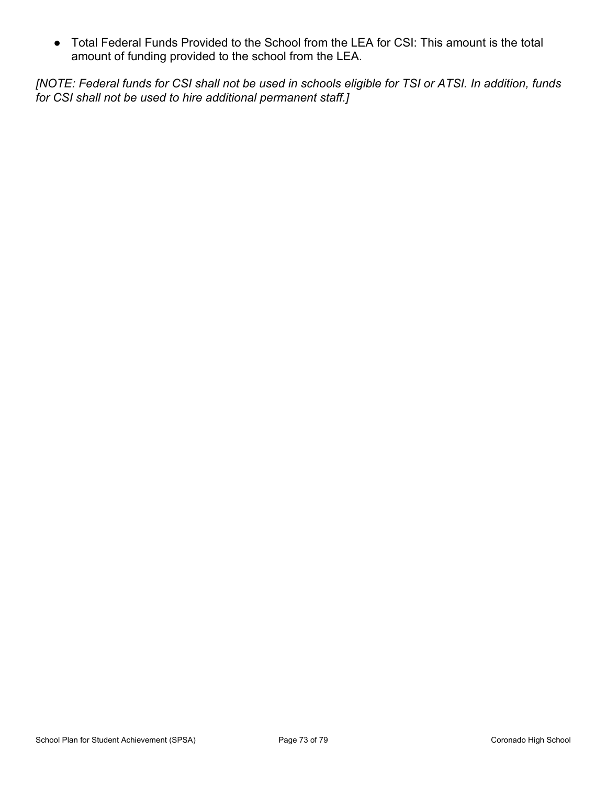● Total Federal Funds Provided to the School from the LEA for CSI: This amount is the total amount of funding provided to the school from the LEA.

*[NOTE: Federal funds for CSI shall not be used in schools eligible for TSI or ATSI. In addition, funds for CSI shall not be used to hire additional permanent staff.]*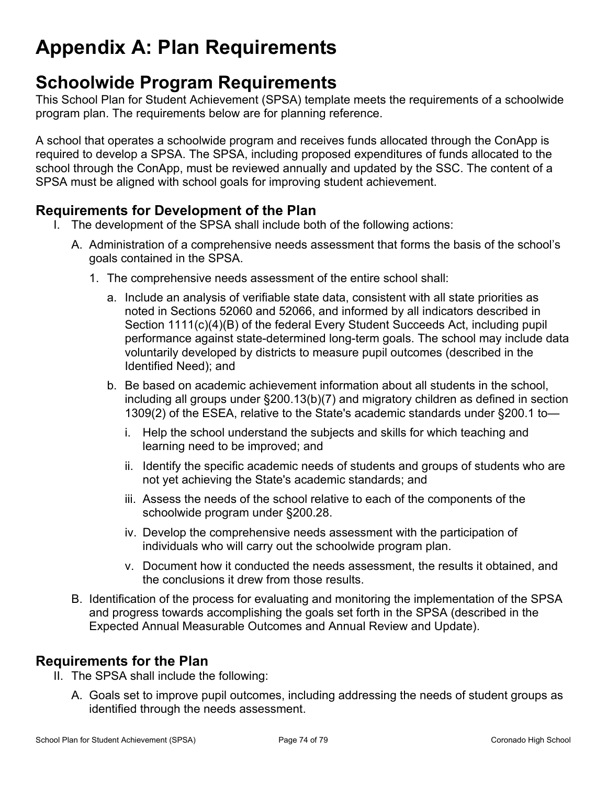# **Appendix A: Plan Requirements**

# **Schoolwide Program Requirements**

This School Plan for Student Achievement (SPSA) template meets the requirements of a schoolwide program plan. The requirements below are for planning reference.

A school that operates a schoolwide program and receives funds allocated through the ConApp is required to develop a SPSA. The SPSA, including proposed expenditures of funds allocated to the school through the ConApp, must be reviewed annually and updated by the SSC. The content of a SPSA must be aligned with school goals for improving student achievement.

### **Requirements for Development of the Plan**

- I. The development of the SPSA shall include both of the following actions:
	- A. Administration of a comprehensive needs assessment that forms the basis of the school's goals contained in the SPSA.
		- 1. The comprehensive needs assessment of the entire school shall:
			- a. Include an analysis of verifiable state data, consistent with all state priorities as noted in Sections 52060 and 52066, and informed by all indicators described in Section 1111(c)(4)(B) of the federal Every Student Succeeds Act, including pupil performance against state-determined long-term goals. The school may include data voluntarily developed by districts to measure pupil outcomes (described in the Identified Need); and
			- b. Be based on academic achievement information about all students in the school, including all groups under §200.13(b)(7) and migratory children as defined in section 1309(2) of the ESEA, relative to the State's academic standards under §200.1 to
				- i. Help the school understand the subjects and skills for which teaching and learning need to be improved; and
				- ii. Identify the specific academic needs of students and groups of students who are not yet achieving the State's academic standards; and
				- iii. Assess the needs of the school relative to each of the components of the schoolwide program under §200.28.
				- iv. Develop the comprehensive needs assessment with the participation of individuals who will carry out the schoolwide program plan.
				- v. Document how it conducted the needs assessment, the results it obtained, and the conclusions it drew from those results.
	- B. Identification of the process for evaluating and monitoring the implementation of the SPSA and progress towards accomplishing the goals set forth in the SPSA (described in the Expected Annual Measurable Outcomes and Annual Review and Update).

### **Requirements for the Plan**

- II. The SPSA shall include the following:
	- A. Goals set to improve pupil outcomes, including addressing the needs of student groups as identified through the needs assessment.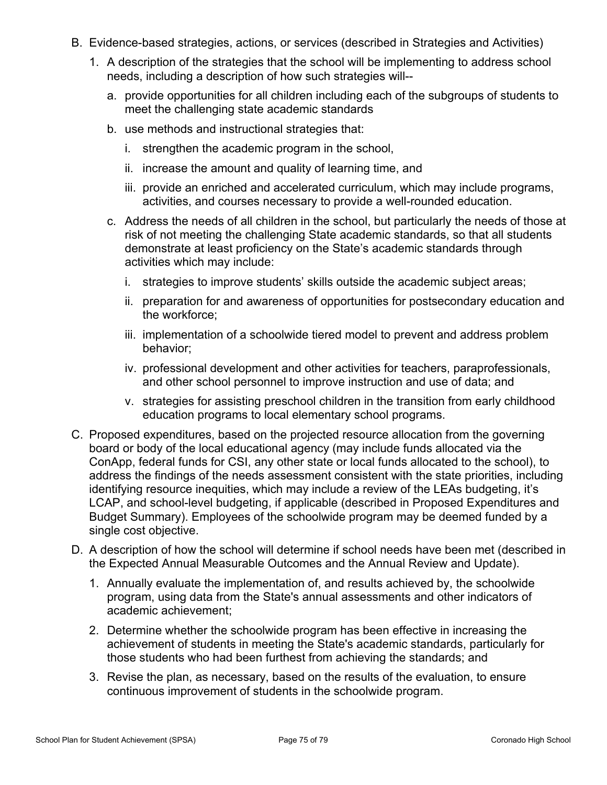- B. Evidence-based strategies, actions, or services (described in Strategies and Activities)
	- 1. A description of the strategies that the school will be implementing to address school needs, including a description of how such strategies will-
		- a. provide opportunities for all children including each of the subgroups of students to meet the challenging state academic standards
		- b. use methods and instructional strategies that:
			- i. strengthen the academic program in the school,
			- ii. increase the amount and quality of learning time, and
			- iii. provide an enriched and accelerated curriculum, which may include programs, activities, and courses necessary to provide a well-rounded education.
		- c. Address the needs of all children in the school, but particularly the needs of those at risk of not meeting the challenging State academic standards, so that all students demonstrate at least proficiency on the State's academic standards through activities which may include:
			- i. strategies to improve students' skills outside the academic subject areas;
			- ii. preparation for and awareness of opportunities for postsecondary education and the workforce;
			- iii. implementation of a schoolwide tiered model to prevent and address problem behavior;
			- iv. professional development and other activities for teachers, paraprofessionals, and other school personnel to improve instruction and use of data; and
			- v. strategies for assisting preschool children in the transition from early childhood education programs to local elementary school programs.
- C. Proposed expenditures, based on the projected resource allocation from the governing board or body of the local educational agency (may include funds allocated via the ConApp, federal funds for CSI, any other state or local funds allocated to the school), to address the findings of the needs assessment consistent with the state priorities, including identifying resource inequities, which may include a review of the LEAs budgeting, it's LCAP, and school-level budgeting, if applicable (described in Proposed Expenditures and Budget Summary). Employees of the schoolwide program may be deemed funded by a single cost objective.
- D. A description of how the school will determine if school needs have been met (described in the Expected Annual Measurable Outcomes and the Annual Review and Update).
	- 1. Annually evaluate the implementation of, and results achieved by, the schoolwide program, using data from the State's annual assessments and other indicators of academic achievement;
	- 2. Determine whether the schoolwide program has been effective in increasing the achievement of students in meeting the State's academic standards, particularly for those students who had been furthest from achieving the standards; and
	- 3. Revise the plan, as necessary, based on the results of the evaluation, to ensure continuous improvement of students in the schoolwide program.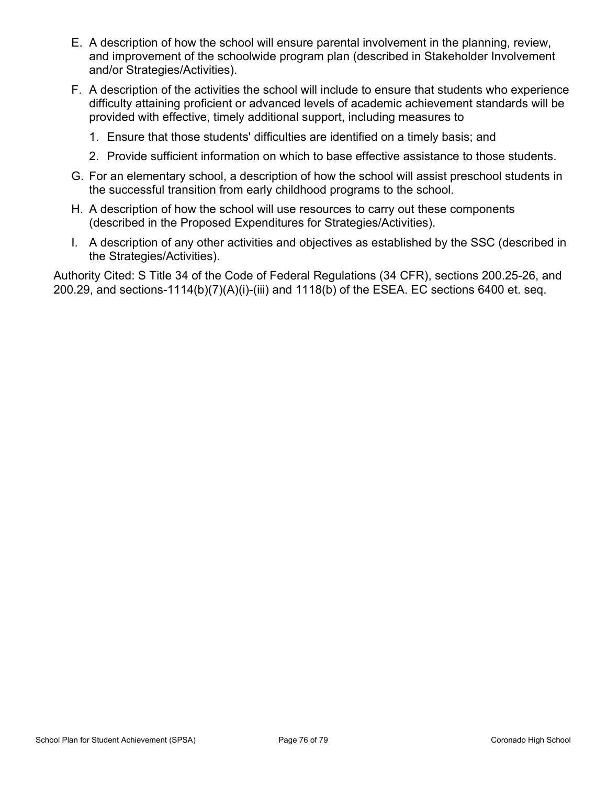- E. A description of how the school will ensure parental involvement in the planning, review, and improvement of the schoolwide program plan (described in Stakeholder Involvement and/or Strategies/Activities).
- F. A description of the activities the school will include to ensure that students who experience difficulty attaining proficient or advanced levels of academic achievement standards will be provided with effective, timely additional support, including measures to
	- 1. Ensure that those students' difficulties are identified on a timely basis; and
	- 2. Provide sufficient information on which to base effective assistance to those students.
- G. For an elementary school, a description of how the school will assist preschool students in the successful transition from early childhood programs to the school.
- H. A description of how the school will use resources to carry out these components (described in the Proposed Expenditures for Strategies/Activities).
- I. A description of any other activities and objectives as established by the SSC (described in the Strategies/Activities).

Authority Cited: S Title 34 of the Code of Federal Regulations (34 CFR), sections 200.25-26, and 200.29, and sections-1114(b)(7)(A)(i)-(iii) and 1118(b) of the ESEA. EC sections 6400 et. seq.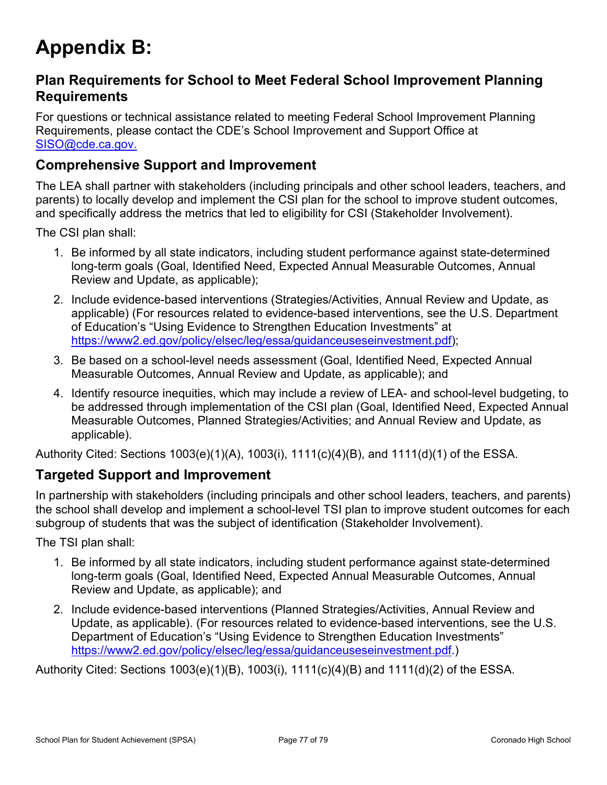# **Appendix B:**

### **Plan Requirements for School to Meet Federal School Improvement Planning Requirements**

For questions or technical assistance related to meeting Federal School Improvement Planning Requirements, please contact the CDE's School Improvement and Support Office at [SISO@cde.ca.gov.](mailto:%20SISO@cde.ca.gov.)

### **Comprehensive Support and Improvement**

The LEA shall partner with stakeholders (including principals and other school leaders, teachers, and parents) to locally develop and implement the CSI plan for the school to improve student outcomes, and specifically address the metrics that led to eligibility for CSI (Stakeholder Involvement).

The CSI plan shall:

- 1. Be informed by all state indicators, including student performance against state-determined long-term goals (Goal, Identified Need, Expected Annual Measurable Outcomes, Annual Review and Update, as applicable);
- 2. Include evidence-based interventions (Strategies/Activities, Annual Review and Update, as applicable) (For resources related to evidence-based interventions, see the U.S. Department of Education's "Using Evidence to Strengthen Education Investments" at [https://www2.ed.gov/policy/elsec/leg/essa/guidanceuseseinvestment.pdf\)](https://www2.ed.gov/policy/elsec/leg/essa/guidanceuseseinvestment.pdf);
- 3. Be based on a school-level needs assessment (Goal, Identified Need, Expected Annual Measurable Outcomes, Annual Review and Update, as applicable); and
- 4. Identify resource inequities, which may include a review of LEA- and school-level budgeting, to be addressed through implementation of the CSI plan (Goal, Identified Need, Expected Annual Measurable Outcomes, Planned Strategies/Activities; and Annual Review and Update, as applicable).

Authority Cited: Sections 1003(e)(1)(A), 1003(i), 1111(c)(4)(B), and 1111(d)(1) of the ESSA.

#### **Targeted Support and Improvement**

In partnership with stakeholders (including principals and other school leaders, teachers, and parents) the school shall develop and implement a school-level TSI plan to improve student outcomes for each subgroup of students that was the subject of identification (Stakeholder Involvement).

The TSI plan shall:

- 1. Be informed by all state indicators, including student performance against state-determined long-term goals (Goal, Identified Need, Expected Annual Measurable Outcomes, Annual Review and Update, as applicable); and
- 2. Include evidence-based interventions (Planned Strategies/Activities, Annual Review and Update, as applicable). (For resources related to evidence-based interventions, see the U.S. Department of Education's "Using Evidence to Strengthen Education Investments" <https://www2.ed.gov/policy/elsec/leg/essa/guidanceuseseinvestment.pdf.>)

Authority Cited: Sections 1003(e)(1)(B), 1003(i), 1111(c)(4)(B) and 1111(d)(2) of the ESSA.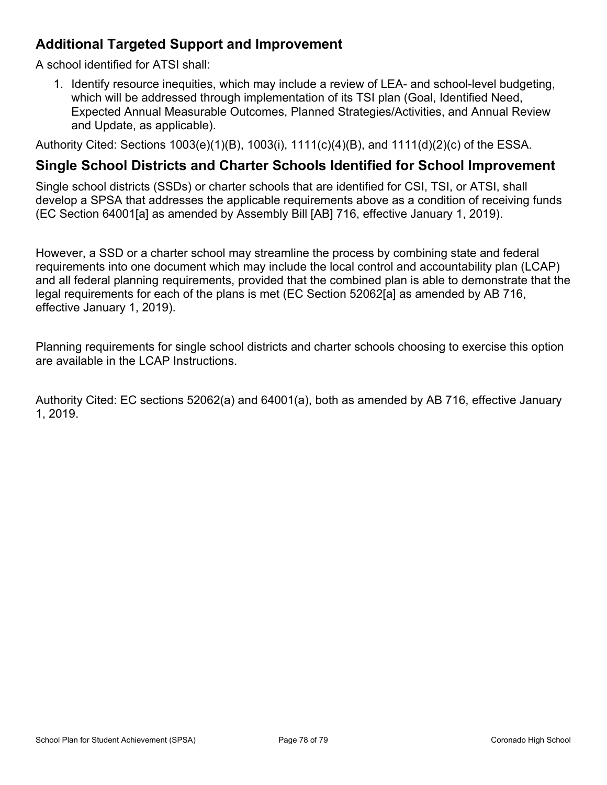### **Additional Targeted Support and Improvement**

A school identified for ATSI shall:

1. Identify resource inequities, which may include a review of LEA- and school-level budgeting, which will be addressed through implementation of its TSI plan (Goal, Identified Need, Expected Annual Measurable Outcomes, Planned Strategies/Activities, and Annual Review and Update, as applicable).

Authority Cited: Sections 1003(e)(1)(B), 1003(i), 1111(c)(4)(B), and 1111(d)(2)(c) of the ESSA.

#### **Single School Districts and Charter Schools Identified for School Improvement**

Single school districts (SSDs) or charter schools that are identified for CSI, TSI, or ATSI, shall develop a SPSA that addresses the applicable requirements above as a condition of receiving funds (EC Section 64001[a] as amended by Assembly Bill [AB] 716, effective January 1, 2019).

However, a SSD or a charter school may streamline the process by combining state and federal requirements into one document which may include the local control and accountability plan (LCAP) and all federal planning requirements, provided that the combined plan is able to demonstrate that the legal requirements for each of the plans is met (EC Section 52062[a] as amended by AB 716, effective January 1, 2019).

Planning requirements for single school districts and charter schools choosing to exercise this option are available in the LCAP Instructions.

Authority Cited: EC sections 52062(a) and 64001(a), both as amended by AB 716, effective January 1, 2019.